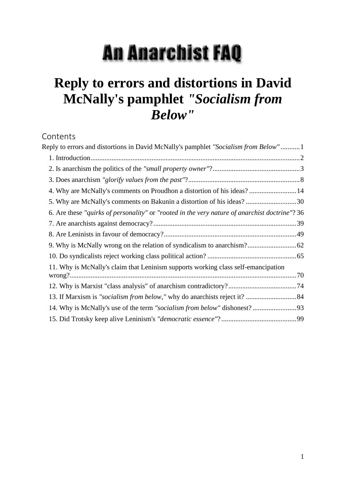# **An Anarchist FAQ**

## <span id="page-0-0"></span>**Reply to errors and distortions in David McNally's pamphlet** *"Socialism from Below"*

#### Contents

| Reply to errors and distortions in David McNally's pamphlet "Socialism from Below"1           |  |
|-----------------------------------------------------------------------------------------------|--|
|                                                                                               |  |
|                                                                                               |  |
|                                                                                               |  |
| 4. Why are McNally's comments on Proudhon a distortion of his ideas? 14                       |  |
| 5. Why are McNally's comments on Bakunin a distortion of his ideas?30                         |  |
| 6. Are these "quirks of personality" or "rooted in the very nature of anarchist doctrine"? 36 |  |
|                                                                                               |  |
|                                                                                               |  |
|                                                                                               |  |
|                                                                                               |  |
| 11. Why is McNally's claim that Leninism supports working class self-emancipation             |  |
|                                                                                               |  |
|                                                                                               |  |
|                                                                                               |  |
|                                                                                               |  |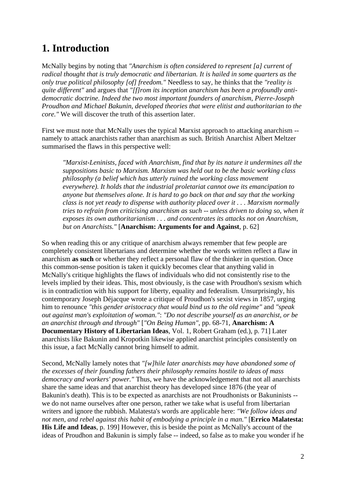#### <span id="page-1-0"></span>**1. Introduction**

McNally begins by noting that *"Anarchism is often considered to represent [a] current of radical thought that is truly democratic and libertarian. It is hailed in some quarters as the only true political philosophy [of] freedom."* Needless to say, he thinks that the *"reality is quite different"* and argues that *"[f]rom its inception anarchism has been a profoundly antidemocratic doctrine. Indeed the two most important founders of anarchism, Pierre-Joseph Proudhon and Michael Bakunin, developed theories that were elitist and authoritarian to the core."* We will discover the truth of this assertion later.

First we must note that McNally uses the typical Marxist approach to attacking anarchism - namely to attack anarchists rather than anarchism as such. British Anarchist Albert Meltzer summarised the flaws in this perspective well:

*"Marxist-Leninists, faced with Anarchism, find that by its nature it undermines all the suppositions basic to Marxism. Marxism was held out to be the basic working class philosophy (a belief which has utterly ruined the working class movement everywhere). It holds that the industrial proletariat cannot owe its emancipation to anyone but themselves alone. It is hard to go back on that and say that the working class is not yet ready to dispense with authority placed over it . . . Marxism normally tries to refrain from criticising anarchism as such -- unless driven to doing so, when it exposes its own authoritarianism . . . and concentrates its attacks not on Anarchism, but on Anarchists."* [**Anarchism: Arguments for and Against**, p. 62]

So when reading this or any critique of anarchism always remember that few people are completely consistent libertarians and determine whether the words written reflect a flaw in anarchism **as such** or whether they reflect a personal flaw of the thinker in question. Once this common-sense position is taken it quickly becomes clear that anything valid in McNally's critique highlights the flaws of individuals who did not consistently rise to the levels implied by their ideas. This, most obviously, is the case with Proudhon's sexism which is in contradiction with his support for liberty, equality and federalism. Unsurprisingly, his contemporary Joseph Déjacque wrote a critique of Proudhon's sexist views in 1857, urging him to renounce *"this gender aristocracy that would bind us to the old regime"* and *"speak out against man's exploitation of woman."*: *"Do not describe yourself as an anarchist, or be an anarchist through and through"* [*"On Being Human"*, pp. 68-71, **Anarchism: A Documentary History of Libertarian Ideas**, Vol. 1, Robert Graham (ed.), p. 71] Later anarchists like Bakunin and Kropotkin likewise applied anarchist principles consistently on this issue, a fact McNally cannot bring himself to admit.

Second, McNally lamely notes that *"[w]hile later anarchists may have abandoned some of the excesses of their founding fathers their philosophy remains hostile to ideas of mass democracy and workers' power."* Thus, we have the acknowledgement that not all anarchists share the same ideas and that anarchist theory has developed since 1876 (the year of Bakunin's death). This is to be expected as anarchists are not Proudhonists or Bakuninists - we do not name ourselves after one person, rather we take what is useful from libertarian writers and ignore the rubbish. Malatesta's words are applicable here: *"We follow ideas and not men, and rebel against this habit of embodying a principle in a man."* [**Errico Malatesta: His Life and Ideas**, p. 199] However, this is beside the point as McNally's account of the ideas of Proudhon and Bakunin is simply false -- indeed, so false as to make you wonder if he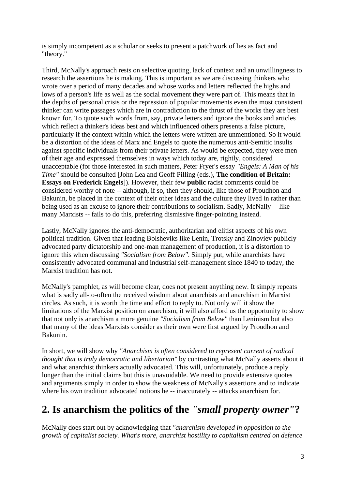is simply incompetent as a scholar or seeks to present a patchwork of lies as fact and "theory."

Third, McNally's approach rests on selective quoting, lack of context and an unwillingness to research the assertions he is making. This is important as we are discussing thinkers who wrote over a period of many decades and whose works and letters reflected the highs and lows of a person's life as well as the social movement they were part of. This means that in the depths of personal crisis or the repression of popular movements even the most consistent thinker can write passages which are in contradiction to the thrust of the works they are best known for. To quote such words from, say, private letters and ignore the books and articles which reflect a thinker's ideas best and which influenced others presents a false picture, particularly if the context within which the letters were written are unmentioned. So it would be a distortion of the ideas of Marx and Engels to quote the numerous anti-Semitic insults against specific individuals from their private letters. As would be expected, they were men of their age and expressed themselves in ways which today are, rightly, considered unacceptable (for those interested in such matters, Peter Fryer's essay *"Engels: A Man of his Time"* should be consulted [John Lea and Geoff Pilling (eds.), **The condition of Britain: Essays on Frederick Engels**]). However, their few **public** racist comments could be considered worthy of note -- although, if so, then they should, like those of Proudhon and Bakunin, be placed in the context of their other ideas and the culture they lived in rather than being used as an excuse to ignore their contributions to socialism. Sadly, McNally -- like many Marxists -- fails to do this, preferring dismissive finger-pointing instead.

Lastly, McNally ignores the anti-democratic, authoritarian and elitist aspects of his own political tradition. Given that leading Bolsheviks like Lenin, Trotsky and Zinoviev publicly advocated party dictatorship and one-man management of production, it is a distortion to ignore this when discussing *"Socialism from Below"*. Simply put, while anarchists have consistently advocated communal and industrial self-management since 1840 to today, the Marxist tradition has not.

McNally's pamphlet, as will become clear, does not present anything new. It simply repeats what is sadly all-to-often the received wisdom about anarchists and anarchism in Marxist circles. As such, it is worth the time and effort to reply to. Not only will it show the limitations of the Marxist position on anarchism, it will also afford us the opportunity to show that not only is anarchism a more genuine *"Socialism from Below"* than Leninism but also that many of the ideas Marxists consider as their own were first argued by Proudhon and Bakunin.

In short, we will show why *"Anarchism is often considered to represent current of radical thought that is truly democratic and libertarian"* by contrasting what McNally asserts about it and what anarchist thinkers actually advocated. This will, unfortunately, produce a reply longer than the initial claims but this is unavoidable. We need to provide extensive quotes and arguments simply in order to show the weakness of McNally's assertions and to indicate where his own tradition advocated notions he -- inaccurately -- attacks anarchism for.

#### <span id="page-2-0"></span>**2. Is anarchism the politics of the** *"small property owner"***?**

McNally does start out by acknowledging that *"anarchism developed in opposition to the growth of capitalist society. What's more, anarchist hostility to capitalism centred on defence*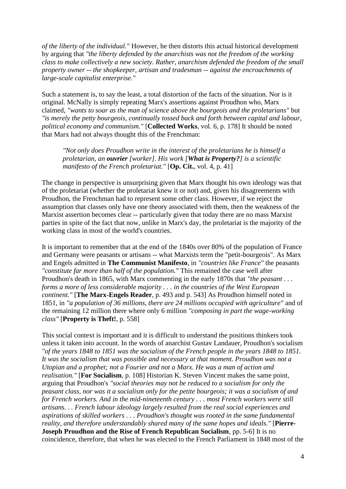*of the liberty of the individual."* However, he then distorts this actual historical development by arguing that *"the liberty defended by the anarchists was not the freedom of the working class to make collectively a new society. Rather, anarchism defended the freedom of the small property owner -- the shopkeeper, artisan and tradesman -- against the encroachments of large-scale capitalist enterprise."*

Such a statement is, to say the least, a total distortion of the facts of the situation. Nor is it original. McNally is simply repeating Marx's assertions against Proudhon who, Marx claimed, *"wants to soar as the man of science above the bourgeois and the proletarians"* but *"is merely the petty bourgeois, continually tossed back and forth between capital and labour, political economy and communism."* [**Collected Works**, vol. 6, p. 178] It should be noted that Marx had not always thought this of the Frenchman:

*"Not only does Proudhon write in the interest of the proletarians he is himself a proletarian, an ouvrier [worker]. His work [What is Property?] is a scientific manifesto of the French proletariat."* [**Op. Cit.**, vol. 4, p. 41]

The change in perspective is unsurprising given that Marx thought his own ideology was that of the proletariat (whether the proletariat knew it or not) and, given his disagreements with Proudhon, the Frenchman had to represent some other class. However, if we reject the assumption that classes only have one theory associated with them, then the weakness of the Marxist assertion becomes clear -- particularly given that today there are no mass Marxist parties in spite of the fact that now, unlike in Marx's day, the proletariat is the majority of the working class in most of the world's countries.

It is important to remember that at the end of the 1840s over 80% of the population of France and Germany were peasants or artisans -- what Marxists term the "petit-bourgeois". As Marx and Engels admitted in **The Communist Manifesto**, in *"countries like France"* the peasants *"constitute far more than half of the population."* This remained the case well after Proudhon's death in 1865, with Marx commenting in the early 1870s that *"the peasant . . . forms a more of less considerable majority . . . in the countries of the West European continent."* [**The Marx-Engels Reader**, p. 493 and p. 543] As Proudhon himself noted in 1851, in *"a population of 36 millions, there are 24 millions occupied with agriculture"* and of the remaining 12 million there where only 6 million *"composing in part the wage-working class"* [**Property is Theft!**, p. 558]

This social context is important and it is difficult to understand the positions thinkers took unless it taken into account. In the words of anarchist Gustav Landauer, Proudhon's socialism *"of the years 1848 to 1851 was the socialism of the French people in the years 1848 to 1851. It was the socialism that was possible and necessary at that moment. Proudhon was not a Utopian and a prophet; not a Fourier and not a Marx. He was a man of action and realisation."* [**For Socialism**, p. 108] Historian K. Steven Vincent makes the same point, arguing that Proudhon's *"social theories may not be reduced to a socialism for only the peasant class, nor was it a socialism only for the petite bourgeois; it was a socialism of and for French workers. And in the mid-nineteenth century . . . most French workers were still artisans. . . French labour ideology largely resulted from the real social experiences and aspirations of skilled workers . . . Proudhon's thought was rooted in the same fundamental reality, and therefore understandably shared many of the same hopes and ideals."* [**Pierre-Joseph Proudhon and the Rise of French Republican Socialism**, pp. 5-6] It is no coincidence, therefore, that when he was elected to the French Parliament in 1848 most of the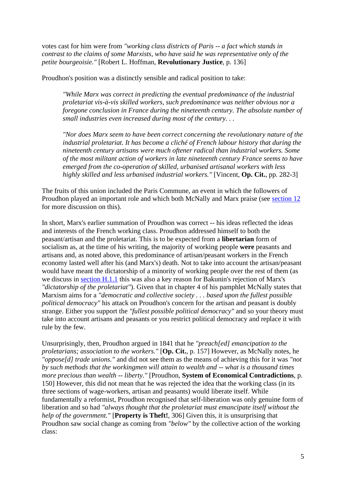votes cast for him were from *"working class districts of Paris -- a fact which stands in contrast to the claims of some Marxists, who have said he was representative only of the petite bourgeoisie."* [Robert L. Hoffman, **Revolutionary Justice**, p. 136]

Proudhon's position was a distinctly sensible and radical position to take:

*"While Marx was correct in predicting the eventual predominance of the industrial proletariat vis-à-vis skilled workers, such predominance was neither obvious nor a foregone conclusion in France during the nineteenth century. The absolute number of small industries even increased during most of the century. . .*

*"Nor does Marx seem to have been correct concerning the revolutionary nature of the industrial proletariat. It has become a cliché of French labour history that during the nineteenth century artisans were much oftener radical than industrial workers. Some of the most militant action of workers in late nineteenth century France seems to have emerged from the co-operation of skilled, urbanised artisanal workers with less highly skilled and less urbanised industrial workers."* [Vincent, **Op. Cit.**, pp. 282-3]

The fruits of this union included the Paris Commune, an event in which the followers of Proudhon played an important role and which both McNally and Marx praise (see [section 12](append31.html#app12) for more discussion on this).

In short, Marx's earlier summation of Proudhon was correct -- his ideas reflected the ideas and interests of the French working class. Proudhon addressed himself to both the peasant/artisan and the proletariat. This is to be expected from a **libertarian** form of socialism as, at the time of his writing, the majority of working people **were** peasants and artisans and, as noted above, this predominance of artisan/peasant workers in the French economy lasted well after his (and Marx's) death. Not to take into account the artisan/peasant would have meant the dictatorship of a minority of working people over the rest of them (as we discuss in [section H.1.1](sectionH.html#sech11) this was also a key reason for Bakunin's rejection of Marx's *"dictatorship of the proletariat"*). Given that in chapter 4 of his pamphlet McNally states that Marxism aims for a *"democratic and collective society . . . based upon the fullest possible political democracy"* his attack on Proudhon's concern for the artisan and peasant is doubly strange. Either you support the *"fullest possible political democracy"* and so your theory must take into account artisans and peasants or you restrict political democracy and replace it with rule by the few.

Unsurprisingly, then, Proudhon argued in 1841 that he *"preach[ed] emancipation to the proletarians; association to the workers."* [**Op. Cit.**, p. 157] However, as McNally notes, he *"oppose[d] trade unions."* and did not see them as the means of achieving this for it was *"not by such methods that the workingmen will attain to wealth and -- what is a thousand times more precious than wealth -- liberty."* [Proudhon, **System of Economical Contradictions**, p. 150] However, this did not mean that he was rejected the idea that the working class (in its three sections of wage-workers, artisan and peasants) would liberate itself. While fundamentally a reformist, Proudhon recognised that self-liberation was only genuine form of liberation and so had *"always thought that the proletariat must emancipate itself without the help of the government."* [**Property is Theft!**, 306] Given this, it is unsurprising that Proudhon saw social change as coming from *"below"* by the collective action of the working class: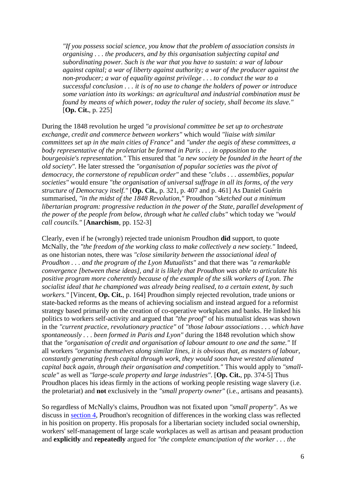*"If you possess social science, you know that the problem of association consists in organising . . . the producers, and by this organisation subjecting capital and subordinating power. Such is the war that you have to sustain: a war of labour against capital; a war of liberty against authority; a war of the producer against the non-producer; a war of equality against privilege . . . to conduct the war to a successful conclusion . . . it is of no use to change the holders of power or introduce some variation into its workings: an agricultural and industrial combination must be found by means of which power, today the ruler of society, shall become its slave."* [**Op. Cit.**, p. 225]

During the 1848 revolution he urged *"a provisional committee be set up to orchestrate exchange, credit and commerce between workers"* which would *"liaise with similar committees set up in the main cities of France"* and *"under the aegis of these committees, a body representative of the proletariat be formed in Paris . . . in opposition to the bourgeoisie's representation."* This ensured that *"a new society be founded in the heart of the old society"*. He later stressed the *"organisation of popular societies was the pivot of democracy, the cornerstone of republican order"* and these *"clubs . . . assemblies, popular societies"* would ensure *"the organisation of universal suffrage in all its forms, of the very structure of Democracy itself."* [**Op. Cit.**, p. 321, p. 407 and p. 461] As Daniel Guérin summarised, *"in the midst of the 1848 Revolution,"* Proudhon *"sketched out a minimum libertarian program: progressive reduction in the power of the State, parallel development of the power of the people from below, through what he called clubs"* which today we *"would call councils."* [**Anarchism**, pp. 152-3]

Clearly, even if he (wrongly) rejected trade unionism Proudhon **did** support, to quote McNally, the *"the freedom of the working class to make collectively a new society."* Indeed, as one historian notes, there was *"close similarity between the associational ideal of Proudhon . . . and the program of the Lyon Mutualists"* and that there was *"a remarkable convergence [between these ideas], and it is likely that Proudhon was able to articulate his positive program more coherently because of the example of the silk workers of Lyon. The socialist ideal that he championed was already being realised, to a certain extent, by such workers."* [Vincent, **Op. Cit.**, p. 164] Proudhon simply rejected revolution, trade unions or state-backed reforms as the means of achieving socialism and instead argued for a reformist strategy based primarily on the creation of co-operative workplaces and banks. He linked his politics to workers self-activity and argued that *"the proof"* of his mutualist ideas was shown in the *"current practice, revolutionary practice"* of *"those labour associations . . . which have spontaneously . . . been formed in Paris and Lyon"* during the 1848 revolution which show that the *"organisation of credit and organisation of labour amount to one and the same."* If all workers *"organise themselves along similar lines, it is obvious that, as masters of labour, constantly generating fresh capital through work, they would soon have wrested alienated capital back again, through their organisation and competition."* This would apply to *"smallscale"* as well as *"large-scale property and large industries"*. [**Op. Cit.**, pp. 374-5] Thus Proudhon places his ideas firmly in the actions of working people resisting wage slavery (i.e. the proletariat) and **not** exclusively in the *"small property owner"* (i.e., artisans and peasants).

So regardless of McNally's claims, Proudhon was not fixated upon *"small property"*. As we discuss in [section 4,](append31.html#app4) Proudhon's recognition of differences in the working class was reflected in his position on property. His proposals for a libertarian society included social ownership, workers' self-management of large scale workplaces as well as artisan and peasant production and **explicitly** and **repeatedly** argued for *"the complete emancipation of the worker . . . the*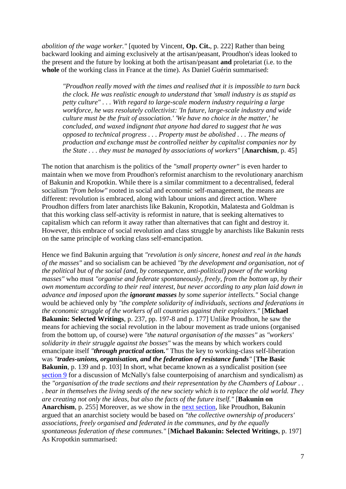*abolition of the wage worker."* [quoted by Vincent, **Op. Cit.**, p. 222] Rather than being backward looking and aiming exclusively at the artisan/peasant, Proudhon's ideas looked to the present and the future by looking at both the artisan/peasant **and** proletariat (i.e. to the **whole** of the working class in France at the time). As Daniel Guérin summarised:

*"Proudhon really moved with the times and realised that it is impossible to turn back the clock. He was realistic enough to understand that 'small industry is as stupid as petty culture" . . . With regard to large-scale modern industry requiring a large workforce, he was resolutely collectivist: 'In future, large-scale industry and wide culture must be the fruit of association.' 'We have no choice in the matter,' he concluded, and waxed indignant that anyone had dared to suggest that he was opposed to technical progress . . . Property must be abolished . . . The means of production and exchange must be controlled neither by capitalist companies nor by the State . . . they must be managed by associations of workers"* [**Anarchism**, p. 45]

The notion that anarchism is the politics of the *"small property owner"* is even harder to maintain when we move from Proudhon's reformist anarchism to the revolutionary anarchism of Bakunin and Kropotkin. While there is a similar commitment to a decentralised, federal socialism *"from below"* rooted in social and economic self-management, the means are different: revolution is embraced, along with labour unions and direct action. Where Proudhon differs from later anarchists like Bakunin, Kropotkin, Malatesta and Goldman is that this working class self-activity is reformist in nature, that is seeking alternatives to capitalism which can reform it away rather than alternatives that can fight and destroy it. However, this embrace of social revolution and class struggle by anarchists like Bakunin rests on the same principle of working class self-emancipation.

Hence we find Bakunin arguing that *"revolution is only sincere, honest and real in the hands of the masses"* and so socialism can be achieved *"by the development and organisation, not of the political but of the social (and, by consequence, anti-political) power of the working masses"* who must *"organise and federate spontaneously, freely, from the bottom up, by their own momentum according to their real interest, but never according to any plan laid down in advance and imposed upon the ignorant masses by some superior intellects."* Social change would be achieved only by *"the complete solidarity of individuals, sections and federations in the economic struggle of the workers of all countries against their exploiters."* [**Michael Bakunin: Selected Writings**, p. 237, pp. 197-8 and p. 177] Unlike Proudhon, he saw the means for achieving the social revolution in the labour movement as trade unions (organised from the bottom up, of course) were *"the natural organisation of the masses"* as *"workers' solidarity in their struggle against the bosses"* was the means by which workers could emancipate itself *"through practical action."* Thus the key to working-class self-liberation was *"trades-unions, organisation, and the federation of resistance funds"* [**The Basic Bakunin**, p. 139 and p. 103] In short, what became known as a syndicalist position (see [section 9](append31.html#app9) for a discussion of McNally's false counterpoising of anarchism and syndicalism) as the *"organisation of the trade sections and their representation by the Chambers of Labour . . . bear in themselves the living seeds of the new society which is to replace the old world. They are creating not only the ideas, but also the facts of the future itself."* [**Bakunin on Anarchism**, p. 255] Moreover, as we show in the [next section,](append31.html#app3) like Proudhon, Bakunin argued that an anarchist society would be based on *"the collective ownership of producers' associations, freely organised and federated in the communes, and by the equally spontaneous federation of these communes."* [**Michael Bakunin: Selected Writings**, p. 197] As Kropotkin summarised: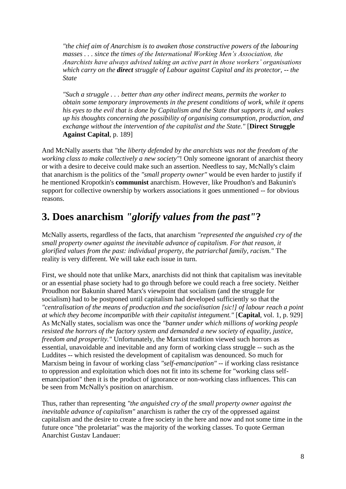*"the chief aim of Anarchism is to awaken those constructive powers of the labouring masses . . . since the times of the International Working Men's Association, the Anarchists have always advised taking an active part in those workers' organisations which carry on the direct struggle of Labour against Capital and its protector, -- the State*

*"Such a struggle . . . better than any other indirect means, permits the worker to obtain some temporary improvements in the present conditions of work, while it opens his eyes to the evil that is done by Capitalism and the State that supports it, and wakes up his thoughts concerning the possibility of organising consumption, production, and exchange without the intervention of the capitalist and the State."* [**Direct Struggle Against Capital**, p. 189]

And McNally asserts that *"the liberty defended by the anarchists was not the freedom of the working class to make collectively a new society"*! Only someone ignorant of anarchist theory or with a desire to deceive could make such an assertion. Needless to say, McNally's claim that anarchism is the politics of the *"small property owner"* would be even harder to justify if he mentioned Kropotkin's **communist** anarchism. However, like Proudhon's and Bakunin's support for collective ownership by workers associations it goes unmentioned -- for obvious reasons.

### <span id="page-7-0"></span>**3. Does anarchism** *"glorify values from the past"***?**

McNally asserts, regardless of the facts, that anarchism *"represented the anguished cry of the small property owner against the inevitable advance of capitalism. For that reason, it glorified values from the past: individual property, the patriarchal family, racism."* The reality is very different. We will take each issue in turn.

First, we should note that unlike Marx, anarchists did not think that capitalism was inevitable or an essential phase society had to go through before we could reach a free society. Neither Proudhon nor Bakunin shared Marx's viewpoint that socialism (and the struggle for socialism) had to be postponed until capitalism had developed sufficiently so that the *"centralisation of the means of production and the socialisation [sic!] of labour reach a point at which they become incompatible with their capitalist integument."* [**Capital**, vol. 1, p. 929] As McNally states, socialism was once the *"banner under which millions of working people resisted the horrors of the factory system and demanded a new society of equality, justice, freedom and prosperity."* Unfortunately, the Marxist tradition viewed such horrors as essential, unavoidable and inevitable and any form of working class struggle -- such as the Luddites -- which resisted the development of capitalism was denounced. So much for Marxism being in favour of working class *"self-emancipation"* -- if working class resistance to oppression and exploitation which does not fit into its scheme for "working class selfemancipation" then it is the product of ignorance or non-working class influences. This can be seen from McNally's position on anarchism.

Thus, rather than representing *"the anguished cry of the small property owner against the inevitable advance of capitalism"* anarchism is rather the cry of the oppressed against capitalism and the desire to create a free society in the here and now and not some time in the future once "the proletariat" was the majority of the working classes. To quote German Anarchist Gustav Landauer: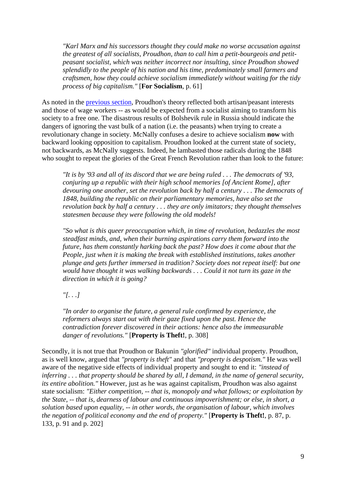*"Karl Marx and his successors thought they could make no worse accusation against the greatest of all socialists, Proudhon, than to call him a petit-bourgeois and petitpeasant socialist, which was neither incorrect nor insulting, since Proudhon showed splendidly to the people of his nation and his time, predominately small farmers and craftsmen, how they could achieve socialism immediately without waiting for the tidy process of big capitalism."* [**For Socialism**, p. 61]

As noted in the [previous section,](append31.html#app2) Proudhon's theory reflected both artisan/peasant interests and those of wage workers -- as would be expected from a socialist aiming to transform his society to a free one. The disastrous results of Bolshevik rule in Russia should indicate the dangers of ignoring the vast bulk of a nation (i.e. the peasants) when trying to create a revolutionary change in society. McNally confuses a desire to achieve socialism **now** with backward looking opposition to capitalism. Proudhon looked at the current state of society, not backwards, as McNally suggests. Indeed, he lambasted those radicals during the 1848 who sought to repeat the glories of the Great French Revolution rather than look to the future:

*"It is by '93 and all of its discord that we are being ruled . . . The democrats of '93, conjuring up a republic with their high school memories [of Ancient Rome], after devouring one another, set the revolution back by half a century . . . The democrats of 1848, building the republic on their parliamentary memories, have also set the revolution back by half a century . . . they are only imitators; they thought themselves statesmen because they were following the old models!*

*"So what is this queer preoccupation which, in time of revolution, bedazzles the most steadfast minds, and, when their burning aspirations carry them forward into the future, has them constantly harking back the past? How does it come about that the People, just when it is making the break with established institutions, takes another plunge and gets further immersed in tradition? Society does not repeat itself: but one would have thought it was walking backwards . . . Could it not turn its gaze in the direction in which it is going?*

*"[. . .]*

*"In order to organise the future, a general rule confirmed by experience, the reformers always start out with their gaze fixed upon the past. Hence the contradiction forever discovered in their actions: hence also the immeasurable danger of revolutions."* [**Property is Theft!**, p. 308]

Secondly, it is not true that Proudhon or Bakunin *"glorified"* individual property. Proudhon, as is well know, argued that *"property is theft"* and that *"property is despotism."* He was well aware of the negative side effects of individual property and sought to end it: *"instead of inferring . . . that property should be shared by all, I demand, in the name of general security, its entire abolition."* However, just as he was against capitalism, Proudhon was also against state socialism: *"Either competition, -- that is, monopoly and what follows; or exploitation by the State, -- that is, dearness of labour and continuous impoverishment; or else, in short, a solution based upon equality, -- in other words, the organisation of labour, which involves the negation of political economy and the end of property."* [**Property is Theft!**, p. 87, p. 133, p. 91 and p. 202]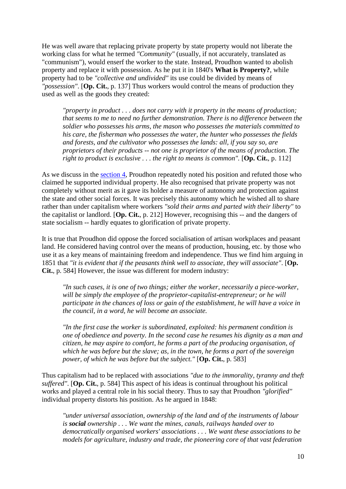He was well aware that replacing private property by state property would not liberate the working class for what he termed *"Community"* (usually, if not accurately, translated as "communism"), would enserf the worker to the state. Instead, Proudhon wanted to abolish property and replace it with possession. As he put it in 1840's **What is Property?**, while property had to be *"collective and undivided"* its use could be divided by means of *"possession"*. [**Op. Cit.**, p. 137] Thus workers would control the means of production they used as well as the goods they created:

*"property in product . . . does not carry with it property in the means of production; that seems to me to need no further demonstration. There is no difference between the soldier who possesses his arms, the mason who possesses the materials committed to his care, the fisherman who possesses the water, the hunter who possesses the fields and forests, and the cultivator who possesses the lands: all, if you say so, are proprietors of their products -- not one is proprietor of the means of production. The right to product is exclusive . . . the right to means is common".* [**Op. Cit.**, p. 112]

As we discuss in the [section 4,](append31.html#app4) Proudhon repeatedly noted his position and refuted those who claimed he supported individual property. He also recognised that private property was not completely without merit as it gave its holder a measure of autonomy and protection against the state and other social forces. It was precisely this autonomy which he wished all to share rather than under capitalism where workers *"sold their arms and parted with their liberty"* to the capitalist or landlord. [**Op. Cit.**, p. 212] However, recognising this -- and the dangers of state socialism -- hardly equates to glorification of private property.

It is true that Proudhon did oppose the forced socialisation of artisan workplaces and peasant land. He considered having control over the means of production, housing, etc. by those who use it as a key means of maintaining freedom and independence. Thus we find him arguing in 1851 that *"it is evident that if the peasants think well to associate, they will associate"*. [**Op. Cit.**, p. 584] However, the issue was different for modern industry:

*"In such cases, it is one of two things; either the worker, necessarily a piece-worker, will be simply the employee of the proprietor-capitalist-entrepreneur; or he will participate in the chances of loss or gain of the establishment, he will have a voice in the council, in a word, he will become an associate.*

*"In the first case the worker is subordinated, exploited: his permanent condition is one of obedience and poverty. In the second case he resumes his dignity as a man and citizen, he may aspire to comfort, he forms a part of the producing organisation, of which he was before but the slave; as, in the town, he forms a part of the sovereign power, of which he was before but the subject."* [**Op. Cit.**, p. 583]

Thus capitalism had to be replaced with associations *"due to the immorality, tyranny and theft suffered"*. [**Op. Cit.**, p. 584] This aspect of his ideas is continual throughout his political works and played a central role in his social theory. Thus to say that Proudhon *"glorified"* individual property distorts his position. As he argued in 1848:

*"under universal association, ownership of the land and of the instruments of labour is social ownership . . . We want the mines, canals, railways handed over to democratically organised workers' associations . . . We want these associations to be models for agriculture, industry and trade, the pioneering core of that vast federation*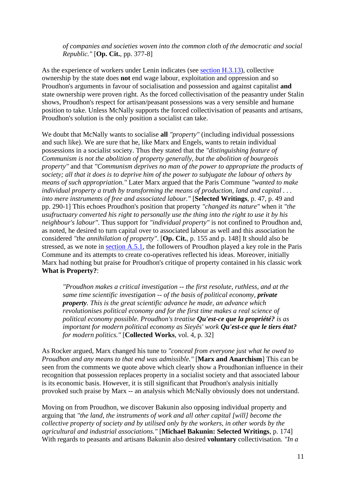*of companies and societies woven into the common cloth of the democratic and social Republic."* [**Op. Cit.**, pp. 377-8]

As the experience of workers under Lenin indicates (see [section H.3.13\)](sectionH.html#sech13), collective ownership by the state does **not** end wage labour, exploitation and oppression and so Proudhon's arguments in favour of socialisation and possession and against capitalist **and** state ownership were proven right. As the forced collectivisation of the peasantry under Stalin shows, Proudhon's respect for artisan/peasant possessions was a very sensible and humane position to take. Unless McNally supports the forced collectivisation of peasants and artisans, Proudhon's solution is the only position a socialist can take.

We doubt that McNally wants to socialise **all** *"property"* (including individual possessions and such like). We are sure that he, like Marx and Engels, wants to retain individual possessions in a socialist society. Thus they stated that the *"distinguishing feature of Communism is not the abolition of property generally, but the abolition of bourgeois property"* and that *"Communism deprives no man of the power to appropriate the products of society; all that it does is to deprive him of the power to subjugate the labour of others by means of such appropriation."* Later Marx argued that the Paris Commune *"wanted to make individual property a truth by transforming the means of production, land and capital . . . into mere instruments of free and associated labour."* [**Selected Writings**, p. 47, p. 49 and pp. 290-1] This echoes Proudhon's position that property *"changed its nature"* when it *"the usufructuary converted his right to personally use the thing into the right to use it by his neighbour's labour"*. Thus support for *"individual property"* is not confined to Proudhon and, as noted, he desired to turn capital over to associated labour as well and this association he considered *"the annihilation of property"*. [**Op. Cit.**, p. 155 and p. 148] It should also be stressed, as we note in [section A.5.1,](sectionA.html#seca51) the followers of Proudhon played a key role in the Paris Commune and its attempts to create co-operatives reflected his ideas. Moreover, initially Marx had nothing but praise for Proudhon's critique of property contained in his classic work **What is Property?**:

*"Proudhon makes a critical investigation -- the first resolute, ruthless, and at the same time scientific investigation -- of the basis of political economy, private property. This is the great scientific advance he made, an advance which revolutionises political economy and for the first time makes a real science of political economy possible. Proudhon's treatise Qu'est-ce que la propriété? is as important for modern political economy as Sieyês' work Qu'est-ce que le tiers état? for modern politics."* [**Collected Works**, vol. 4, p. 32]

As Rocker argued, Marx changed his tune to *"conceal from everyone just what he owed to Proudhon and any means to that end was admissible."* [**Marx and Anarchism**] This can be seen from the comments we quote above which clearly show a Proudhonian influence in their recognition that possession replaces property in a socialist society and that associated labour is its economic basis. However, it is still significant that Proudhon's analysis initially provoked such praise by Marx -- an analysis which McNally obviously does not understand.

Moving on from Proudhon, we discover Bakunin also opposing individual property and arguing that *"the land, the instruments of work and all other capital [will] become the collective property of society and by utilised only by the workers, in other words by the agricultural and industrial associations."* [**Michael Bakunin: Selected Writings**, p. 174] With regards to peasants and artisans Bakunin also desired **voluntary** collectivisation. *"In a*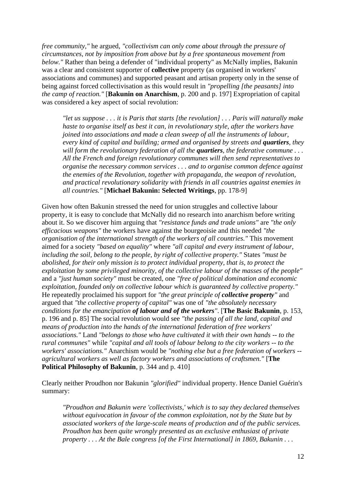*free community,"* he argued, *"collectivism can only come about through the pressure of circumstances, not by imposition from above but by a free spontaneous movement from below."* Rather than being a defender of "individual property" as McNally implies, Bakunin was a clear and consistent supporter of **collective** property (as organised in workers' associations and communes) and supported peasant and artisan property only in the sense of being against forced collectivisation as this would result in *"propelling [the peasants] into the camp of reaction."* [**Bakunin on Anarchism**, p. 200 and p. 197] Expropriation of capital was considered a key aspect of social revolution:

*"let us suppose . . . it is Paris that starts [the revolution] . . . Paris will naturally make haste to organise itself as best it can, in revolutionary style, after the workers have joined into associations and made a clean sweep of all the instruments of labour, every kind of capital and building; armed and organised by streets and quartiers, they will form the revolutionary federation of all the quartiers, the federative commune . . . All the French and foreign revolutionary communes will then send representatives to organise the necessary common services . . . and to organise common defence against the enemies of the Revolution, together with propaganda, the weapon of revolution, and practical revolutionary solidarity with friends in all countries against enemies in all countries."* [**Michael Bakunin: Selected Writings**, pp. 178-9]

Given how often Bakunin stressed the need for union struggles and collective labour property, it is easy to conclude that McNally did no research into anarchism before writing about it. So we discover him arguing that *"resistance funds and trade unions"* are *"the only efficacious weapons"* the workers have against the bourgeoisie and this needed *"the organisation of the international strength of the workers of all countries."* This movement aimed for a society *"based on equality"* where *"all capital and every instrument of labour, including the soil, belong to the people, by right of collective property."* States *"must be abolished, for their only mission is to protect individual property, that is, to protect the exploitation by some privileged minority, of the collective labour of the masses of the people"* and a *"just human society"* must be created, one *"free of political domination and economic exploitation, founded only on collective labour which is guaranteed by collective property."* He repeatedly proclaimed his support for *"the great principle of collective property"* and argued that *"the collective property of capital"* was one of *"the absolutely necessary conditions for the emancipation of labour and of the workers"*. [**The Basic Bakunin**, p. 153, p. 196 and p. 85] The social revolution would see *"the passing of all the land, capital and means of production into the hands of the international federation of free workers' associations."* Land *"belongs to those who have cultivated it with their own hands -- to the rural communes"* while *"capital and all tools of labour belong to the city workers -- to the workers' associations."* Anarchism would be *"nothing else but a free federation of workers - agricultural workers as well as factory workers and associations of craftsmen."* [**The Political Philosophy of Bakunin**, p. 344 and p. 410]

Clearly neither Proudhon nor Bakunin *"glorified"* individual property. Hence Daniel Guérin's summary:

*"Proudhon and Bakunin were 'collectivists,' which is to say they declared themselves without equivocation in favour of the common exploitation, not by the State but by associated workers of the large-scale means of production and of the public services. Proudhon has been quite wrongly presented as an exclusive enthusiast of private property . . . At the Bale congress [of the First International] in 1869, Bakunin . . .*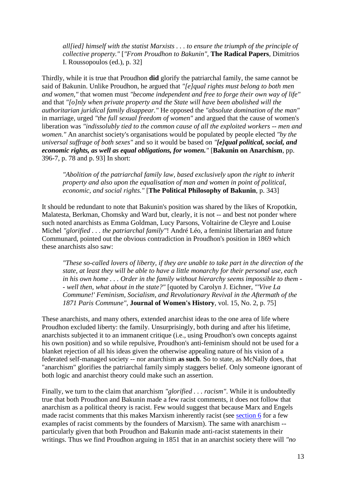*all[ied] himself with the statist Marxists . . . to ensure the triumph of the principle of collective property."* [*"From Proudhon to Bakunin"*, **The Radical Papers**, Dimitrios I. Roussopoulos (ed.), p. 32]

Thirdly, while it is true that Proudhon **did** glorify the patriarchal family, the same cannot be said of Bakunin. Unlike Proudhon, he argued that *"[e]qual rights must belong to both men and women,"* that women must *"become independent and free to forge their own way of life"* and that *"[o]nly when private property and the State will have been abolished will the authoritarian juridical family disappear."* He opposed the *"absolute domination of the man"* in marriage, urged *"the full sexual freedom of women"* and argued that the cause of women's liberation was *"indissolubly tied to the common cause of all the exploited workers -- men and women."* An anarchist society's organisations would be populated by people elected *"by the universal suffrage of both sexes"* and so it would be based on *"[e]qual political, social, and economic rights, as well as equal obligations, for women."* [**Bakunin on Anarchism**, pp. 396-7, p. 78 and p. 93] In short:

*"Abolition of the patriarchal family law, based exclusively upon the right to inherit property and also upon the equalisation of man and women in point of political, economic, and social rights."* [**The Political Philosophy of Bakunin**, p. 343]

It should be redundant to note that Bakunin's position was shared by the likes of Kropotkin, Malatesta, Berkman, Chomsky and Ward but, clearly, it is not -- and best not ponder where such noted anarchists as Emma Goldman, Lucy Parsons, Voltairine de Cleyre and Louise Michel *"glorified . . . the patriarchal family"*! André Léo, a feminist libertarian and future Communard, pointed out the obvious contradiction in Proudhon's position in 1869 which these anarchists also saw:

*"These so-called lovers of liberty, if they are unable to take part in the direction of the state, at least they will be able to have a little monarchy for their personal use, each in his own home . . . Order in the family without hierarchy seems impossible to them - - well then, what about in the state?"* [quoted by Carolyn J. Eichner, *"'Vive La Commune!' Feminism, Socialism, and Revolutionary Revival in the Aftermath of the 1871 Paris Commune"*, **Journal of Women's History**, vol. 15, No. 2, p. 75]

These anarchists, and many others, extended anarchist ideas to the one area of life where Proudhon excluded liberty: the family. Unsurprisingly, both during and after his lifetime, anarchists subjected it to an immanent critique (i.e., using Proudhon's own concepts against his own position) and so while repulsive, Proudhon's anti-feminism should not be used for a blanket rejection of all his ideas given the otherwise appealing nature of his vision of a federated self-managed society -- nor anarchism **as such**. So to state, as McNally does, that "anarchism" glorifies the patriarchal family simply staggers belief. Only someone ignorant of both logic and anarchist theory could make such an assertion.

Finally, we turn to the claim that anarchism *"glorified . . . racism"*. While it is undoubtedly true that both Proudhon and Bakunin made a few racist comments, it does not follow that anarchism as a political theory is racist. Few would suggest that because Marx and Engels made racist comments that this makes Marxism inherently racist (see [section 6](append31.html#app6) for a few examples of racist comments by the founders of Marxism). The same with anarchism - particularly given that both Proudhon and Bakunin made anti-racist statements in their writings. Thus we find Proudhon arguing in 1851 that in an anarchist society there will *"no*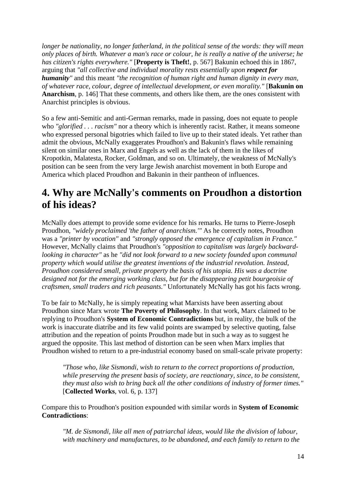*longer be nationality, no longer fatherland, in the political sense of the words: they will mean only places of birth. Whatever a man's race or colour, he is really a native of the universe; he has citizen's rights everywhere."* [**Property is Theft!**, p. 567] Bakunin echoed this in 1867, arguing that *"all collective and individual morality rests essentially upon respect for humanity"* and this meant *"the recognition of human right and human dignity in every man, of whatever race, colour, degree of intellectual development, or even morality."* [**Bakunin on Anarchism**, p. 146] That these comments, and others like them, are the ones consistent with Anarchist principles is obvious.

So a few anti-Semitic and anti-German remarks, made in passing, does not equate to people who *"glorified . . . racism"* nor a theory which is inherently racist. Rather, it means someone who expressed personal bigotries which failed to live up to their stated ideals. Yet rather than admit the obvious, McNally exaggerates Proudhon's and Bakunin's flaws while remaining silent on similar ones in Marx and Engels as well as the lack of them in the likes of Kropotkin, Malatesta, Rocker, Goldman, and so on. Ultimately, the weakness of McNally's position can be seen from the very large Jewish anarchist movement in both Europe and America which placed Proudhon and Bakunin in their pantheon of influences.

#### <span id="page-13-0"></span>**4. Why are McNally's comments on Proudhon a distortion of his ideas?**

McNally does attempt to provide some evidence for his remarks. He turns to Pierre-Joseph Proudhon, *"widely proclaimed 'the father of anarchism.'"* As he correctly notes, Proudhon was a *"printer by vocation"* and *"strongly opposed the emergence of capitalism in France."* However, McNally claims that Proudhon's *"opposition to capitalism was largely backwardlooking in character"* as he *"did not look forward to a new society founded upon communal property which would utilise the greatest inventions of the industrial revolution. Instead, Proudhon considered small, private property the basis of his utopia. His was a doctrine designed not for the emerging working class, but for the disappearing petit bourgeoisie of craftsmen, small traders and rich peasants."* Unfortunately McNally has got his facts wrong.

To be fair to McNally, he is simply repeating what Marxists have been asserting about Proudhon since Marx wrote **The Poverty of Philosophy**. In that work, Marx claimed to be replying to Proudhon's **System of Economic Contradictions** but, in reality, the bulk of the work is inaccurate diatribe and its few valid points are swamped by selective quoting, false attribution and the repeation of points Proudhon made but in such a way as to suggest he argued the opposite. This last method of distortion can be seen when Marx implies that Proudhon wished to return to a pre-industrial economy based on small-scale private property:

*"Those who, like Sismondi, wish to return to the correct proportions of production, while preserving the present basis of society, are reactionary, since, to be consistent, they must also wish to bring back all the other conditions of industry of former times."* [**Collected Works**, vol. 6, p. 137]

Compare this to Proudhon's position expounded with similar words in **System of Economic Contradictions**:

*"M. de Sismondi, like all men of patriarchal ideas, would like the division of labour, with machinery and manufactures, to be abandoned, and each family to return to the*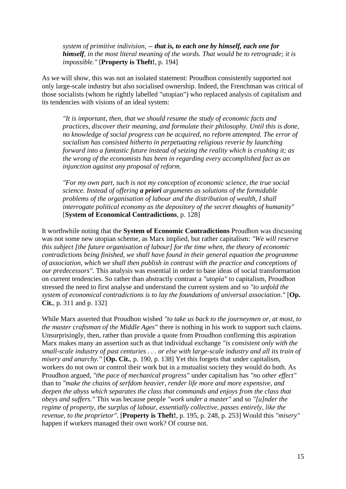*system of primitive indivision, -- that is, to each one by himself, each one for himself, in the most literal meaning of the words. That would be to retrograde; it is impossible."* [**Property is Theft!**, p. 194]

As we will show, this was not an isolated statement: Proudhon consistently supported not only large-scale industry but also socialised ownership. Indeed, the Frenchman was critical of those socialists (whom he rightly labelled "utopian") who replaced analysis of capitalism and its tendencies with visions of an ideal system:

*"It is important, then, that we should resume the study of economic facts and practices, discover their meaning, and formulate their philosophy. Until this is done, no knowledge of social progress can be acquired, no reform attempted. The error of socialism has consisted hitherto in perpetuating religious reverie by launching forward into a fantastic future instead of seizing the reality which is crushing it; as the wrong of the economists has been in regarding every accomplished fact as an injunction against any proposal of reform.*

*"For my own part, such is not my conception of economic science, the true social science. Instead of offering a priori arguments as solutions of the formidable problems of the organisation of labour and the distribution of wealth, I shall interrogate political economy as the depository of the secret thoughts of humanity"* [**System of Economical Contradictions**, p. 128]

It worthwhile noting that the **System of Economic Contradictions** Proudhon was discussing was not some new utopian scheme, as Marx implied, but rather capitalism: *"We will reserve this subject [the future organisation of labour] for the time when, the theory of economic contradictions being finished, we shall have found in their general equation the programme of association, which we shall then publish in contrast with the practice and conceptions of our predecessors"*. This analysis was essential in order to base ideas of social transformation on current tendencies. So rather than abstractly contrast a *"utopia"* to capitalism, Proudhon stressed the need to first analyse and understand the current system and so *"to unfold the system of economical contradictions is to lay the foundations of universal association."* [**Op. Cit.**, p. 311 and p. 132]

While Marx asserted that Proudhon wished *"to take us back to the journeymen or, at most, to the master craftsman of the Middle Ages"* there is nothing in his work to support such claims. Unsurprisingly, then, rather than provide a quote from Proudhon confirming this aspiration Marx makes many an assertion such as that individual exchange *"is consistent only with the small-scale industry of past centuries . . . or else with large-scale industry and all its train of misery and anarchy."* [**Op. Cit.**, p. 190, p. 138] Yet this forgets that under capitalism, workers do not own or control their work but in a mutualist society they would do both. As Proudhon argued, *"the pace of mechanical progress"* under capitalism has *"no other effect"* than to *"make the chains of serfdom heavier, render life more and more expensive, and deepen the abyss which separates the class that commands and enjoys from the class that obeys and suffers."* This was because people *"work under a master"* and so *"[u]nder the regime of property, the surplus of labour, essentially collective, passes entirely, like the revenue, to the proprietor"*. [**Property is Theft!**, p. 195, p. 248, p. 253] Would this *"misery"* happen if workers managed their own work? Of course not.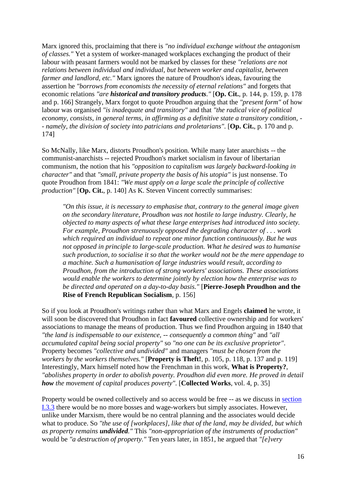Marx ignored this, proclaiming that there is *"no individual exchange without the antagonism of classes."* Yet a system of worker-managed workplaces exchanging the product of their labour with peasant farmers would not be marked by classes for these *"relations are not relations between individual and individual, but between worker and capitalist, between farmer and landlord, etc."* Marx ignores the nature of Proudhon's ideas, favouring the assertion he *"borrows from economists the necessity of eternal relations"* and forgets that economic relations *"are historical and transitory products."* [**Op. Cit.**, p. 144, p. 159, p. 178 and p. 166] Strangely, Marx forgot to quote Proudhon arguing that the *"present form"* of how labour was organised *"is inadequate and transitory"* and that *"the radical vice of political economy, consists, in general terms, in affirming as a definitive state a transitory condition, - - namely, the division of society into patricians and proletarians"*. [**Op. Cit.**, p. 170 and p. 174]

So McNally, like Marx, distorts Proudhon's position. While many later anarchists -- the communist-anarchists -- rejected Proudhon's market socialism in favour of libertarian communism, the notion that his *"opposition to capitalism was largely backward-looking in character"* and that *"small, private property the basis of his utopia"* is just nonsense. To quote Proudhon from 1841: *"We must apply on a large scale the principle of collective production"* [**Op. Cit.**, p. 140] As K. Steven Vincent correctly summarises:

*"On this issue, it is necessary to emphasise that, contrary to the general image given on the secondary literature, Proudhon was not hostile to large industry. Clearly, he objected to many aspects of what these large enterprises had introduced into society. For example, Proudhon strenuously opposed the degrading character of . . . work which required an individual to repeat one minor function continuously. But he was not opposed in principle to large-scale production. What he desired was to humanise such production, to socialise it so that the worker would not be the mere appendage to a machine. Such a humanisation of large industries would result, according to Proudhon, from the introduction of strong workers' associations. These associations would enable the workers to determine jointly by election how the enterprise was to be directed and operated on a day-to-day basis."* [**Pierre-Joseph Proudhon and the Rise of French Republican Socialism**, p. 156]

So if you look at Proudhon's writings rather than what Marx and Engels **claimed** he wrote, it will soon be discovered that Proudhon in fact **favoured** collective ownership and for workers' associations to manage the means of production. Thus we find Proudhon arguing in 1840 that *"the land is indispensable to our existence, -- consequently a common thing"* and *"all accumulated capital being social property"* so *"no one can be its exclusive proprietor"*. Property becomes *"collective and undivided"* and managers *"must be chosen from the workers by the workers themselves."* [**Property is Theft!**, p. 105, p. 118, p. 137 and p. 119] Interestingly, Marx himself noted how the Frenchman in this work, **What is Property?**, *"abolishes property in order to abolish poverty. Proudhon did even more. He proved in detail how the movement of capital produces poverty"*. [**Collected Works**, vol. 4, p. 35]

Property would be owned collectively and so access would be free -- as we discuss in [section](sectionI.html#seci33)  [I.3.3](sectionI.html#seci33) there would be no more bosses and wage-workers but simply associates. However, unlike under Marxism, there would be no central planning and the associates would decide what to produce. So *"the use of [workplaces], like that of the land, may be divided, but which as property remains undivided."* This *"non-appropriation of the instruments of production"* would be *"a destruction of property."* Ten years later, in 1851, he argued that *"[e]very*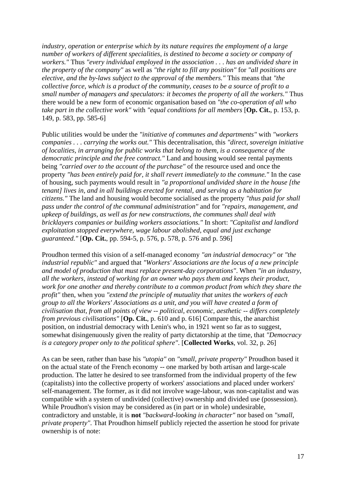*industry, operation or enterprise which by its nature requires the employment of a large number of workers of different specialities, is destined to become a society or company of workers."* Thus *"every individual employed in the association . . . has an undivided share in the property of the company"* as well as *"the right to fill any position"* for *"all positions are elective, and the by-laws subject to the approval of the members."* This means that *"the collective force, which is a product of the community, ceases to be a source of profit to a small number of managers and speculators: it becomes the property of all the workers."* Thus there would be a new form of economic organisation based on *"the co-operation of all who take part in the collective work"* with *"equal conditions for all members* [**Op. Cit.**, p. 153, p. 149, p. 583, pp. 585-6]

Public utilities would be under the *"initiative of communes and departments"* with *"workers companies . . . carrying the works out."* This decentralisation, this *"direct, sovereign initiative of localities, in arranging for public works that belong to them, is a consequence of the democratic principle and the free contract."* Land and housing would see rental payments being *"carried over to the account of the purchase"* of the resource used and once the property *"has been entirely paid for, it shall revert immediately to the commune."* In the case of housing, such payments would result in *"a proportional undivided share in the house [the tenant] lives in, and in all buildings erected for rental, and serving as a habitation for citizens."* The land and housing would become socialised as the property *"thus paid for shall pass under the control of the communal administration"* and for *"repairs, management, and upkeep of buildings, as well as for new constructions, the communes shall deal with bricklayers companies or building workers associations."* In short: *"Capitalist and landlord exploitation stopped everywhere, wage labour abolished, equal and just exchange guaranteed."* [**Op. Cit.**, pp. 594-5, p. 576, p. 578, p. 576 and p. 596]

Proudhon termed this vision of a self-managed economy *"an industrial democracy"* or *"the industrial republic"* and argued that *"Workers' Associations are the locus of a new principle and model of production that must replace present-day corporations"*. When *"in an industry, all the workers, instead of working for an owner who pays them and keeps their product, work for one another and thereby contribute to a common product from which they share the profit"* then, when you *"extend the principle of mutuality that unites the workers of each group to all the Workers' Associations as a unit, and you will have created a form of civilisation that, from all points of view -- political, economic, aesthetic -- differs completely from previous civilisations"* [**Op. Cit.**, p. 610 and p. 616] Compare this, the anarchist position, on industrial democracy with Lenin's who, in 1921 went so far as to suggest, somewhat disingenuously given the reality of party dictatorship at the time, that *"Democracy is a category proper only to the political sphere"*. [**Collected Works**, vol. 32, p. 26]

As can be seen, rather than base his *"utopia"* on *"small, private property"* Proudhon based it on the actual state of the French economy -- one marked by both artisan and large-scale production. The latter he desired to see transformed from the individual property of the few (capitalists) into the collective property of workers' associations and placed under workers' self-management. The former, as it did not involve wage-labour, was non-capitalist and was compatible with a system of undivided (collective) ownership and divided use (possession). While Proudhon's vision may be considered as (in part or in whole) undesirable, contradictory and unstable, it is **not** *"backward-looking in character"* nor based on *"small, private property"*. That Proudhon himself publicly rejected the assertion he stood for private ownership is of note: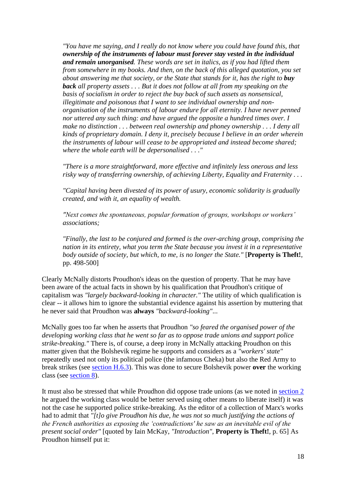*"You have me saying, and I really do not know where you could have found this, that ownership of the instruments of labour must forever stay vested in the individual and remain unorganised. These words are set in italics, as if you had lifted them from somewhere in my books. And then, on the back of this alleged quotation, you set about answering me that society, or the State that stands for it, has the right to buy back all property assets . . . But it does not follow at all from my speaking on the basis of socialism in order to reject the buy back of such assets as nonsensical, illegitimate and poisonous that I want to see individual ownership and nonorganisation of the instruments of labour endure for all eternity. I have never penned nor uttered any such thing: and have argued the opposite a hundred times over. I make no distinction . . . between real ownership and phoney ownership . . . I deny all kinds of proprietary domain. I deny it, precisely because I believe in an order wherein the instruments of labour will cease to be appropriated and instead become shared; where the whole earth will be depersonalised . . ."*

*"There is a more straightforward, more effective and infinitely less onerous and less risky way of transferring ownership, of achieving Liberty, Equality and Fraternity . . .*

*"Capital having been divested of its power of usury, economic solidarity is gradually created, and with it, an equality of wealth.*

*"Next comes the spontaneous, popular formation of groups, workshops or workers' associations;*

*"Finally, the last to be conjured and formed is the over-arching group, comprising the nation in its entirety, what you term the State because you invest it in a representative body outside of society, but which, to me, is no longer the State."* [**Property is Theft!**, pp. 498-500]

Clearly McNally distorts Proudhon's ideas on the question of property. That he may have been aware of the actual facts in shown by his qualification that Proudhon's critique of capitalism was *"largely backward-looking in character."* The utility of which qualification is clear -- it allows him to ignore the substantial evidence against his assertion by muttering that he never said that Proudhon was **always** *"backward-looking"*...

McNally goes too far when he asserts that Proudhon *"so feared the organised power of the developing working class that he went so far as to oppose trade unions and support police strike-breaking."* There is, of course, a deep irony in McNally attacking Proudhon on this matter given that the Bolshevik regime he supports and considers as a *"workers' state"* repeatedly used not only its political police (the infamous Cheka) but also the Red Army to break strikes (see [section H.6.3\)](sectionH.html#sech63). This was done to secure Bolshevik power **over** the working class (see [section 8\)](append31.html#app8).

It must also be stressed that while Proudhon did oppose trade unions (as we noted in [section 2](append31.html#app2) he argued the working class would be better served using other means to liberate itself) it was not the case he supported police strike-breaking. As the editor of a collection of Marx's works had to admit that *"[t]o give Proudhon his due, he was not so much justifying the actions of the French authorities as exposing the 'contradictions' he saw as an inevitable evil of the present social order"* [quoted by Iain McKay, *"Introduction"*, **Property is Theft!**, p. 65] As Proudhon himself put it: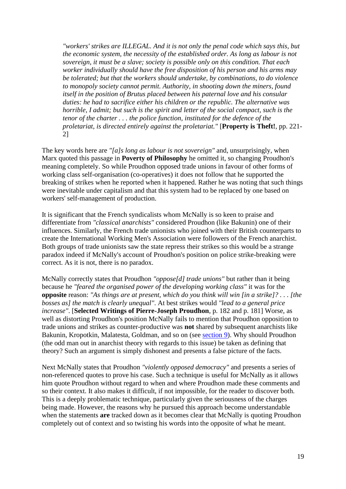*"workers' strikes are ILLEGAL. And it is not only the penal code which says this, but the economic system, the necessity of the established order. As long as labour is not sovereign, it must be a slave; society is possible only on this condition. That each worker individually should have the free disposition of his person and his arms may be tolerated; but that the workers should undertake, by combinations, to do violence to monopoly society cannot permit. Authority, in shooting down the miners, found itself in the position of Brutus placed between his paternal love and his consular duties: he had to sacrifice either his children or the republic. The alternative was horrible, I admit; but such is the spirit and letter of the social compact, such is the tenor of the charter . . . the police function, instituted for the defence of the proletariat, is directed entirely against the proletariat."* [**Property is Theft!**, pp. 221- 2]

The key words here are *"[a]s long as labour is not sovereign"* and, unsurprisingly, when Marx quoted this passage in **Poverty of Philosophy** he omitted it, so changing Proudhon's meaning completely. So while Proudhon opposed trade unions in favour of other forms of working class self-organisation (co-operatives) it does not follow that he supported the breaking of strikes when he reported when it happened. Rather he was noting that such things were inevitable under capitalism and that this system had to be replaced by one based on workers' self-management of production.

It is significant that the French syndicalists whom McNally is so keen to praise and differentiate from *"classical anarchists"* considered Proudhon (like Bakunin) one of their influences. Similarly, the French trade unionists who joined with their British counterparts to create the International Working Men's Association were followers of the French anarchist. Both groups of trade unionists saw the state repress their strikes so this would be a strange paradox indeed if McNally's account of Proudhon's position on police strike-breaking were correct. As it is not, there is no paradox.

McNally correctly states that Proudhon *"oppose[d] trade unions"* but rather than it being because he *"feared the organised power of the developing working class"* it was for the **opposite** reason: *"As things are at present, which do you think will win [in a strike]? . . . [the bosses as] the match is clearly unequal"*. At best strikes would *"lead to a general price increase"*. [**Selected Writings of Pierre-Joseph Proudhon**, p. 182 and p. 181] Worse, as well as distorting Proudhon's position McNally fails to mention that Proudhon opposition to trade unions and strikes as counter-productive was **not** shared by subsequent anarchists like Bakunin, Kropotkin, Malatesta, Goldman, and so on (see [section 9\)](append31.html#app9). Why should Proudhon (the odd man out in anarchist theory with regards to this issue) be taken as defining that theory? Such an argument is simply dishonest and presents a false picture of the facts.

Next McNally states that Proudhon *"violently opposed democracy"* and presents a series of non-referenced quotes to prove his case. Such a technique is useful for McNally as it allows him quote Proudhon without regard to when and where Proudhon made these comments and so their context. It also makes it difficult, if not impossible, for the reader to discover both. This is a deeply problematic technique, particularly given the seriousness of the charges being made. However, the reasons why he pursued this approach become understandable when the statements **are** tracked down as it becomes clear that McNally is quoting Proudhon completely out of context and so twisting his words into the opposite of what he meant.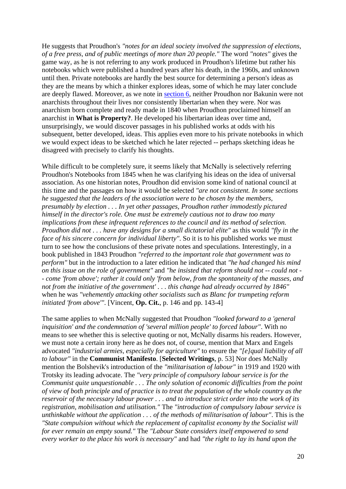He suggests that Proudhon's *"notes for an ideal society involved the suppression of elections, of a free press, and of public meetings of more than 20 people."* The word *"notes"* gives the game way, as he is not referring to any work produced in Proudhon's lifetime but rather his notebooks which were published a hundred years after his death, in the 1960s, and unknown until then. Private notebooks are hardly the best source for determining a person's ideas as they are the means by which a thinker explores ideas, some of which he may later conclude are deeply flawed. Moreover, as we note in [section 6,](append31.html#app6) neither Proudhon nor Bakunin were not anarchists throughout their lives nor consistently libertarian when they were. Nor was anarchism born complete and ready made in 1840 when Proudhon proclaimed himself an anarchist in **What is Property?**. He developed his libertarian ideas over time and, unsurprisingly, we would discover passages in his published works at odds with his subsequent, better developed, ideas. This applies even more to his private notebooks in which we would expect ideas to be sketched which he later rejected -- perhaps sketching ideas he disagreed with precisely to clarify his thoughts.

While difficult to be completely sure, it seems likely that McNally is selectively referring Proudhon's Notebooks from 1845 when he was clarifying his ideas on the idea of universal association. As one historian notes, Proudhon did envision some kind of national council at this time and the passages on how it would be selected *"are not consistent. In some sections he suggested that the leaders of the association were to be chosen by the members, presumably by election . . . In yet other passages, Proudhon rather immodestly pictured himself in the director's role. One must be extremely cautious not to draw too many implications from these infrequent references to the council and its method of selection. Proudhon did not . . . have any designs for a small dictatorial elite"* as this would *"fly in the face of his sincere concern for individual liberty"*. So it is to his published works we must turn to see how the conclusions of these private notes and speculations. Interestingly, in a book published in 1843 Proudhon *"referred to the important role that government was to perform"* but in the introduction to a later edition he indicated that *"he had changed his mind on this issue on the role of government"* and *"he insisted that reform should not -- could not - - come 'from above'; rather it could only 'from below, from the spontaneity of the masses, and not from the initiative of the government' . . . this change had already occurred by 1846"* when he was *"vehemently attacking other socialists such as Blanc for trumpeting reform initiated 'from above'"*. [Vincent, **Op. Cit.**, p. 146 and pp. 143-4]

The same applies to when McNally suggested that Proudhon *"looked forward to a 'general inquisition' and the condemnation of 'several million people' to forced labour"*. With no means to see whether this is selective quoting or not, McNally disarms his readers. However, we must note a certain irony here as he does not, of course, mention that Marx and Engels advocated *"industrial armies, especially for agriculture"* to ensure the *"[e]qual liability of all to labour"* in the **Communist Manifesto**. [**Selected Writings**, p. 53] Nor does McNally mention the Bolshevik's introduction of the *"militarisation of labour"* in 1919 and 1920 with Trotsky its leading advocate. The *"very principle of compulsory labour service is for the Communist quite unquestionable . . . The only solution of economic difficulties from the point of view of both principle and of practice is to treat the population of the whole country as the reservoir of the necessary labour power . . . and to introduce strict order into the work of its registration, mobilisation and utilisation."* The *"introduction of compulsory labour service is unthinkable without the application . . . of the methods of militarisation of labour"*. This is the *"State compulsion without which the replacement of capitalist economy by the Socialist will for ever remain an empty sound."* The *"Labour State considers itself empowered to send every worker to the place his work is necessary"* and had *"the right to lay its hand upon the*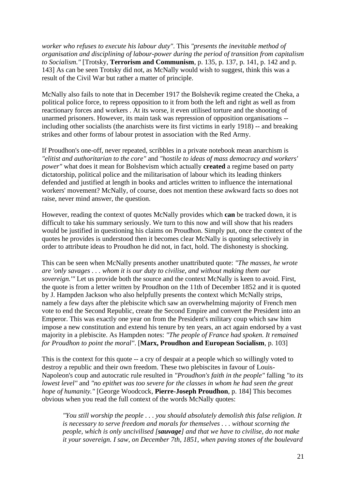*worker who refuses to execute his labour duty"*. This *"presents the inevitable method of organisation and disciplining of labour-power during the period of transition from capitalism to Socialism."* [Trotsky, **Terrorism and Communism**, p. 135, p. 137, p. 141, p. 142 and p. 143] As can be seen Trotsky did not, as McNally would wish to suggest, think this was a result of the Civil War but rather a matter of principle.

McNally also fails to note that in December 1917 the Bolshevik regime created the Cheka, a political police force, to repress opposition to it from both the left and right as well as from reactionary forces and workers . At its worse, it even utilised torture and the shooting of unarmed prisoners. However, its main task was repression of opposition organisations - including other socialists (the anarchists were its first victims in early 1918) -- and breaking strikes and other forms of labour protest in association with the Red Army.

If Proudhon's one-off, never repeated, scribbles in a private notebook mean anarchism is *"elitist and authoritarian to the core"* and *"hostile to ideas of mass democracy and workers' power"* what does it mean for Bolshevism which actually **created** a regime based on party dictatorship, political police and the militarisation of labour which its leading thinkers defended and justified at length in books and articles written to influence the international workers' movement? McNally, of course, does not mention these awkward facts so does not raise, never mind answer, the question.

However, reading the context of quotes McNally provides which **can** be tracked down, it is difficult to take his summary seriously. We turn to this now and will show that his readers would be justified in questioning his claims on Proudhon. Simply put, once the context of the quotes he provides is understood then it becomes clear McNally is quoting selectively in order to attribute ideas to Proudhon he did not, in fact, hold. The dishonesty is shocking.

This can be seen when McNally presents another unattributed quote: *"The masses, he wrote are 'only savages . . . whom it is our duty to civilise, and without making them our sovereign.'"* Let us provide both the source and the context McNally is keen to avoid. First, the quote is from a letter written by Proudhon on the 11th of December 1852 and it is quoted by J. Hampden Jackson who also helpfully presents the context which McNally strips, namely a few days after the plebiscite which saw an overwhelming majority of French men vote to end the Second Republic, create the Second Empire and convert the President into an Emperor. This was exactly one year on from the President's military coup which saw him impose a new constitution and extend his tenure by ten years, an act again endorsed by a vast majority in a plebiscite. As Hampden notes: *"The people of France had spoken. It remained for Proudhon to point the moral"*. [**Marx, Proudhon and European Socialism**, p. 103]

This is the context for this quote -- a cry of despair at a people which so willingly voted to destroy a republic and their own freedom. These two plebiscites in favour of Louis-Napoleon's coup and autocratic rule resulted in *"Proudhon's faith in the people"* falling *"to its lowest level"* and *"no epithet was too severe for the classes in whom he had seen the great hope of humanity."* [George Woodcock, **Pierre-Joseph Proudhon**, p. 184] This becomes obvious when you read the full context of the words McNally quotes:

*"You still worship the people . . . you should absolutely demolish this false religion. It is necessary to serve freedom and morals for themselves . . . without scorning the people, which is only uncivilised [sauvage] and that we have to civilise, do not make it your sovereign. I saw, on December 7th, 1851, when paving stones of the boulevard*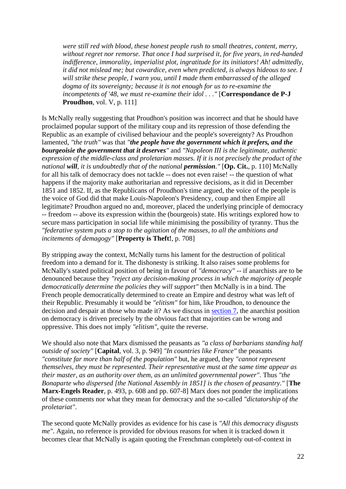*were still red with blood, these honest people rush to small theatres, content, merry, without regret nor remorse. That once I had surprised it, for five years, in red-handed indifference, immorality, imperialist plot, ingratitude for its initiators! Ah! admittedly, it did not mislead me; but cowardice, even when predicted, is always hideous to see. I will strike these people, I warn you, until I made them embarrassed of the alleged dogma of its sovereignty; because it is not enough for us to re-examine the incompetents of '48, we must re-examine their idol . . ."* [**Correspondance de P-J Proudhon**, vol. V, p. 111]

Is McNally really suggesting that Proudhon's position was incorrect and that he should have proclaimed popular support of the military coup and its repression of those defending the Republic as an example of civilised behaviour and the people's sovereignty? As Proudhon lamented, *"the truth"* was that *"the people have the government which it prefers, and the bourgeoisie the government that it deserves"* and *"Napoleon III is the legitimate, authentic expression of the middle-class and proletarian masses. If it is not precisely the product of the national will, it is undoubtedly that of the national permission."* [**Op. Cit.**, p. 110] McNally for all his talk of democracy does not tackle -- does not even raise! -- the question of what happens if the majority make authoritarian and repressive decisions, as it did in December 1851 and 1852. If, as the Republicans of Proudhon's time argued, the voice of the people is the voice of God did that make Louis-Napoleon's Presidency, coup and then Empire all legitimate? Proudhon argued no and, moreover, placed the underlying principle of democracy -- freedom -- above its expression within the (bourgeois) state. His writings explored how to secure mass participation in social life while minimising the possibility of tyranny. Thus the *"federative system puts a stop to the agitation of the masses, to all the ambitions and incitements of demagogy"* [**Property is Theft!**, p. 708]

By stripping away the context, McNally turns his lament for the destruction of political freedom into a demand for it. The dishonesty is striking. It also raises some problems for McNally's stated political position of being in favour of *"democracy"* -- if anarchists are to be denounced because they *"reject any decision-making process in which the majority of people democratically determine the policies they will support"* then McNally is in a bind. The French people democratically determined to create an Empire and destroy what was left of their Republic. Presumably it would be *"elitism"* for him, like Proudhon, to denounce the decision and despair at those who made it? As we discuss in [section 7,](append31.html#app7) the anarchist position on democracy is driven precisely by the obvious fact that majorities can be wrong and oppressive. This does not imply *"elitism"*, quite the reverse.

We should also note that Marx dismissed the peasants as *"a class of barbarians standing half outside of society"* [**Capital**, vol. 3, p. 949] *"In countries like France"* the peasants *"constitute far more than half of the population"* but, he argued, they *"cannot represent themselves, they must be represented. Their representative must at the same time appear as their master, as an authority over them, as an unlimited governmental power"*. Thus *"the Bonaparte who dispersed [the National Assembly in 1851] is the chosen of peasantry."* [**The Marx-Engels Reader**, p. 493, p. 608 and pp. 607-8] Marx does not ponder the implications of these comments nor what they mean for democracy and the so-called *"dictatorship of the proletariat"*.

The second quote McNally provides as evidence for his case is *"All this democracy disgusts me"*. Again, no reference is provided for obvious reasons for when it is tracked down it becomes clear that McNally is again quoting the Frenchman completely out-of-context in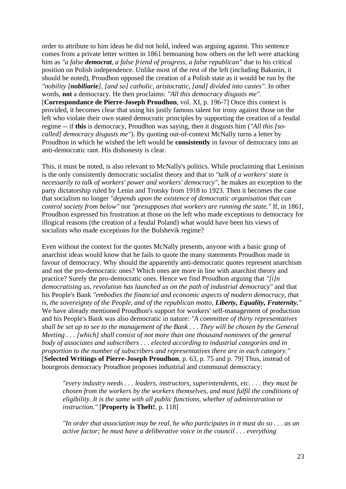order to attribute to him ideas he did not hold, indeed was arguing against. This sentence comes from a private letter written in 1861 bemoaning how others on the left were attacking him as *"a false democrat, a false friend of progress, a false republican"* due to his critical position on Polish independence. Unlike most of the rest of the left (including Bakunin, it should be noted), Proudhon opposed the creation of a Polish state as it would be run by the *"nobility [nobiliarie], [and so] catholic, aristocratic, [and] divided into castes"*. In other words, **not** a democracy. He then proclaims: *"All this democracy disgusts me"*. [**Correspondance de Pierre-Joseph Proudhon**, vol. XI, p. 196-7] Once this context is provided, it becomes clear that using his justly famous talent for irony against those on the left who violate their own stated democratic principles by supporting the creation of a feudal regime -- if **this** is democracy, Proudhon was saying, then it disgusts him (*"All this [socalled] democracy disgusts me"*). By quoting out-of-context McNally turns a letter by Proudhon in which he wished the left would be **consistently** in favour of democracy into an anti-democratic rant. His dishonesty is clear.

This, it must be noted, is also relevant to McNally's politics. While proclaiming that Leninism is the only consistently democratic socialist theory and that to *"talk of a workers' state is necessarily to talk of workers' power and workers' democracy"*, he makes an exception to the party dictatorship ruled by Lenin and Trotsky from 1918 to 1923. Then it becomes the case that socialism no longer *"depends upon the existence of democratic organisation that can control society from below"* nor *"presupposes that workers are running the state."* If, in 1861, Proudhon expressed his frustration at those on the left who made exceptions to democracy for illogical reasons (the creation of a feudal Poland) what would have been his views of socialists who made exceptions for the Bolshevik regime?

Even without the context for the quotes McNally presents, anyone with a basic grasp of anarchist ideas would know that he fails to quote the many statements Proudhon made in favour of democracy. Why should the apparently anti-democratic quotes represent anarchism and not the pro-democratic ones? Which ones are more in line with anarchist theory and practice? Surely the pro-democratic ones. Hence we find Proudhon arguing that *"[i]n democratising us, revolution has launched us on the path of industrial democracy"* and that his People's Bank *"embodies the financial and economic aspects of modern democracy, that is, the sovereignty of the People, and of the republican motto, Liberty, Equality, Fraternity."* We have already mentioned Proudhon's support for workers' self-management of production and his People's Bank was also democratic in nature: *"A committee of thirty representatives shall be set up to see to the management of the Bank . . . They will be chosen by the General Meeting . . . [which] shall consist of not more than one thousand nominees of the general body of associates and subscribers . . . elected according to industrial categories and in proportion to the number of subscribers and representatives there are in each category."* [**Selected Writings of Pierre-Joseph Proudhon**, p. 63, p. 75 and p. 79] Thus, instead of bourgeois democracy Proudhon proposes industrial and communal democracy:

*"every industry needs . . . leaders, instructors, superintendents, etc. . . . they must be chosen from the workers by the workers themselves, and must fulfil the conditions of eligibility. It is the same with all public functions, whether of administration or instruction."* [**Property is Theft!**, p. 118]

*"In order that association may be real, he who participates in it must do so . . . as an active factor; he must have a deliberative voice in the council . . . everything*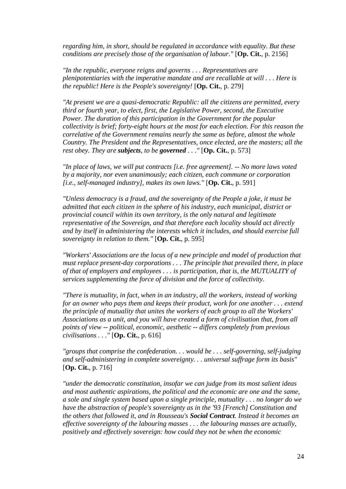*regarding him, in short, should be regulated in accordance with equality. But these conditions are precisely those of the organisation of labour."* [**Op. Cit.**, p. 2156]

*"In the republic, everyone reigns and governs . . . Representatives are plenipotentiaries with the imperative mandate and are recallable at will . . . Here is the republic! Here is the People's sovereignty!* [**Op. Cit.**, p. 279]

*"At present we are a quasi-democratic Republic: all the citizens are permitted, every third or fourth year, to elect, first, the Legislative Power, second, the Executive Power. The duration of this participation in the Government for the popular collectivity is brief; forty-eight hours at the most for each election. For this reason the correlative of the Government remains nearly the same as before, almost the whole Country. The President and the Representatives, once elected, are the masters; all the rest obey. They are subjects, to be governed . . ."* [**Op. Cit.**, p. 573]

*"In place of laws, we will put contracts [i.e. free agreement]. -- No more laws voted by a majority, nor even unanimously; each citizen, each commune or corporation [i.e., self-managed industry], makes its own laws."* [**Op. Cit.**, p. 591]

*"Unless democracy is a fraud, and the sovereignty of the People a joke, it must be admitted that each citizen in the sphere of his industry, each municipal, district or provincial council within its own territory, is the only natural and legitimate representative of the Sovereign, and that therefore each locality should act directly and by itself in administering the interests which it includes, and should exercise full sovereignty in relation to them."* [**Op. Cit.**, p. 595]

*"Workers' Associations are the locus of a new principle and model of production that must replace present-day corporations . . . The principle that prevailed there, in place of that of employers and employees . . . is participation, that is, the MUTUALITY of services supplementing the force of division and the force of collectivity.*

*"There is mutuality, in fact, when in an industry, all the workers, instead of working for an owner who pays them and keeps their product, work for one another . . . extend the principle of mutuality that unites the workers of each group to all the Workers' Associations as a unit, and you will have created a form of civilisation that, from all points of view -- political, economic, aesthetic -- differs completely from previous civilisations . . ."* [**Op. Cit.**, p. 616]

*"groups that comprise the confederation. . . would be . . . self-governing, self-judging and self-administering in complete sovereignty. . . universal suffrage form its basis"* [**Op. Cit.**, p. 716]

*"under the democratic constitution, insofar we can judge from its most salient ideas and most authentic aspirations, the political and the economic are one and the same, a sole and single system based upon a single principle, mutuality . . . no longer do we have the abstraction of people's sovereignty as in the '93 [French] Constitution and the others that followed it, and in Rousseau's Social Contract. Instead it becomes an effective sovereignty of the labouring masses . . . the labouring masses are actually, positively and effectively sovereign: how could they not be when the economic*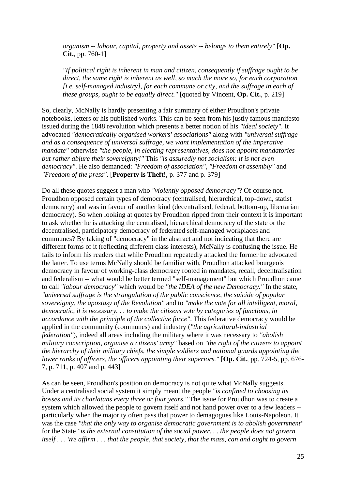*organism -- labour, capital, property and assets -- belongs to them entirely"* [**Op. Cit.**, pp. 760-1]

*"If political right is inherent in man and citizen, consequently if suffrage ought to be direct, the same right is inherent as well, so much the more so, for each corporation [i.e. self-managed industry], for each commune or city, and the suffrage in each of these groups, ought to be equally direct."* [quoted by Vincent, **Op. Cit.**, p. 219]

So, clearly, McNally is hardly presenting a fair summary of either Proudhon's private notebooks, letters or his published works. This can be seen from his justly famous manifesto issued during the 1848 revolution which presents a better notion of his *"ideal society"*. It advocated *"democratically organised workers' associations"* along with *"universal suffrage and as a consequence of universal suffrage, we want implementation of the imperative mandate"* otherwise *"the people, in electing representatives, does not appoint mandatories but rather abjure their sovereignty!"* This *"is assuredly not socialism: it is not even democracy"*. He also demanded: *"Freedom of association"*, *"Freedom of assembly"* and *"Freedom of the press"*. [**Property is Theft!**, p. 377 and p. 379]

Do all these quotes suggest a man who *"violently opposed democracy"*? Of course not. Proudhon opposed certain types of democracy (centralised, hierarchical, top-down, statist democracy) and was in favour of another kind (decentralised, federal, bottom-up, libertarian democracy). So when looking at quotes by Proudhon ripped from their context it is important to ask whether he is attacking the centralised, hierarchical democracy of the state or the decentralised, participatory democracy of federated self-managed workplaces and communes? By taking of "democracy" in the abstract and not indicating that there are different forms of it (reflecting different class interests), McNally is confusing the issue. He fails to inform his readers that while Proudhon repeatedly attacked the former he advocated the latter. To use terms McNally should be familiar with, Proudhon attacked bourgeois democracy in favour of working-class democracy rooted in mandates, recall, decentralisation and federalism -- what would be better termed "self-management" but which Proudhon came to call *"labour democracy"* which would be *"the IDEA of the new Democracy."* In the state, *"universal suffrage is the strangulation of the public conscience, the suicide of popular sovereignty, the apostasy of the Revolution"* and to *"make the vote for all intelligent, moral, democratic, it is necessary. . . to make the citizens vote by categories of functions, in accordance with the principle of the collective force"*. This federative democracy would be applied in the community (communes) and industry (*"the agricultural-industrial federation"*), indeed all areas including the military where it was necessary to *"abolish military conscription, organise a citizens' army"* based on *"the right of the citizens to appoint the hierarchy of their military chiefs, the simple soldiers and national guards appointing the lower ranks of officers, the officers appointing their superiors."* [**Op. Cit.**, pp. 724-5, pp. 676- 7, p. 711, p. 407 and p. 443]

As can be seen, Proudhon's position on democracy is not quite what McNally suggests. Under a centralised social system it simply meant the people *"is confined to choosing its bosses and its charlatans every three or four years."* The issue for Proudhon was to create a system which allowed the people to govern itself and not hand power over to a few leaders - particularly when the majority often pass that power to demagogues like Louis-Napoleon. It was the case *"that the only way to organise democratic government is to abolish government"* for the State *"is the external constitution of the social power. . . the people does not govern itself . . . We affirm . . . that the people, that society, that the mass, can and ought to govern*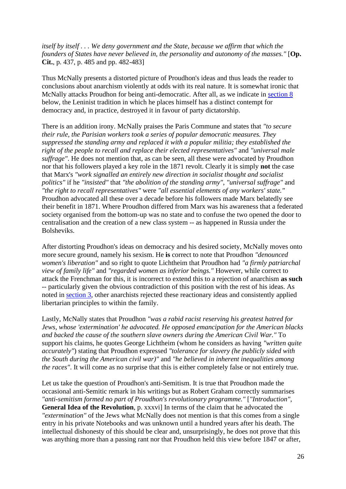*itself by itself . . . We deny government and the State, because we affirm that which the founders of States have never believed in, the personality and autonomy of the masses."* [**Op. Cit.**, p. 437, p. 485 and pp. 482-483]

Thus McNally presents a distorted picture of Proudhon's ideas and thus leads the reader to conclusions about anarchism violently at odds with its real nature. It is somewhat ironic that McNally attacks Proudhon for being anti-democratic. After all, as we indicate in [section 8](append31.html#app8) below, the Leninist tradition in which he places himself has a distinct contempt for democracy and, in practice, destroyed it in favour of party dictatorship.

There is an addition irony. McNally praises the Paris Commune and states that *"to secure their rule, the Parisian workers took a series of popular democratic measures. They suppressed the standing army and replaced it with a popular militia; they established the right of the people to recall and replace their elected representatives"* and *"universal male suffrage"*. He does not mention that, as can be seen, all these were advocated by Proudhon nor that his followers played a key role in the 1871 revolt. Clearly it is simply **not** the case that Marx's *"work signalled an entirely new direction in socialist thought and socialist politics"* if he *"insisted"* that *"the abolition of the standing army"*, *"universal suffrage"* and *"the right to recall representatives"* were *"all essential elements of any workers' state."* Proudhon advocated all these over a decade before his followers made Marx belatedly see their benefit in 1871. Where Proudhon differed from Marx was his awareness that a federated society organised from the bottom-up was no state and to confuse the two opened the door to centralisation and the creation of a new class system -- as happened in Russia under the Bolsheviks.

After distorting Proudhon's ideas on democracy and his desired society, McNally moves onto more secure ground, namely his sexism. He **is** correct to note that Proudhon *"denounced women's liberation"* and so right to quote Lichtheim that Proudhon had *"a firmly patriarchal view of family life"* and *"regarded women as inferior beings."* However, while correct to attack the Frenchman for this, it is incorrect to extend this to a rejection of anarchism **as such** -- particularly given the obvious contradiction of this position with the rest of his ideas. As noted in [section 3,](append31.html#app3) other anarchists rejected these reactionary ideas and consistently applied libertarian principles to within the family.

Lastly, McNally states that Proudhon *"was a rabid racist reserving his greatest hatred for Jews, whose 'extermination' he advocated. He opposed emancipation for the American blacks and backed the cause of the southern slave owners during the American Civil War."* To support his claims, he quotes George Lichtheim (whom he considers as having *"written quite accurately"*) stating that Proudhon expressed *"tolerance for slavery (he publicly sided with the South during the American civil war)"* and *"he believed in inherent inequalities among the races"*. It will come as no surprise that this is either completely false or not entirely true.

Let us take the question of Proudhon's anti-Semitism. It is true that Proudhon made the occasional anti-Semitic remark in his writings but as Robert Graham correctly summarises *"anti-semitism formed no part of Proudhon's revolutionary programme."* [*"Introduction"*, **General Idea of the Revolution**, p. xxxvi] In terms of the claim that he advocated the *"extermination"* of the Jews what McNally does not mention is that this comes from a single entry in his private Notebooks and was unknown until a hundred years after his death. The intellectual dishonesty of this should be clear and, unsurprisingly, he does not prove that this was anything more than a passing rant nor that Proudhon held this view before 1847 or after,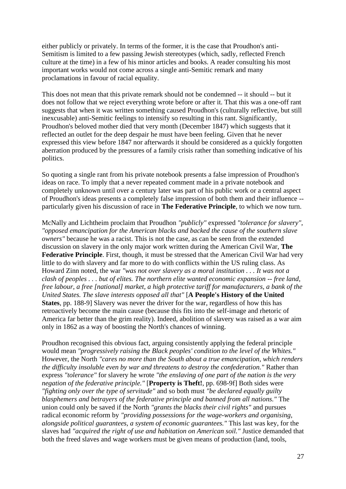either publicly or privately. In terms of the former, it is the case that Proudhon's anti-Semitism is limited to a few passing Jewish stereotypes (which, sadly, reflected French culture at the time) in a few of his minor articles and books. A reader consulting his most important works would not come across a single anti-Semitic remark and many proclamations in favour of racial equality.

This does not mean that this private remark should not be condemned -- it should -- but it does not follow that we reject everything wrote before or after it. That this was a one-off rant suggests that when it was written something caused Proudhon's (culturally reflective, but still inexcusable) anti-Semitic feelings to intensify so resulting in this rant. Significantly, Proudhon's beloved mother died that very month (December 1847) which suggests that it reflected an outlet for the deep despair he must have been feeling. Given that he never expressed this view before 1847 nor afterwards it should be considered as a quickly forgotten aberration produced by the pressures of a family crisis rather than something indicative of his politics.

So quoting a single rant from his private notebook presents a false impression of Proudhon's ideas on race. To imply that a never repeated comment made in a private notebook and completely unknown until over a century later was part of his public work or a central aspect of Proudhon's ideas presents a completely false impression of both them and their influence - particularly given his discussion of race in **The Federative Principle**, to which we now turn.

McNally and Lichtheim proclaim that Proudhon *"publicly"* expressed *"tolerance for slavery"*, *"opposed emancipation for the American blacks and backed the cause of the southern slave owners"* because he was a racist. This is not the case, as can be seen from the extended discussion on slavery in the only major work written during the American Civil War, **The Federative Principle**. First, though, it must be stressed that the American Civil War had very little to do with slavery and far more to do with conflicts within the US ruling class. As Howard Zinn noted, the war *"was not over slavery as a moral institution . . . It was not a clash of peoples . . . but of elites. The northern elite wanted economic expansion -- free land, free labour, a free [national] market, a high protective tariff for manufacturers, a bank of the United States. The slave interests opposed all that"* [**A People's History of the United States**, pp. 188-9] Slavery was never the driver for the war, regardless of how this has retroactively become the main cause (because this fits into the self-image and rhetoric of America far better than the grim reality). Indeed, abolition of slavery was raised as a war aim only in 1862 as a way of boosting the North's chances of winning.

Proudhon recognised this obvious fact, arguing consistently applying the federal principle would mean *"progressively raising the Black peoples' condition to the level of the Whites."* However, the North *"cares no more than the South about a true emancipation, which renders the difficulty insoluble even by war and threatens to destroy the confederation."* Rather than express *"tolerance"* for slavery he wrote *"the enslaving of one part of the nation is the very negation of the federative principle."* [**Property is Theft!**, pp. 698-9f] Both sides were *"fighting only over the type of servitude"* and so both must *"be declared equally guilty blasphemers and betrayers of the federative principle and banned from all nations."* The union could only be saved if the North *"grants the blacks their civil rights"* and pursues radical economic reform by *"providing possessions for the wage-workers and organising, alongside political guarantees, a system of economic guarantees."* This last was key, for the slaves had *"acquired the right of use and habitation on American soil."* Justice demanded that both the freed slaves and wage workers must be given means of production (land, tools,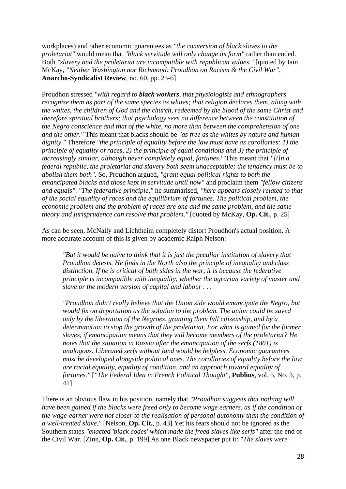workplaces) and other economic guarantees as *"the conversion of black slaves to the proletariat"* would mean that *"black servitude will only change its form"* rather than ended. Both *"slavery and the proletariat are incompatible with republican values."* [quoted by Iain McKay, *"Neither Washington nor Richmond: Proudhon on Racism & the Civil War"*, **Anarcho-Syndicalist Review**, no. 60, pp. 25-6]

Proudhon stressed *"with regard to black workers, that physiologists and ethnographers recognise them as part of the same species as whites; that religion declares them, along with the whites, the children of God and the church, redeemed by the blood of the same Christ and therefore spiritual brothers; that psychology sees no difference between the constitution of the Negro conscience and that of the white, no more than between the comprehension of one and the other."* This meant that blacks should be *"as free as the whites by nature and human dignity."* Therefore *"the principle of equality before the law must have as corollaries: 1) the principle of equality of races, 2) the principle of equal conditions and 3) the principle of increasingly similar, although never completely equal, fortunes."* This meant that *"[i]n a federal republic, the proletariat and slavery both seem unacceptable; the tendency must be to abolish them both"*. So, Proudhon argued, *"grant equal political rights to both the emancipated blacks and those kept in servitude until now"* and proclaim them *"fellow citizens and equals"*. *"The federative principle,"* he summarised, *"here appears closely related to that of the social equality of races and the equilibrium of fortunes. The political problem, the economic problem and the problem of races are one and the same problem, and the same theory and jurisprudence can resolve that problem."* [quoted by McKay, **Op. Cit.**, p. 25]

As can be seen, McNally and Lichtheim completely distort Proudhon's actual position. A more accurate account of this is given by academic Ralph Nelson:

*"But it would be naive to think that it is just the peculiar institution of slavery that Proudhon detests. He finds in the North also the principle of inequality and class distinction. If he is critical of both sides in the war, it is because the federative principle is incompatible with inequality, whether the agrarian variety of master and slave or the modern version of capital and labour . . .*

*"Proudhon didn't really believe that the Union side would emancipate the Negro, but would fix on deportation as the solution to the problem. The union could be saved only by the liberation of the Negroes, granting them full citizenship, and by a determination to stop the growth of the proletariat. For what is gained for the former slaves, if emancipation means that they will become members of the proletariat? He notes that the situation in Russia after the emancipation of the serfs (1861) is analogous. Liberated serfs without land would be helpless. Economic guarantees must be developed alongside political ones. The corollaries of equality before the law are racial equality, equality of condition, and an approach toward equality of fortunes."* [*"The Federal Idea in French Political Thought"*, **Publius**, vol. 5, No. 3, p. 41]

There is an obvious flaw in his position, namely that *"Proudhon suggests that nothing will have been gained if the blacks were freed only to become wage earners, as if the condition of the wage-earner were not closer to the realisation of personal autonomy than the condition of a well-treated slave."* [Nelson, **Op. Cit.**, p. 43] Yet his fears should not be ignored as the Southern states *"enacted 'black codes' which made the freed slaves like serfs"* after the end of the Civil War. [Zinn, **Op. Cit.**, p. 199] As one Black newspaper put it: *"The slaves were*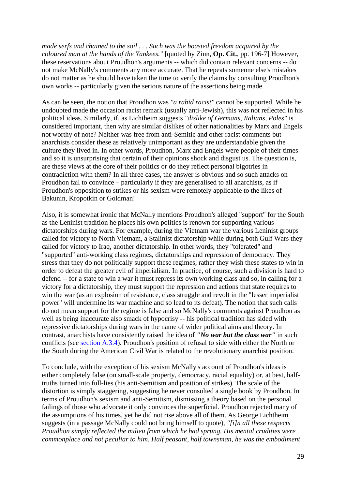*made serfs and chained to the soil . . . Such was the boasted freedom acquired by the coloured man at the hands of the Yankees."* [quoted by Zinn, **Op. Cit.**, pp. 196-7] However, these reservations about Proudhon's arguments -- which did contain relevant concerns -- do not make McNally's comments any more accurate. That he repeats someone else's mistakes do not matter as he should have taken the time to verify the claims by consulting Proudhon's own works -- particularly given the serious nature of the assertions being made.

As can be seen, the notion that Proudhon was *"a rabid racist"* cannot be supported. While he undoubted made the occasion racist remark (usually anti-Jewish), this was not reflected in his political ideas. Similarly, if, as Lichtheim suggests *"dislike of Germans, Italians, Poles"* is considered important, then why are similar dislikes of other nationalities by Marx and Engels not worthy of note? Neither was free from anti-Semitic and other racist comments but anarchists consider these as relatively unimportant as they are understandable given the culture they lived in. In other words, Proudhon, Marx and Engels were people of their times and so it is unsurprising that certain of their opinions shock and disgust us. The question is, are these views at the core of their politics or do they reflect personal bigotries in contradiction with them? In all three cases, the answer is obvious and so such attacks on Proudhon fail to convince – particularly if they are generalised to all anarchists, as if Proudhon's opposition to strikes or his sexism were remotely applicable to the likes of Bakunin, Kropotkin or Goldman!

Also, it is somewhat ironic that McNally mentions Proudhon's alleged "support" for the South as the Leninist tradition he places his own politics is renown for supporting various dictatorships during wars. For example, during the Vietnam war the various Leninist groups called for victory to North Vietnam, a Stalinist dictatorship while during both Gulf Wars they called for victory to Iraq, another dictatorship. In other words, they "tolerated" and "supported" anti-working class regimes, dictatorships and repression of democracy. They stress that they do not politically support these regimes, rather they wish these states to win in order to defeat the greater evil of imperialism. In practice, of course, such a division is hard to defend -- for a state to win a war it must repress its own working class and so, in calling for a victory for a dictatorship, they must support the repression and actions that state requires to win the war (as an explosion of resistance, class struggle and revolt in the "lesser imperialist power" will undermine its war machine and so lead to its defeat). The notion that such calls do not mean support for the regime is false and so McNally's comments against Proudhon as well as being inaccurate also smack of hypocrisy -- his political tradition has sided with repressive dictatorships during wars in the name of wider political aims and theory. In contrast, anarchists have consistently raised the idea of *"No war but the class war"* in such conflicts (see [section A.3.4\)](sectionA.html#seca34). Proudhon's position of refusal to side with either the North or the South during the American Civil War is related to the revolutionary anarchist position.

To conclude, with the exception of his sexism McNally's account of Proudhon's ideas is either completely false (on small-scale property, democracy, racial equality) or, at best, halftruths turned into full-lies (his anti-Semitism and position of strikes). The scale of the distortion is simply staggering, suggesting he never consulted a single book by Proudhon. In terms of Proudhon's sexism and anti-Semitism, dismissing a theory based on the personal failings of those who advocate it only convinces the superficial. Proudhon rejected many of the assumptions of his times, yet he did not rise above all of them. As George Lichtheim suggests (in a passage McNally could not bring himself to quote), *"[i]n all these respects Proudhon simply reflected the milieu from which he had sprung. His mental crudities were commonplace and not peculiar to him. Half peasant, half townsman, he was the embodiment*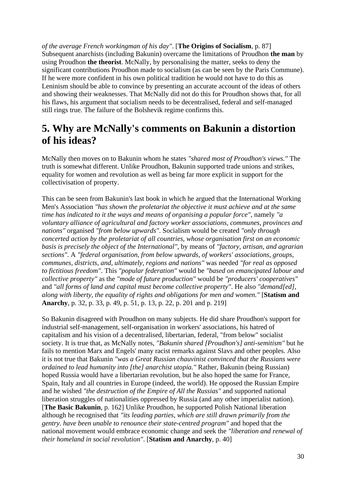*of the average French workingman of his day"*. [**The Origins of Socialism**, p. 87] Subsequent anarchists (including Bakunin) overcame the limitations of Proudhon **the man** by using Proudhon **the theorist**. McNally, by personalising the matter, seeks to deny the significant contributions Proudhon made to socialism (as can be seen by the Paris Commune). If he were more confident in his own political tradition he would not have to do this as Leninism should be able to convince by presenting an accurate account of the ideas of others and showing their weaknesses. That McNally did not do this for Proudhon shows that, for all his flaws, his argument that socialism needs to be decentralised, federal and self-managed still rings true. The failure of the Bolshevik regime confirms this.

#### <span id="page-29-0"></span>**5. Why are McNally's comments on Bakunin a distortion of his ideas?**

McNally then moves on to Bakunin whom he states *"shared most of Proudhon's views."* The truth is somewhat different. Unlike Proudhon, Bakunin supported trade unions and strikes, equality for women and revolution as well as being far more explicit in support for the collectivisation of property.

This can be seen from Bakunin's last book in which he argued that the International Working Men's Association *"has shown the proletariat the objective it must achieve and at the same time has indicated to it the ways and means of organising a popular force"*, namely *"a voluntary alliance of agricultural and factory worker associations, communes, provinces and nations"* organised *"from below upwards"*. Socialism would be created *"only through concerted action by the proletariat of all countries, whose organisation first on an economic basis is precisely the object of the International"*, by means of *"factory, artisan, and agrarian sections"*. A *"federal organisation, from below upwards, of workers' associations, groups, communes, districts, and, ultimately, regions and nations"* was needed *"for real as opposed to fictitious freedom"*. This *"popular federation"* would be *"based on emancipated labour and collective property"* as the *"mode of future production"* would be *"producers' cooperatives"* and *"all forms of land and capital must become collective property"*. He also *"demand[ed], along with liberty, the equality of rights and obligations for men and women."* [**Statism and Anarchy**, p. 32, p. 33, p. 49, p. 51, p. 13, p. 22, p. 201 and p. 219]

So Bakunin disagreed with Proudhon on many subjects. He did share Proudhon's support for industrial self-management, self-organisation in workers' associations, his hatred of capitalism and his vision of a decentralised, libertarian, federal, "from below" socialist society. It is true that, as McNally notes, *"Bakunin shared [Proudhon's] anti-semitism"* but he fails to mention Marx and Engels' many racist remarks against Slavs and other peoples. Also it is not true that Bakunin *"was a Great Russian chauvinist convinced that the Russians were ordained to lead humanity into [the] anarchist utopia."* Rather, Bakunin (being Russian) hoped Russia would have a libertarian revolution, but he also hoped the same for France, Spain, Italy and all countries in Europe (indeed, the world). He opposed the Russian Empire and he wished *"the destruction of the Empire of All the Russias"* and supported national liberation struggles of nationalities oppressed by Russia (and any other imperialist nation). [**The Basic Bakunin**, p. 162] Unlike Proudhon, he supported Polish National liberation although he recognised that *"its leading parties, which are still drawn primarily from the gentry. have been unable to renounce their state-centred program"* and hoped that the national movement would embrace economic change and seek the *"liberation and renewal of their homeland in social revolution"*. [**Statism and Anarchy**, p. 40]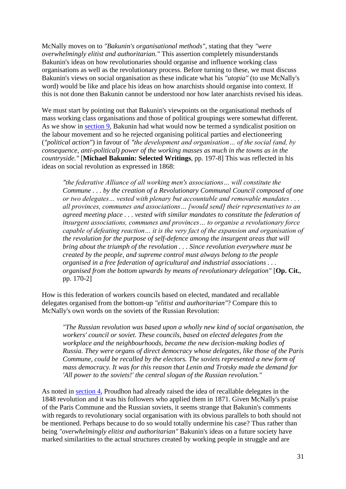McNally moves on to *"Bakunin's organisational methods"*, stating that they *"were overwhelmingly elitist and authoritarian."* This assertion completely misunderstands Bakunin's ideas on how revolutionaries should organise and influence working class organisations as well as the revolutionary process. Before turning to these, we must discuss Bakunin's views on social organisation as these indicate what his *"utopia"* (to use McNally's word) would be like and place his ideas on how anarchists should organise into context. If this is not done then Bakunin cannot be understood nor how later anarchists revised his ideas.

We must start by pointing out that Bakunin's viewpoints on the organisational methods of mass working class organisations and those of political groupings were somewhat different. As we show in [section 9,](append31.html#app9) Bakunin had what would now be termed a syndicalist position on the labour movement and so he rejected organising political parties and electioneering (*"political action"*) in favour of *"the development and organisation… of the social (and, by consequence, anti-political) power of the working masses as much in the towns as in the countryside."* [**Michael Bakunin: Selected Writings**, pp. 197-8] This was reflected in his ideas on social revolution as expressed in 1868:

*"the federative Alliance of all working men's associations… will constitute the Commune . . . by the creation of a Revolutionary Communal Council composed of one or two delegates… vested with plenary but accountable and removable mandates . . . all provinces, communes and associations… [would send] their representatives to an agreed meeting place . . . vested with similar mandates to constitute the federation of insurgent associations, communes and provinces… to organise a revolutionary force capable of defeating reaction… it is the very fact of the expansion and organisation of the revolution for the purpose of self-defence among the insurgent areas that will bring about the triumph of the revolution . . . Since revolution everywhere must be created by the people, and supreme control must always belong to the people organised in a free federation of agricultural and industrial associations . . . organised from the bottom upwards by means of revolutionary delegation"* [**Op. Cit.**, pp. 170-2]

How is this federation of workers councils based on elected, mandated and recallable delegates organised from the bottom-up *"elitist and authoritarian"*? Compare this to McNally's own words on the soviets of the Russian Revolution:

*"The Russian revolution was based upon a wholly new kind of social organisation, the workers' council or soviet. These councils, based on elected delegates from the workplace and the neighbourhoods, became the new decision-making bodies of Russia. They were organs of direct democracy whose delegates, like those of the Paris Commune, could be recalled by the electors. The soviets represented a new form of mass democracy. It was for this reason that Lenin and Trotsky made the demand for 'All power to the soviets!' the central slogan of the Russian revolution."*

As noted in [section 4,](append31.html#app4) Proudhon had already raised the idea of recallable delegates in the 1848 revolution and it was his followers who applied them in 1871. Given McNally's praise of the Paris Commune and the Russian soviets, it seems strange that Bakunin's comments with regards to revolutionary social organisation with its obvious parallels to both should not be mentioned. Perhaps because to do so would totally undermine his case? Thus rather than being *"overwhelmingly elitist and authoritarian"* Bakunin's ideas on a future society have marked similarities to the actual structures created by working people in struggle and are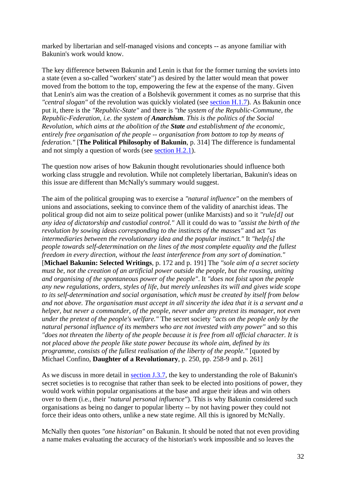marked by libertarian and self-managed visions and concepts -- as anyone familiar with Bakunin's work would know.

The key difference between Bakunin and Lenin is that for the former turning the soviets into a state (even a so-called "workers' state") as desired by the latter would mean that power moved from the bottom to the top, empowering the few at the expense of the many. Given that Lenin's aim was the creation of a Bolshevik government it comes as no surprise that this *"central slogan"* of the revolution was quickly violated (see [section H.1.7\)](sectionH.html#sech17). As Bakunin once put it, there is the *"Republic-State"* and there is *"the system of the Republic-Commune, the Republic-Federation, i.e. the system of Anarchism. This is the politics of the Social Revolution, which aims at the abolition of the State and establishment of the economic, entirely free organisation of the people -- organisation from bottom to top by means of federation."* [**The Political Philosophy of Bakunin**, p. 314] The difference is fundamental and not simply a question of words (see [section H.2.1\)](sectionH.html#sech1).

The question now arises of how Bakunin thought revolutionaries should influence both working class struggle and revolution. While not completely libertarian, Bakunin's ideas on this issue are different than McNally's summary would suggest.

The aim of the political grouping was to exercise a *"natural influence"* on the members of unions and associations, seeking to convince them of the validity of anarchist ideas. The political group did not aim to seize political power (unlike Marxists) and so it *"rule[d] out any idea of dictatorship and custodial control."* All it could do was to *"assist the birth of the revolution by sowing ideas corresponding to the instincts of the masses"* and act *"as intermediaries between the revolutionary idea and the popular instinct."* It *"help[s] the people towards self-determination on the lines of the most complete equality and the fullest freedom in every direction, without the least interference from any sort of domination."* [**Michael Bakunin: Selected Writings**, p. 172 and p. 191] The *"sole aim of a secret society must be, not the creation of an artificial power outside the people, but the rousing, uniting and organising of the spontaneous power of the people"*. It *"does not foist upon the people any new regulations, orders, styles of life, but merely unleashes its will and gives wide scope to its self-determination and social organisation, which must be created by itself from below and not above. The organisation must accept in all sincerity the idea that it is a servant and a helper, but never a commander, of the people, never under any pretext its manager, not even under the pretext of the people's welfare."* The secret society *"acts on the people only by the natural personal influence of its members who are not invested with any power"* and so this *"does not threaten the liberty of the people because it is free from all official character. It is not placed above the people like state power because its whole aim, defined by its programme, consists of the fullest realisation of the liberty of the people."* [quoted by Michael Confino, **Daughter of a Revolutionary**, p. 250, pp. 258-9 and p. 261]

As we discuss in more detail in [section J.3.7,](sectionJ.html#secj37) the key to understanding the role of Bakunin's secret societies is to recognise that rather than seek to be elected into positions of power, they would work within popular organisations at the base and argue their ideas and win others over to them (i.e., their *"natural personal influence"*). This is why Bakunin considered such organisations as being no danger to popular liberty -- by not having power they could not force their ideas onto others, unlike a new state regime. All this is ignored by McNally.

McNally then quotes *"one historian"* on Bakunin. It should be noted that not even providing a name makes evaluating the accuracy of the historian's work impossible and so leaves the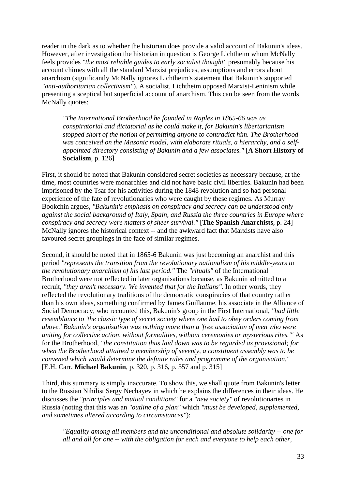reader in the dark as to whether the historian does provide a valid account of Bakunin's ideas. However, after investigation the historian in question is George Lichtheim whom McNally feels provides *"the most reliable guides to early socialist thought"* presumably because his account chimes with all the standard Marxist prejudices, assumptions and errors about anarchism (significantly McNally ignores Lichtheim's statement that Bakunin's supported *"anti-authoritarian collectivism"*). A socialist, Lichtheim opposed Marxist-Leninism while presenting a sceptical but superficial account of anarchism. This can be seen from the words McNally quotes:

*"The International Brotherhood he founded in Naples in 1865-66 was as conspiratorial and dictatorial as he could make it, for Bakunin's libertarianism stopped short of the notion of permitting anyone to contradict him. The Brotherhood was conceived on the Masonic model, with elaborate rituals, a hierarchy, and a selfappointed directory consisting of Bakunin and a few associates."* [**A Short History of Socialism**, p. 126]

First, it should be noted that Bakunin considered secret societies as necessary because, at the time, most countries were monarchies and did not have basic civil liberties. Bakunin had been imprisoned by the Tsar for his activities during the 1848 revolution and so had personal experience of the fate of revolutionaries who were caught by these regimes. As Murray Bookchin argues, *"Bakunin's emphasis on conspiracy and secrecy can be understood only against the social background of Italy, Spain, and Russia the three countries in Europe where conspiracy and secrecy were matters of sheer survival."* [**The Spanish Anarchists**, p. 24] McNally ignores the historical context -- and the awkward fact that Marxists have also favoured secret groupings in the face of similar regimes.

Second, it should be noted that in 1865-6 Bakunin was just becoming an anarchist and this period *"represents the transition from the revolutionary nationalism of his middle-years to the revolutionary anarchism of his last period."* The *"rituals"* of the International Brotherhood were not reflected in later organisations because, as Bakunin admitted to a recruit, *"they aren't necessary. We invented that for the Italians"*. In other words, they reflected the revolutionary traditions of the democratic conspiracies of that country rather than his own ideas, something confirmed by James Guillaume, his associate in the Alliance of Social Democracy, who recounted this, Bakunin's group in the First International, *"had little resemblance to 'the classic type of secret society where one had to obey orders coming from above.' Bakunin's organisation was nothing more than a 'free association of men who were uniting for collective action, without formalities, without ceremonies or mysterious rites.'"* As for the Brotherhood, *"the constitution thus laid down was to be regarded as provisional; for when the Brotherhood attained a membership of seventy, a constituent assembly was to be convened which would determine the definite rules and programme of the organisation."* [E.H. Carr, **Michael Bakunin**, p. 320, p. 316, p. 357 and p. 315]

Third, this summary is simply inaccurate. To show this, we shall quote from Bakunin's letter to the Russian Nihilist Sergy Nechayev in which he explains the differences in their ideas. He discusses the *"principles and mutual conditions"* for a *"new society"* of revolutionaries in Russia (noting that this was an *"outline of a plan"* which *"must be developed, supplemented, and sometimes altered according to circumstances"*):

*"Equality among all members and the unconditional and absolute solidarity -- one for all and all for one -- with the obligation for each and everyone to help each other,*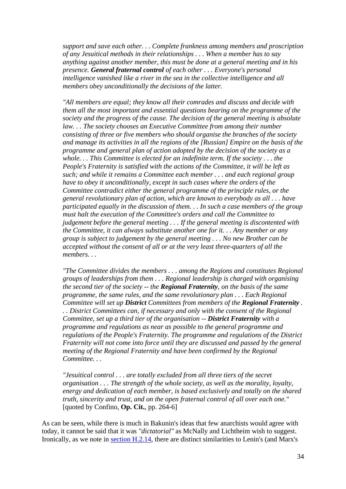*support and save each other. . . Complete frankness among members and proscription of any Jesuitical methods in their relationships . . . When a member has to say anything against another member, this must be done at a general meeting and in his presence. General fraternal control of each other . . . Everyone's personal intelligence vanished like a river in the sea in the collective intelligence and all members obey unconditionally the decisions of the latter.*

*"All members are equal; they know all their comrades and discuss and decide with them all the most important and essential questions bearing on the programme of the society and the progress of the cause. The decision of the general meeting is absolute law. . . The society chooses an Executive Committee from among their number consisting of three or five members who should organise the branches of the society and manage its activities in all the regions of the [Russian] Empire on the basis of the programme and general plan of action adopted by the decision of the society as a whole. . . This Committee is elected for an indefinite term. If the society . . . the People's Fraternity is satisfied with the actions of the Committee, it will be left as such; and while it remains a Committee each member . . . and each regional group have to obey it unconditionally, except in such cases where the orders of the Committee contradict either the general programme of the principle rules, or the general revolutionary plan of action, which are known to everybody as all . . . have participated equally in the discussion of them. . . In such a case members of the group must halt the execution of the Committee's orders and call the Committee to judgement before the general meeting . . . If the general meeting is discontented with the Committee, it can always substitute another one for it. . . Any member or any group is subject to judgement by the general meeting . . . No new Brother can be accepted without the consent of all or at the very least three-quarters of all the members. . .*

*"The Committee divides the members . . . among the Regions and constitutes Regional groups of leaderships from them . . . Regional leadership is charged with organising the second tier of the society -- the Regional Fraternity, on the basis of the same programme, the same rules, and the same revolutionary plan . . . Each Regional Committee will set up District Committees from members of the Regional Fraternity . . . District Committees can, if necessary and only with the consent of the Regional Committee, set up a third tier of the organisation -- District Fraternity with a programme and regulations as near as possible to the general programme and regulations of the People's Fraternity. The programme and regulations of the District Fraternity will not come into force until they are discussed and passed by the general meeting of the Regional Fraternity and have been confirmed by the Regional Committee. . .*

*"Jesuitical control . . . are totally excluded from all three tiers of the secret organisation . . . The strength of the whole society, as well as the morality, loyalty, energy and dedication of each member, is based exclusively and totally on the shared truth, sincerity and trust, and on the open fraternal control of all over each one."* [quoted by Confino, **Op. Cit.**, pp. 264-6]

As can be seen, while there is much in Bakunin's ideas that few anarchists would agree with today, it cannot be said that it was *"dictatorial"* as McNally and Lichtheim wish to suggest. Ironically, as we note in [section H.2.14,](sectionH.html#sech14) there are distinct similarities to Lenin's (and Marx's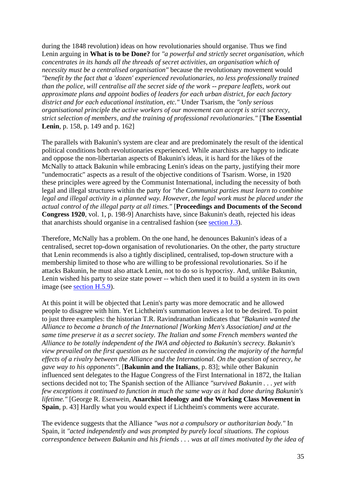during the 1848 revolution) ideas on how revolutionaries should organise. Thus we find Lenin arguing in **What is to be Done?** for *"a powerful and strictly secret organisation, which concentrates in its hands all the threads of secret activities, an organisation which of necessity must be a centralised organisation"* because the revolutionary movement would *"benefit by the fact that a 'dozen' experienced revolutionaries, no less professionally trained than the police, will centralise all the secret side of the work -- prepare leaflets, work out approximate plans and appoint bodies of leaders for each urban district, for each factory district and for each educational institution, etc."* Under Tsarism, the *"only serious organisational principle the active workers of our movement can accept is strict secrecy, strict selection of members, and the training of professional revolutionaries."* [**The Essential Lenin**, p. 158, p. 149 and p. 162]

The parallels with Bakunin's system are clear and are predominately the result of the identical political conditions both revolutionaries experienced. While anarchists are happy to indicate and oppose the non-libertarian aspects of Bakunin's ideas, it is hard for the likes of the McNally to attack Bakunin while embracing Lenin's ideas on the party, justifying their more "undemocratic" aspects as a result of the objective conditions of Tsarism. Worse, in 1920 these principles were agreed by the Communist International, including the necessity of both legal and illegal structures within the party for *"the Communist parties must learn to combine legal and illegal activity in a planned way. However, the legal work must be placed under the actual control of the illegal party at all times."* [**Proceedings and Documents of the Second Congress 1920**, vol. 1, p. 198-9] Anarchists have, since Bakunin's death, rejected his ideas that anarchists should organise in a centralised fashion (see [section J.3\)](sectionJ3.html#secj3).

Therefore, McNally has a problem. On the one hand, he denounces Bakunin's ideas of a centralised, secret top-down organisation of revolutionaries. On the other, the party structure that Lenin recommends is also a tightly disciplined, centralised, top-down structure with a membership limited to those who are willing to be professional revolutionaries. So if he attacks Bakunin, he must also attack Lenin, not to do so is hypocrisy. And, unlike Bakunin, Lenin wished his party to seize state power -- which then used it to build a system in its own image (see [section H.5.9\)](sectionH.html#sech59).

At this point it will be objected that Lenin's party was more democratic and he allowed people to disagree with him. Yet Lichtheim's summation leaves a lot to be desired. To point to just three examples: the historian T.R. Ravindranathan indicates that *"Bakunin wanted the Alliance to become a branch of the International [Working Men's Association] and at the same time preserve it as a secret society. The Italian and some French members wanted the Alliance to be totally independent of the IWA and objected to Bakunin's secrecy. Bakunin's view prevailed on the first question as he succeeded in convincing the majority of the harmful effects of a rivalry between the Alliance and the International. On the question of secrecy, he gave way to his opponents"*. [**Bakunin and the Italians**, p. 83]; while other Bakunin influenced sent delegates to the Hague Congress of the First International in 1872, the Italian sections decided not to; The Spanish section of the Alliance *"survived Bakunin . . . yet with few exceptions it continued to function in much the same way as it had done during Bakunin's lifetime."* [George R. Esenwein, **Anarchist Ideology and the Working Class Movement in Spain**, p. 43] Hardly what you would expect if Lichtheim's comments were accurate.

The evidence suggests that the Alliance *"was not a compulsory or authoritarian body."* In Spain, it *"acted independently and was prompted by purely local situations. The copious correspondence between Bakunin and his friends . . . was at all times motivated by the idea of*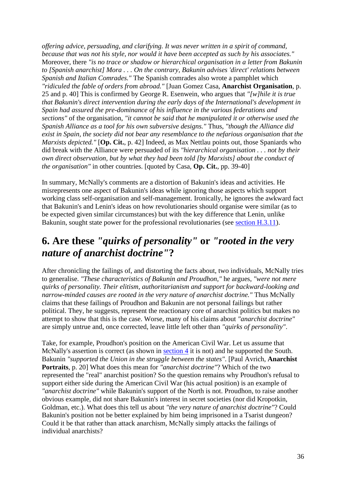*offering advice, persuading, and clarifying. It was never written in a spirit of command, because that was not his style, nor would it have been accepted as such by his associates."* Moreover, there *"is no trace or shadow or hierarchical organisation in a letter from Bakunin to [Spanish anarchist] Mora . . . On the contrary, Bakunin advises 'direct' relations between Spanish and Italian Comrades."* The Spanish comrades also wrote a pamphlet which *"ridiculed the fable of orders from abroad."* [Juan Gomez Casa, **Anarchist Organisation**, p. 25 and p. 40] This is confirmed by George R. Esenwein, who argues that *"[w]hile it is true that Bakunin's direct intervention during the early days of the International's development in Spain had assured the pre-dominance of his influence in the various federations and sections"* of the organisation, *"it cannot be said that he manipulated it or otherwise used the Spanish Alliance as a tool for his own subversive designs."* Thus, *"though the Alliance did exist in Spain, the society did not bear any resemblance to the nefarious organisation that the Marxists depicted."* [**Op. Cit.**, p. 42] Indeed, as Max Nettlau points out, those Spaniards who did break with the Alliance were persuaded of its *"hierarchical organisation . . . not by their own direct observation, but by what they had been told [by Marxists] about the conduct of the organisation"* in other countries. [quoted by Casa, **Op. Cit.**, pp. 39-40]

In summary, McNally's comments are a distortion of Bakunin's ideas and activities. He misrepresents one aspect of Bakunin's ideas while ignoring those aspects which support working class self-organisation and self-management. Ironically, he ignores the awkward fact that Bakunin's and Lenin's ideas on how revolutionaries should organise were similar (as to be expected given similar circumstances) but with the key difference that Lenin, unlike Bakunin, sought state power for the professional revolutionaries (see [section H.3.11\)](sectionH.html#sech311).

#### <span id="page-35-0"></span>**6. Are these** *"quirks of personality"* **or** *"rooted in the very nature of anarchist doctrine"***?**

After chronicling the failings of, and distorting the facts about, two individuals, McNally tries to generalise. *"These characteristics of Bakunin and Proudhon,"* he argues, *"were not mere quirks of personality. Their elitism, authoritarianism and support for backward-looking and narrow-minded causes are rooted in the very nature of anarchist doctrine."* Thus McNally claims that these failings of Proudhon and Bakunin are not personal failings but rather political. They, he suggests, represent the reactionary core of anarchist politics but makes no attempt to show that this is the case. Worse, many of his claims about *"anarchist doctrine"* are simply untrue and, once corrected, leave little left other than *"quirks of personality"*.

Take, for example, Proudhon's position on the American Civil War. Let us assume that McNally's assertion is correct (as shown in [section 4](append31.html#app4) it is not) and he supported the South. Bakunin *"supported the Union in the struggle between the states"*. [Paul Avrich, **Anarchist Portraits**, p. 20] What does this mean for *"anarchist doctrine"*? Which of the two represented the "real" anarchist position? So the question remains why Proudhon's refusal to support either side during the American Civil War (his actual position) is an example of *"anarchist doctrine"* while Bakunin's support of the North is not. Proudhon, to raise another obvious example, did not share Bakunin's interest in secret societies (nor did Kropotkin, Goldman, etc.). What does this tell us about *"the very nature of anarchist doctrine"*? Could Bakunin's position not be better explained by him being imprisoned in a Tsarist dungeon? Could it be that rather than attack anarchism, McNally simply attacks the failings of individual anarchists?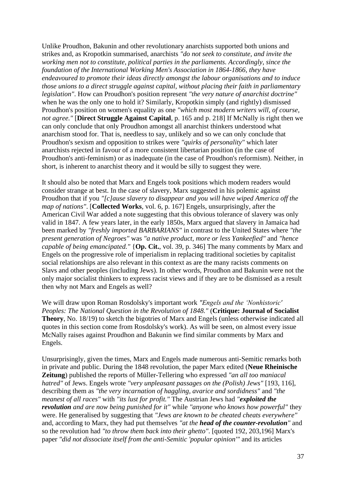Unlike Proudhon, Bakunin and other revolutionary anarchists supported both unions and strikes and, as Kropotkin summarised, anarchists *"do not seek to constitute, and invite the working men not to constitute, political parties in the parliaments. Accordingly, since the foundation of the International Working Men's Association in 1864-1866, they have endeavoured to promote their ideas directly amongst the labour organisations and to induce those unions to a direct struggle against capital, without placing their faith in parliamentary legislation"*. How can Proudhon's position represent *"the very nature of anarchist doctrine"* when he was the only one to hold it? Similarly, Kropotkin simply (and rightly) dismissed Proudhon's position on women's equality as one *"which most modern writers will, of course, not agree."* [**Direct Struggle Against Capital**, p. 165 and p. 218] If McNally is right then we can only conclude that only Proudhon amongst all anarchist thinkers understood what anarchism stood for. That is, needless to say, unlikely and so we can only conclude that Proudhon's sexism and opposition to strikes were *"quirks of personality"* which later anarchists rejected in favour of a more consistent libertarian position (in the case of Proudhon's anti-feminism) or as inadequate (in the case of Proudhon's reformism). Neither, in short, is inherent to anarchist theory and it would be silly to suggest they were.

It should also be noted that Marx and Engels took positions which modern readers would consider strange at best. In the case of slavery, Marx suggested in his polemic against Proudhon that if you *"[c]ause slavery to disappear and you will have wiped America off the map of nations"*. [**Collected Works**, vol. 6, p. 167] Engels, unsurprisingly, after the American Civil War added a note suggesting that this obvious tolerance of slavery was only valid in 1847. A few years later, in the early 1850s, Marx argued that slavery in Jamaica had been marked by *"freshly imported BARBARIANS"* in contrast to the United States where *"the present generation of Negroes"* was *"a native product, more or less Yankeefied"* and *"hence capable of being emancipated."* {**Op. Cit.**, vol. 39, p. 346] The many comments by Marx and Engels on the progressive role of imperialism in replacing traditional societies by capitalist social relationships are also relevant in this context as are the many racists comments on Slavs and other peoples (including Jews). In other words, Proudhon and Bakunin were not the only major socialist thinkers to express racist views and if they are to be dismissed as a result then why not Marx and Engels as well?

We will draw upon Roman Rosdolsky's important work *"Engels and the 'Nonhistoric' Peoples: The National Question in the Revolution of 1848."* (**Critique: Journal of Socialist Theory**, No. 18/19) to sketch the bigotries of Marx and Engels (unless otherwise indicated all quotes in this section come from Rosdolsky's work). As will be seen, on almost every issue McNally raises against Proudhon and Bakunin we find similar comments by Marx and Engels.

Unsurprisingly, given the times, Marx and Engels made numerous anti-Semitic remarks both in private and public. During the 1848 revolution, the paper Marx edited (**Neue Rheinische Zeitung**) published the reports of Müller-Tellering who expressed *"an all too maniacal hatred"* of Jews. Engels wrote *"very unpleasant passages on the (Polish) Jews"* [193, 116], describing them as *"the very incarnation of haggling, avarice and sordidness"* and *"the meanest of all races"* with *"its lust for profit."* The Austrian Jews had *"exploited the revolution and are now being punished for it"* while *"anyone who knows how powerful"* they were. He generalised by suggesting that *"Jews are known to be cheated cheats everywhere"* and, according to Marx, they had put themselves *"at the head of the counter-revolution"* and so the revolution had *"to throw them back into their ghetto"*. [quoted 192, 203,196] Marx's paper *"did not dissociate itself from the anti-Semitic 'popular opinion'"* and its articles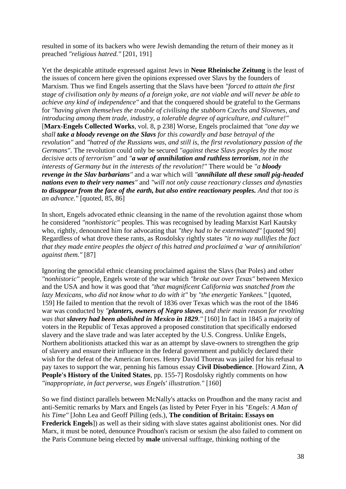resulted in some of its backers who were Jewish demanding the return of their money as it preached *"religious hatred."* [201, 191]

Yet the despicable attitude expressed against Jews in **Neue Rheinische Zeitung** is the least of the issues of concern here given the opinions expressed over Slavs by the founders of Marxism. Thus we find Engels asserting that the Slavs have been *"forced to attain the first stage of civilisation only by means of a foreign yoke, are not viable and will never be able to achieve any kind of independence"* and that the conquered should be grateful to the Germans for *"having given themselves the trouble of civilising the stubborn Czechs and Slovenes, and introducing among them trade, industry, a tolerable degree of agriculture, and culture!"* [**Marx-Engels Collected Works**, vol. 8, p 238] Worse, Engels proclaimed that *"one day we shall take a bloody revenge on the Slavs for this cowardly and base betrayal of the revolution"* and *"hatred of the Russians was, and still is, the first revolutionary passion of the Germans"*. The revolution could only be secured *"against these Slavs peoples by the most decisive acts of terrorism"* and *"a war of annihilation and ruthless terrorism, not in the interests of Germany but in the interests of the revolution!"* There would be *"a bloody revenge in the Slav barbarians"* and a war which will *"annihilate all these small pig-headed nations even to their very names"* and *"will not only cause reactionary classes and dynasties to disappear from the face of the earth, but also entire reactionary peoples. And that too is an advance."* [quoted, 85, 86]

In short, Engels advocated ethnic cleansing in the name of the revolution against those whom he considered *"nonhistoric"* peoples. This was recognised by leading Marxist Karl Kautsky who, rightly, denounced him for advocating that *"they had to be exterminated"* [quoted 90] Regardless of what drove these rants, as Rosdolsky rightly states *"it no way nullifies the fact that they made entire peoples the object of this hatred and proclaimed a 'war of annihilation' against them."* [87]

Ignoring the genocidal ethnic cleansing proclaimed against the Slavs (bar Poles) and other *"nonhistoric"* people, Engels wrote of the war which *"broke out over Texas"* between Mexico and the USA and how it was good that *"that magnificent California was snatched from the lazy Mexicans, who did not know what to do with it"* by *"the energetic Yankees."* [quoted, 159] He failed to mention that the revolt of 1836 over Texas which was the root of the 1846 war was conducted by *"planters, owners of Negro slaves, and their main reason for revolting was that slavery had been abolished in Mexico in 1829."* [160] In fact in 1845 a majority of voters in the Republic of Texas approved a proposed constitution that specifically endorsed slavery and the slave trade and was later accepted by the U.S. Congress. Unlike Engels, Northern abolitionists attacked this war as an attempt by slave-owners to strengthen the grip of slavery and ensure their influence in the federal government and publicly declared their wish for the defeat of the American forces. Henry David Thoreau was jailed for his refusal to pay taxes to support the war, penning his famous essay **Civil Disobedience**. [Howard Zinn, **A People's History of the United States**, pp. 155-7] Rosdolsky rightly comments on how *"inappropriate, in fact perverse, was Engels' illustration."* [160]

So we find distinct parallels between McNally's attacks on Proudhon and the many racist and anti-Semitic remarks by Marx and Engels (as listed by Peter Fryer in his *"Engels: A Man of his Time"* [John Lea and Geoff Pilling (eds.), **The condition of Britain: Essays on Frederick Engels**]) as well as their siding with slave states against abolitionist ones. Nor did Marx, it must be noted, denounce Proudhon's racism or sexism (he also failed to comment on the Paris Commune being elected by **male** universal suffrage, thinking nothing of the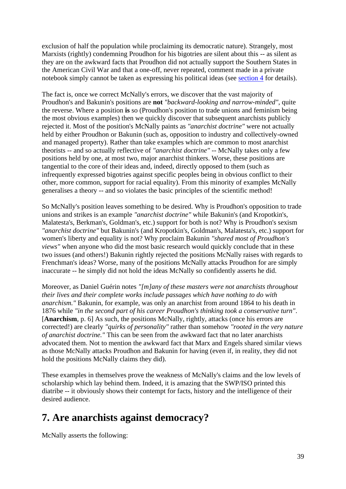exclusion of half the population while proclaiming its democratic nature). Strangely, most Marxists (rightly) condemning Proudhon for his bigotries are silent about this -- as silent as they are on the awkward facts that Proudhon did not actually support the Southern States in the American Civil War and that a one-off, never repeated, comment made in a private notebook simply cannot be taken as expressing his political ideas (see [section 4](append31.html#app4) for details).

The fact is, once we correct McNally's errors, we discover that the vast majority of Proudhon's and Bakunin's positions are **not** *"backward-looking and narrow-minded"*, quite the reverse. Where a position **is** so (Proudhon's position to trade unions and feminism being the most obvious examples) then we quickly discover that subsequent anarchists publicly rejected it. Most of the position's McNally paints as *"anarchist doctrine"* were not actually held by either Proudhon or Bakunin (such as, opposition to industry and collectively-owned and managed property). Rather than take examples which are common to most anarchist theorists -- and so actually reflective of *"anarchist doctrine"* -- McNally takes only a few positions held by one, at most two, major anarchist thinkers. Worse, these positions are tangential to the core of their ideas and, indeed, directly opposed to them (such as infrequently expressed bigotries against specific peoples being in obvious conflict to their other, more common, support for racial equality). From this minority of examples McNally generalises a theory -- and so violates the basic principles of the scientific method!

So McNally's position leaves something to be desired. Why is Proudhon's opposition to trade unions and strikes is an example *"anarchist doctrine"* while Bakunin's (and Kropotkin's, Malatesta's, Berkman's, Goldman's, etc.) support for both is not? Why is Proudhon's sexism *"anarchist doctrine"* but Bakunin's (and Kropotkin's, Goldman's, Malatesta's, etc.) support for women's liberty and equality is not? Why proclaim Bakunin *"shared most of Proudhon's views"* when anyone who did the most basic research would quickly conclude that in these two issues (and others!) Bakunin rightly rejected the positions McNally raises with regards to Frenchman's ideas? Worse, many of the positions McNally attacks Proudhon for are simply inaccurate -- he simply did not hold the ideas McNally so confidently asserts he did.

Moreover, as Daniel Guérin notes *"[m]any of these masters were not anarchists throughout their lives and their complete works include passages which have nothing to do with anarchism."* Bakunin, for example, was only an anarchist from around 1864 to his death in 1876 while *"in the second part of his career Proudhon's thinking took a conservative turn"*. [**Anarchism**, p. 6] As such, the positions McNally, rightly, attacks (once his errors are corrected!) are clearly *"quirks of personality"* rather than somehow *"rooted in the very nature of anarchist doctrine."* This can be seen from the awkward fact that no later anarchists advocated them. Not to mention the awkward fact that Marx and Engels shared similar views as those McNally attacks Proudhon and Bakunin for having (even if, in reality, they did not hold the positions McNally claims they did).

These examples in themselves prove the weakness of McNally's claims and the low levels of scholarship which lay behind them. Indeed, it is amazing that the SWP/ISO printed this diatribe -- it obviously shows their contempt for facts, history and the intelligence of their desired audience.

### **7. Are anarchists against democracy?**

McNally asserts the following: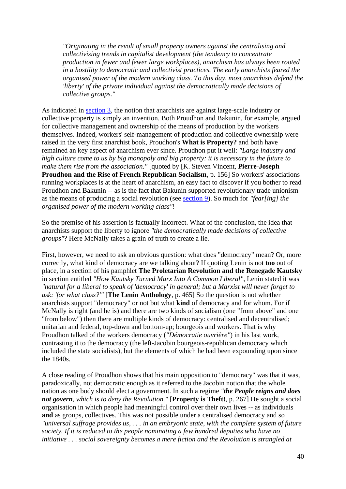*"Originating in the revolt of small property owners against the centralising and collectivising trends in capitalist development (the tendency to concentrate production in fewer and fewer large workplaces), anarchism has always been rooted in a hostility to democratic and collectivist practices. The early anarchists feared the organised power of the modern working class. To this day, most anarchists defend the 'liberty' of the private individual against the democratically made decisions of collective groups."*

As indicated in [section 3,](append31.html#app3) the notion that anarchists are against large-scale industry or collective property is simply an invention. Both Proudhon and Bakunin, for example, argued for collective management and ownership of the means of production by the workers themselves. Indeed, workers' self-management of production and collective ownership were raised in the very first anarchist book, Proudhon's **What is Property?** and both have remained an key aspect of anarchism ever since. Proudhon put it well: *"Large industry and high culture come to us by big monopoly and big property: it is necessary in the future to make them rise from the association."* [quoted by [K. Steven Vincent, **Pierre-Joseph Proudhon and the Rise of French Republican Socialism**, p. 156] So workers' associations running workplaces is at the heart of anarchism, an easy fact to discover if you bother to read Proudhon and Bakunin -- as is the fact that Bakunin supported revolutionary trade unionism as the means of producing a social revolution (see [section 9\)](append31.html#app9). So much for *"fear[ing] the organised power of the modern working class"*!

So the premise of his assertion is factually incorrect. What of the conclusion, the idea that anarchists support the liberty to ignore *"the democratically made decisions of collective groups"*? Here McNally takes a grain of truth to create a lie.

First, however, we need to ask an obvious question: what does "democracy" mean? Or, more correctly, what kind of democracy are we talking about? If quoting Lenin is not **too** out of place, in a section of his pamphlet **The Proletarian Revolution and the Renegade Kautsky** in section entitled *"How Kautsky Turned Marx Into A Common Liberal"*, Lenin stated it was *"natural for a liberal to speak of 'democracy' in general; but a Marxist will never forget to ask: 'for what class?'"* [**The Lenin Anthology**, p. 465] So the question is not whether anarchists support "democracy" or not but what **kind** of democracy and for whom. For if McNally is right (and he is) and there are two kinds of socialism (one "from above" and one "from below") then there are multiple kinds of democracy: centralised and decentralised; unitarian and federal, top-down and bottom-up; bourgeois and workers. That is why Proudhon talked of the workers democracy (*"Démocratie ouvrière"*) in his last work, contrasting it to the democracy (the left-Jacobin bourgeois-republican democracy which included the state socialists), but the elements of which he had been expounding upon since the 1840s.

A close reading of Proudhon shows that his main opposition to "democracy" was that it was, paradoxically, not democratic enough as it referred to the Jacobin notion that the whole nation as one body should elect a government. In such a regime *"the People reigns and does not govern, which is to deny the Revolution."* [**Property is Theft!**, p. 267] He sought a social organisation in which people had meaningful control over their own lives -- as individuals and as groups, collectives. This was not possible under a centralised democracy and so *"universal suffrage provides us, . . . in an embryonic state, with the complete system of future society. If it is reduced to the people nominating a few hundred deputies who have no initiative . . . social sovereignty becomes a mere fiction and the Revolution is strangled at*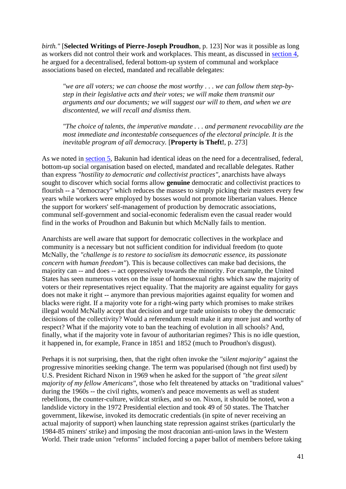*birth."* [**Selected Writings of Pierre-Joseph Proudhon**, p. 123] Nor was it possible as long as workers did not control their work and workplaces. This meant, as discussed in [section 4,](append31.html#app4) he argued for a decentralised, federal bottom-up system of communal and workplace associations based on elected, mandated and recallable delegates:

*"we are all voters; we can choose the most worthy . . . we can follow them step-bystep in their legislative acts and their votes; we will make them transmit our arguments and our documents; we will suggest our will to them, and when we are discontented, we will recall and dismiss them.*

*"The choice of talents, the imperative mandate . . . and permanent revocability are the most immediate and incontestable consequences of the electoral principle. It is the inevitable program of all democracy.* [**Property is Theft!**, p. 273]

As we noted in [section 5,](append31.html#app5) Bakunin had identical ideas on the need for a decentralised, federal, bottom-up social organisation based on elected, mandated and recallable delegates. Rather than express *"hostility to democratic and collectivist practices"*, anarchists have always sought to discover which social forms allow **genuine** democratic and collectivist practices to flourish -- a "democracy" which reduces the masses to simply picking their masters every few years while workers were employed by bosses would not promote libertarian values. Hence the support for workers' self-management of production by democratic associations, communal self-government and social-economic federalism even the casual reader would find in the works of Proudhon and Bakunin but which McNally fails to mention.

Anarchists are well aware that support for democratic collectives in the workplace and community is a necessary but not sufficient condition for individual freedom (to quote McNally, the *"challenge is to restore to socialism its democratic essence, its passionate concern with human freedom"*). This is because collectives can make bad decisions, the majority can -- and does -- act oppressively towards the minority. For example, the United States has seen numerous votes on the issue of homosexual rights which saw the majority of voters or their representatives reject equality. That the majority are against equality for gays does not make it right -- anymore than previous majorities against equality for women and blacks were right. If a majority vote for a right-wing party which promises to make strikes illegal would McNally accept that decision and urge trade unionists to obey the democratic decisions of the collectivity? Would a referendum result make it any more just and worthy of respect? What if the majority vote to ban the teaching of evolution in all schools? And, finally, what if the majority vote in favour of authoritarian regimes? This is no idle question, it happened in, for example, France in 1851 and 1852 (much to Proudhon's disgust).

Perhaps it is not surprising, then, that the right often invoke the *"silent majority"* against the progressive minorities seeking change. The term was popularised (though not first used) by U.S. President Richard Nixon in 1969 when he asked for the support of *"the great silent majority of my fellow Americans"*, those who felt threatened by attacks on "traditional values" during the 1960s -- the civil rights, women's and peace movements as well as student rebellions, the counter-culture, wildcat strikes, and so on. Nixon, it should be noted, won a landslide victory in the 1972 Presidential election and took 49 of 50 states. The Thatcher government, likewise, invoked its democratic credentials (in spite of never receiving an actual majority of support) when launching state repression against strikes (particularly the 1984-85 miners' strike) and imposing the most draconian anti-union laws in the Western World. Their trade union "reforms" included forcing a paper ballot of members before taking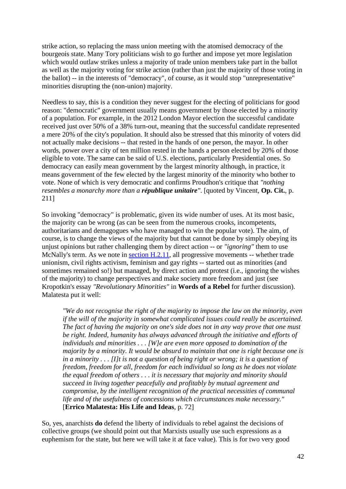strike action, so replacing the mass union meeting with the atomised democracy of the bourgeois state. Many Tory politicians wish to go further and impose yet more legislation which would outlaw strikes unless a majority of trade union members take part in the ballot as well as the majority voting for strike action (rather than just the majority of those voting in the ballot) -- in the interests of "democracy", of course, as it would stop "unrepresentative" minorities disrupting the (non-union) majority.

Needless to say, this is a condition they never suggest for the electing of politicians for good reason: "democratic" government usually means government by those elected by a minority of a population. For example, in the 2012 London Mayor election the successful candidate received just over 50% of a 38% turn-out, meaning that the successful candidate represented a mere 20% of the city's population. It should also be stressed that this minority of voters did not actually make decisions -- that rested in the hands of one person, the mayor. In other words, power over a city of ten million rested in the hands a person elected by 20% of those eligible to vote. The same can be said of U.S. elections, particularly Presidential ones. So democracy can easily mean government by the largest minority although, in practice, it means government of the few elected by the largest minority of the minority who bother to vote. None of which is very democratic and confirms Proudhon's critique that *"nothing resembles a monarchy more than a république unitaire"*. [quoted by Vincent, **Op. Cit.**, p. 211]

So invoking "democracy" is problematic, given its wide number of uses. At its most basic, the majority can be wrong (as can be seen from the numerous crooks, incompetents, authoritarians and demagogues who have managed to win the popular vote). The aim, of course, is to change the views of the majority but that cannot be done by simply obeying its unjust opinions but rather challenging them by direct action -- or *"ignoring"* them to use McNally's term. As we note in [section H.2.11,](sectionH.html#sech11) all progressive movements -- whether trade unionism, civil rights activism, feminism and gay rights -- started out as minorities (and sometimes remained so!) but managed, by direct action and protest (i.e., ignoring the wishes of the majority) to change perspectives and make society more freedom and just (see Kropotkin's essay *"Revolutionary Minorities"* in **Words of a Rebel** for further discussion). Malatesta put it well:

*"We do not recognise the right of the majority to impose the law on the minority, even if the will of the majority in somewhat complicated issues could really be ascertained. The fact of having the majority on one's side does not in any way prove that one must be right. Indeed, humanity has always advanced through the initiative and efforts of individuals and minorities . . . [W]e are even more opposed to domination of the majority by a minority. It would be absurd to maintain that one is right because one is in a minority . . . [I]t is not a question of being right or wrong; it is a question of freedom, freedom for all, freedom for each individual so long as he does not violate the equal freedom of others . . . it is necessary that majority and minority should succeed in living together peacefully and profitably by mutual agreement and compromise, by the intelligent recognition of the practical necessities of communal life and of the usefulness of concessions which circumstances make necessary."* [**Errico Malatesta: His Life and Ideas**, p. 72]

So, yes, anarchists **do** defend the liberty of individuals to rebel against the decisions of collective groups (we should point out that Marxists usually use such expressions as a euphemism for the state, but here we will take it at face value). This is for two very good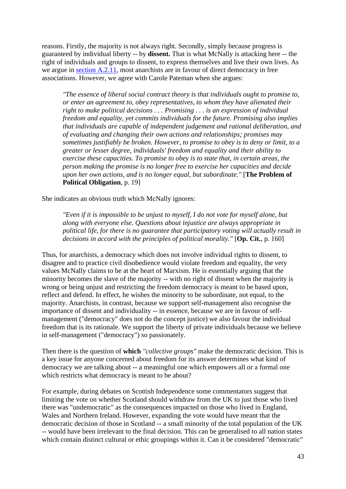reasons. Firstly, the majority is not always right. Secondly, simply because progress is guaranteed by individual liberty -- by **dissent.** That is what McNally is attacking here -- the right of individuals and groups to dissent, to express themselves and live their own lives. As we argue in [section A.2.11,](sectionA.html#seca211) most anarchists are in favour of direct democracy in free associations. However, we agree with Carole Pateman when she argues:

*"The essence of liberal social contract theory is that individuals ought to promise to, or enter an agreement to, obey representatives, to whom they have alienated their right to make political decisions . . . Promising . . . is an expression of individual freedom and equality, yet commits individuals for the future. Promising also implies that individuals are capable of independent judgement and rational deliberation, and of evaluating and changing their own actions and relationships; promises may sometimes justifiably be broken. However, to promise to obey is to deny or limit, to a greater or lesser degree, individuals' freedom and equality and their ability to exercise these capacities. To promise to obey is to state that, in certain areas, the person making the promise is no longer free to exercise her capacities and decide upon her own actions, and is no longer equal, but subordinate."* [**The Problem of Political Obligation**, p. 19]

She indicates an obvious truth which McNally ignores:

*"Even if it is impossible to be unjust to myself, I do not vote for myself alone, but along with everyone else. Questions about injustice are always appropriate in political life, for there is no guarantee that participatory voting will actually result in decisions in accord with the principles of political morality."* [**Op. Cit.**, p. 160]

Thus, for anarchists, a democracy which does not involve individual rights to dissent, to disagree and to practice civil disobedience would violate freedom and equality, the very values McNally claims to be at the heart of Marxism. He is essentially arguing that the minority becomes the slave of the majority -- with no right of dissent when the majority is wrong or being unjust and restricting the freedom democracy is meant to be based upon, reflect and defend. In effect, he wishes the minority to be subordinate, not equal, to the majority. Anarchists, in contrast, because we support self-management also recognise the importance of dissent and individuality -- in essence, because we are in favour of selfmanagement ("democracy" does not do the concept justice) we also favour the individual freedom that is its rationale. We support the liberty of private individuals because we believe in self-management ("democracy") so passionately.

Then there is the question of **which** *"collective groups"* make the democratic decision. This is a key issue for anyone concerned about freedom for its answer determines what kind of democracy we are talking about -- a meaningful one which empowers all or a formal one which restricts what democracy is meant to be about?

For example, during debates on Scottish Independence some commentators suggest that limiting the vote on whether Scotland should withdraw from the UK to just those who lived there was "undemocratic" as the consequences impacted on those who lived in England, Wales and Northern Ireland. However, expanding the vote would have meant that the democratic decision of those in Scotland -- a small minority of the total population of the UK -- would have been irrelevant to the final decision. This can be generalised to all nation states which contain distinct cultural or ethic groupings within it. Can it be considered "democratic"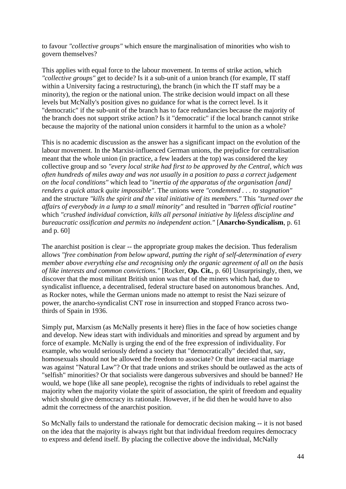to favour *"collective groups"* which ensure the marginalisation of minorities who wish to govern themselves?

This applies with equal force to the labour movement. In terms of strike action, which *"collective groups"* get to decide? Is it a sub-unit of a union branch (for example, IT staff within a University facing a restructuring), the branch (in which the IT staff may be a minority), the region or the national union. The strike decision would impact on all these levels but McNally's position gives no guidance for what is the correct level. Is it "democratic" if the sub-unit of the branch has to face redundancies because the majority of the branch does not support strike action? Is it "democratic" if the local branch cannot strike because the majority of the national union considers it harmful to the union as a whole?

This is no academic discussion as the answer has a significant impact on the evolution of the labour movement. In the Marxist-influenced German unions, the prejudice for centralisation meant that the whole union (in practice, a few leaders at the top) was considered the key collective group and so *"every local strike had first to be approved by the Central, which was often hundreds of miles away and was not usually in a position to pass a correct judgement on the local conditions"* which lead to *"inertia of the apparatus of the organisation [and] renders a quick attack quite impossible"*. The unions were *"condemned . . . to stagnation"* and the structure *"kills the spirit and the vital initiative of its members."* This *"turned over the affairs of everybody in a lump to a small minority"* and resulted in *"barren official routine"* which *"crushed individual conviction, kills all personal initiative by lifeless discipline and bureaucratic ossification and permits no independent action."* [**Anarcho-Syndicalism**, p. 61 and p. 60]

The anarchist position is clear -- the appropriate group makes the decision. Thus federalism allows *"free combination from below upward, putting the right of self-determination of every member above everything else and recognising only the organic agreement of all on the basis of like interests and common convictions."* [Rocker, **Op. Cit.**, p. 60] Unsurprisingly, then, we discover that the most militant British union was that of the miners which had, due to syndicalist influence, a decentralised, federal structure based on autonomous branches. And, as Rocker notes, while the German unions made no attempt to resist the Nazi seizure of power, the anarcho-syndicalist CNT rose in insurrection and stopped Franco across twothirds of Spain in 1936.

Simply put, Marxism (as McNally presents it here) flies in the face of how societies change and develop. New ideas start with individuals and minorities and spread by argument and by force of example. McNally is urging the end of the free expression of individuality. For example, who would seriously defend a society that "democratically" decided that, say, homosexuals should not be allowed the freedom to associate? Or that inter-racial marriage was against "Natural Law"? Or that trade unions and strikes should be outlawed as the acts of "selfish" minorities? Or that socialists were dangerous subversives and should be banned? He would, we hope (like all sane people), recognise the rights of individuals to rebel against the majority when the majority violate the spirit of association, the spirit of freedom and equality which should give democracy its rationale. However, if he did then he would have to also admit the correctness of the anarchist position.

So McNally fails to understand the rationale for democratic decision making -- it is not based on the idea that the majority is always right but that individual freedom requires democracy to express and defend itself. By placing the collective above the individual, McNally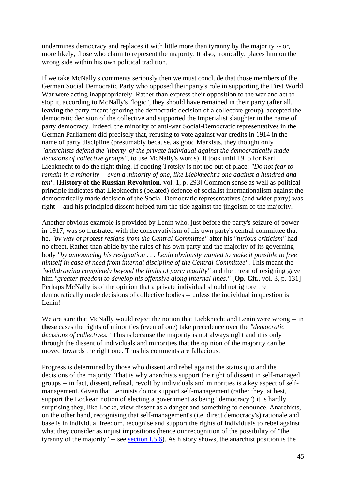undermines democracy and replaces it with little more than tyranny by the majority -- or, more likely, those who claim to represent the majority. It also, ironically, places him on the wrong side within his own political tradition.

If we take McNally's comments seriously then we must conclude that those members of the German Social Democratic Party who opposed their party's role in supporting the First World War were acting inappropriately. Rather than express their opposition to the war and act to stop it, according to McNally's "logic", they should have remained in their party (after all, **leaving** the party meant ignoring the democratic decision of a collective group), accepted the democratic decision of the collective and supported the Imperialist slaughter in the name of party democracy. Indeed, the minority of anti-war Social-Democratic representatives in the German Parliament did precisely that, refusing to vote against war credits in 1914 in the name of party discipline (presumably because, as good Marxists, they thought only *"anarchists defend the 'liberty' of the private individual against the democratically made decisions of collective groups"*, to use McNally's words). It took until 1915 for Karl Liebknecht to do the right thing. If quoting Trotsky is not too out of place: *"Do not fear to remain in a minority -- even a minority of one, like Liebknecht's one against a hundred and ten"*. [**History of the Russian Revolution**, vol. 1, p. 293] Common sense as well as political principle indicates that Liebknecht's (belated) defence of socialist internationalism against the democratically made decision of the Social-Democratic representatives (and wider party) was right -- and his principled dissent helped turn the tide against the jingoism of the majority.

Another obvious example is provided by Lenin who, just before the party's seizure of power in 1917, was so frustrated with the conservativism of his own party's central committee that he, *"by way of protest resigns from the Central Committee"* after his *"furious criticism"* had no effect. Rather than abide by the rules of his own party and the majority of its governing body *"by announcing his resignation . . . Lenin obviously wanted to make it possible to free himself in case of need from internal discipline of the Central Committee"*. This meant the *"withdrawing completely beyond the limits of party legality"* and the threat of resigning gave him *"greater freedom to develop his offensive along internal lines."* [**Op. Cit.**, vol. 3, p. 131] Perhaps McNally is of the opinion that a private individual should not ignore the democratically made decisions of collective bodies -- unless the individual in question is Lenin!

We are sure that McNally would reject the notion that Liebknecht and Lenin were wrong -- in **these** cases the rights of minorities (even of one) take precedence over the *"democratic decisions of collectives."* This is because the majority is not always right and it is only through the dissent of individuals and minorities that the opinion of the majority can be moved towards the right one. Thus his comments are fallacious.

Progress is determined by those who dissent and rebel against the status quo and the decisions of the majority. That is why anarchists support the right of dissent in self-managed groups -- in fact, dissent, refusal, revolt by individuals and minorities is a key aspect of selfmanagement. Given that Leninists do not support self-management (rather they, at best, support the Lockean notion of electing a government as being "democracy") it is hardly surprising they, like Locke, view dissent as a danger and something to denounce. Anarchists, on the other hand, recognising that self-management's (i.e. direct democracy's) rationale and base is in individual freedom, recognise and support the rights of individuals to rebel against what they consider as unjust impositions (hence our recognition of the possibility of "the tyranny of the majority" -- see [section I.5.6\)](sectionI.html#seci56). As history shows, the anarchist position is the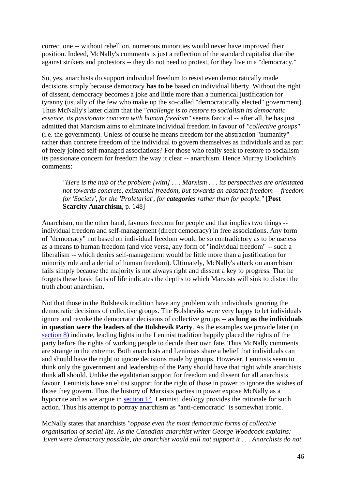correct one -- without rebellion, numerous minorities would never have improved their position. Indeed, McNally's comments is just a reflection of the standard capitalist diatribe against strikers and protestors -- they do not need to protest, for they live in a "democracy."

So, yes, anarchists do support individual freedom to resist even democratically made decisions simply because democracy **has to be** based on individual liberty. Without the right of dissent, democracy becomes a joke and little more than a numerical justification for tyranny (usually of the few who make up the so-called "democratically elected" government). Thus McNally's latter claim that the *"challenge is to restore to socialism its democratic essence, its passionate concern with human freedom"* seems farcical -- after all, he has just admitted that Marxism aims to eliminate individual freedom in favour of *"collective groups"* (i.e. the government). Unless of course he means freedom for the abstraction "humanity" rather than concrete freedom of the individual to govern themselves as individuals and as part of freely joined self-managed associations? For those who really seek to restore to socialism its passionate concern for freedom the way it clear -- anarchism. Hence Murray Bookchin's comments:

*"Here is the nub of the problem [with] . . . Marxism . . . its perspectives are orientated not towards concrete, existential freedom, but towards an abstract freedom -- freedom for 'Society', for the 'Proletariat', for categories rather than for people."* [**Post Scarcity Anarchism**, p. 148]

Anarchism, on the other hand, favours freedom for people and that implies two things - individual freedom and self-management (direct democracy) in free associations. Any form of "democracy" not based on individual freedom would be so contradictory as to be useless as a means to human freedom (and vice versa, any form of "individual freedom" -- such a liberalism -- which denies self-management would be little more than a justification for minority rule and a denial of human freedom). Ultimately, McNally's attack on anarchism fails simply because the majority is not always right and dissent a key to progress. That he forgets these basic facts of life indicates the depths to which Marxists will sink to distort the truth about anarchism.

Not that those in the Bolshevik tradition have any problem with individuals ignoring the democratic decisions of collective groups. The Bolsheviks were very happy to let individuals ignore and revoke the democratic decisions of collective groups -- **as long as the individuals in question were the leaders of the Bolshevik Party**. As the examples we provide later (in [section 8\)](append31.html#app8) indicate, leading lights in the Leninist tradition happily placed the rights of the party before the rights of working people to decide their own fate. Thus McNally comments are strange in the extreme. Both anarchists and Leninists share a belief that individuals can and should have the right to ignore decisions made by groups. However, Leninists seem to think only the government and leadership of the Party should have that right while anarchists think **all** should. Unlike the egalitarian support for freedom and dissent for all anarchists favour, Leninists have an elitist support for the right of those in power to ignore the wishes of those they govern. Thus the history of Marxists parties in power expose McNally as a hypocrite and as we argue in [section 14,](append31.html#app14) Leninist ideology provides the rationale for such action. Thus his attempt to portray anarchism as "anti-democratic" is somewhat ironic.

McNally states that anarchists *"oppose even the most democratic forms of collective organisation of social life. As the Canadian anarchist writer George Woodcock explains: 'Even were democracy possible, the anarchist would still not support it . . . Anarchists do not*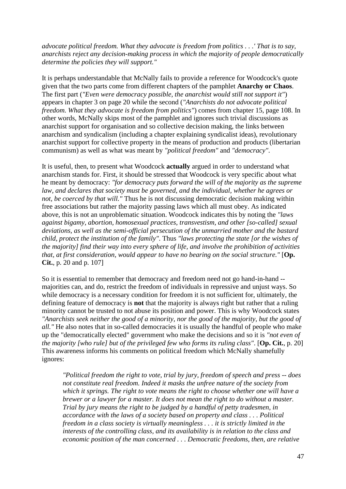*advocate political freedom. What they advocate is freedom from politics . . .' That is to say, anarchists reject any decision-making process in which the majority of people democratically determine the policies they will support."*

It is perhaps understandable that McNally fails to provide a reference for Woodcock's quote given that the two parts come from different chapters of the pamphlet **Anarchy or Chaos**. The first part (*"Even were democracy possible, the anarchist would still not support it"*) appears in chapter 3 on page 20 while the second (*"Anarchists do not advocate political freedom. What they advocate is freedom from politics"*) comes from chapter 15, page 108. In other words, McNally skips most of the pamphlet and ignores such trivial discussions as anarchist support for organisation and so collective decision making, the links between anarchism and syndicalism (including a chapter explaining syndicalist ideas), revolutionary anarchist support for collective property in the means of production and products (libertarian communism) as well as what was meant by *"political freedom"* and *"democracy"*.

It is useful, then, to present what Woodcock **actually** argued in order to understand what anarchism stands for. First, it should be stressed that Woodcock is very specific about what he meant by democracy: *"for democracy puts forward the will of the majority as the supreme law, and declares that society must be governed, and the individual, whether he agrees or not, be coerced by that will."* Thus he is not discussing democratic decision making within free associations but rather the majority passing laws which all must obey. As indicated above, this is not an unproblematic situation. Woodcock indicates this by noting the *"laws against bigamy, abortion, homosexual practices, transvestism, and other [so-called] sexual deviations, as well as the semi-official persecution of the unmarried mother and the bastard child, protect the institution of the family"*. Thus *"laws protecting the state [or the wishes of the majority] find their way into every sphere of life, and involve the prohibition of activities that, at first consideration, would appear to have no bearing on the social structure."* [**Op. Cit.**, p. 20 and p. 107]

So it is essential to remember that democracy and freedom need not go hand-in-hand - majorities can, and do, restrict the freedom of individuals in repressive and unjust ways. So while democracy is a necessary condition for freedom it is not sufficient for, ultimately, the defining feature of democracy is **not** that the majority is always right but rather that a ruling minority cannot be trusted to not abuse its position and power. This is why Woodcock states *"Anarchists seek neither the good of a minority, nor the good of the majority, but the good of all."* He also notes that in so-called democracies it is usually the handful of people who make up the "democratically elected" government who make the decisions and so it is *"not even of the majority [who rule] but of the privileged few who forms its ruling class"*. [**Op. Cit.**, p. 20] This awareness informs his comments on political freedom which McNally shamefully ignores:

*"Political freedom the right to vote, trial by jury, freedom of speech and press -- does not constitute real freedom. Indeed it masks the unfree nature of the society from which it springs. The right to vote means the right to choose whether one will have a brewer or a lawyer for a master. It does not mean the right to do without a master. Trial by jury means the right to be judged by a handful of petty tradesmen, in accordance with the laws of a society based on property and class . . . Political freedom in a class society is virtually meaningless . . . it is strictly limited in the interests of the controlling class, and its availability is in relation to the class and economic position of the man concerned . . . Democratic freedoms, then, are relative*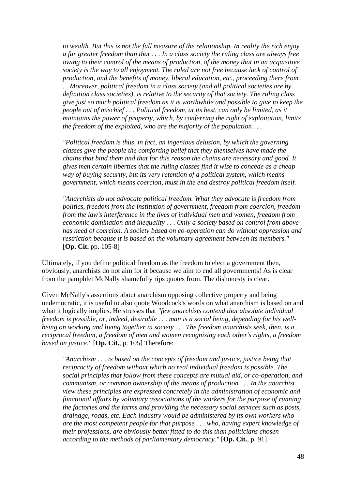*to wealth. But this is not the full measure of the relationship. In reality the rich enjoy a far greater freedom than that . . . In a class society the ruling class are always free owing to their control of the means of production, of the money that in an acquisitive society is the way to all enjoyment. The ruled are not free because lack of control of production, and the benefits of money, liberal education, etc., proceeding there from . . . Moreover, political freedom in a class society (and all political societies are by definition class societies), is relative to the security of that society. The ruling class give just so much political freedom as it is worthwhile and possible to give to keep the people out of mischief . . . Political freedom, at its best, can only be limited, as it maintains the power of property, which, by conferring the right of exploitation, limits the freedom of the exploited, who are the majority of the population . . .*

*"Political freedom is thus, in fact, an ingenious delusion, by which the governing classes give the people the comforting belief that they themselves have made the chains that bind them and that for this reason the chains are necessary and good. It gives men certain liberties that the ruling classes find it wise to concede as a cheap way of buying security, but its very retention of a political system, which means government, which means coercion, must in the end destroy political freedom itself.*

*"Anarchists do not advocate political freedom. What they advocate is freedom from politics, freedom from the institution of government, freedom from coercion, freedom from the law's interference in the lives of individual men and women, freedom from economic domination and inequality . . . Only a society based on control from above has need of coercion. A society based on co-operation can do without oppression and restriction because it is based on the voluntary agreement between its members."* [**Op. Cit.** pp. 105-8]

Ultimately, if you define political freedom as the freedom to elect a government then, obviously, anarchists do not aim for it because we aim to end all governments! As is clear from the pamphlet McNally shamefully rips quotes from. The dishonesty is clear.

Given McNally's assertions about anarchism opposing collective property and being undemocratic, it is useful to also quote Woodcock's words on what anarchism is based on and what it logically implies. He stresses that *"few anarchists contend that absolute individual freedom is possible, or, indeed, desirable . . . man is a social being, depending for his wellbeing on working and living together in society . . . The freedom anarchists seek, then, is a reciprocal freedom, a freedom of men and women recognising each other's rights, a freedom based on justice."* [**Op. Cit.**, p. 105] Therefore:

*"Anarchism . . . is based on the concepts of freedom and justice, justice being that reciprocity of freedom without which no real individual freedom is possible. The social principles that follow from these concepts are mutual aid, or co-operation, and communism, or common ownership of the means of production . . . In the anarchist view these principles are expressed concretely in the administration of economic and functional affairs by voluntary associations of the workers for the purpose of running the factories and the farms and providing the necessary social services such as posts, drainage, roads, etc. Each industry would be administered by its own workers who are the most competent people for that purpose . . . who, having expert knowledge of their professions, are obviously better fitted to do this than politicians chosen according to the methods of parliamentary democracy."* [**Op. Cit.**, p. 91]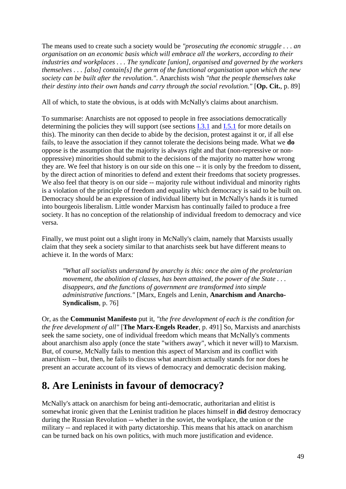The means used to create such a society would be *"prosecuting the economic struggle . . . an organisation on an economic basis which will embrace all the workers, according to their industries and workplaces . . . The syndicate [union], organised and governed by the workers themselves . . . [also] contain[s] the germ of the functional organisation upon which the new society can be built after the revolution."*. Anarchists wish *"that the people themselves take their destiny into their own hands and carry through the social revolution."* [**Op. Cit.**, p. 89]

All of which, to state the obvious, is at odds with McNally's claims about anarchism.

To summarise: Anarchists are not opposed to people in free associations democratically determining the policies they will support (see sections [I.3.1](sectionI.html#seci31) and [I.5.1](sectionI.html#seci51) for more details on this). The minority can then decide to abide by the decision, protest against it or, if all else fails, to leave the association if they cannot tolerate the decisions being made. What we **do** oppose is the assumption that the majority is always right and that (non-repressive or nonoppressive) minorities should submit to the decisions of the majority no matter how wrong they are. We feel that history is on our side on this one -- it is only by the freedom to dissent, by the direct action of minorities to defend and extent their freedoms that society progresses. We also feel that theory is on our side -- majority rule without individual and minority rights is a violation of the principle of freedom and equality which democracy is said to be built on. Democracy should be an expression of individual liberty but in McNally's hands it is turned into bourgeois liberalism. Little wonder Marxism has continually failed to produce a free society. It has no conception of the relationship of individual freedom to democracy and vice versa.

Finally, we must point out a slight irony in McNally's claim, namely that Marxists usually claim that they seek a society similar to that anarchists seek but have different means to achieve it. In the words of Marx:

*"What all socialists understand by anarchy is this: once the aim of the proletarian movement, the abolition of classes, has been attained, the power of the State . . . disappears, and the functions of government are transformed into simple administrative functions."* [Marx, Engels and Lenin, **Anarchism and Anarcho-Syndicalism**, p. 76]

Or, as the **Communist Manifesto** put it, *"the free development of each is the condition for the free development of all"* [**The Marx-Engels Reader**, p. 491] So, Marxists and anarchists seek the same society, one of individual freedom which means that McNally's comments about anarchism also apply (once the state "withers away", which it never will) to Marxism. But, of course, McNally fails to mention this aspect of Marxism and its conflict with anarchism -- but, then, he fails to discuss what anarchism actually stands for nor does he present an accurate account of its views of democracy and democratic decision making.

# **8. Are Leninists in favour of democracy?**

McNally's attack on anarchism for being anti-democratic, authoritarian and elitist is somewhat ironic given that the Leninist tradition he places himself in **did** destroy democracy during the Russian Revolution -- whether in the soviet, the workplace, the union or the military -- and replaced it with party dictatorship. This means that his attack on anarchism can be turned back on his own politics, with much more justification and evidence.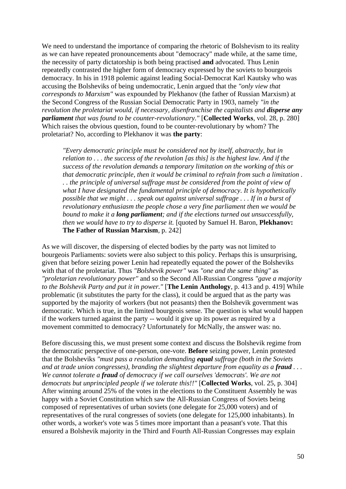We need to understand the importance of comparing the rhetoric of Bolshevism to its reality as we can have repeated pronouncements about "democracy" made while, at the same time, the necessity of party dictatorship is both being practised **and** advocated. Thus Lenin repeatedly contrasted the higher form of democracy expressed by the soviets to bourgeois democracy. In his in 1918 polemic against leading Social-Democrat Karl Kautsky who was accusing the Bolsheviks of being undemocratic, Lenin argued that the *"only view that corresponds to Marxism"* was expounded by Plekhanov (the father of Russian Marxism) at the Second Congress of the Russian Social Democratic Party in 1903, namely *"in the revolution the proletariat would, if necessary, disenfranchise the capitalists and <i>disperse any parliament that was found to be counter-revolutionary."* [**Collected Works**, vol. 28, p. 280] Which raises the obvious question, found to be counter-revolutionary by whom? The proletariat? No, according to Plekhanov it was **the party**:

*"Every democratic principle must be considered not by itself, abstractly, but in relation to . . . the success of the revolution [as this] is the highest law. And if the success of the revolution demands a temporary limitation on the working of this or that democratic principle, then it would be criminal to refrain from such a limitation . . . the principle of universal suffrage must be considered from the point of view of what I have designated the fundamental principle of democracy. It is hypothetically possible that we might . . . speak out against universal suffrage . . . If in a burst of revolutionary enthusiasm the people chose a very fine parliament then we would be bound to make it a long parliament; and if the elections turned out unsuccessfully, then we would have to try to disperse it.* [quoted by Samuel H. Baron, **Plekhanov: The Father of Russian Marxism**, p. 242]

As we will discover, the dispersing of elected bodies by the party was not limited to bourgeois Parliaments: soviets were also subject to this policy. Perhaps this is unsurprising, given that before seizing power Lenin had repeatedly equated the power of the Bolsheviks with that of the proletariat. Thus *"Bolshevik power"* was *"one and the same thing"* as *"proletarian revolutionary power"* and so the Second All-Russian Congress *"gave a majority to the Bolshevik Party and put it in power."* [**The Lenin Anthology**, p. 413 and p. 419] While problematic (it substitutes the party for the class), it could be argued that as the party was supported by the majority of workers (but not peasants) then the Bolshevik government was democratic. Which is true, in the limited bourgeois sense. The question is what would happen if the workers turned against the party -- would it give up its power as required by a movement committed to democracy? Unfortunately for McNally, the answer was: no.

Before discussing this, we must present some context and discuss the Bolshevik regime from the democratic perspective of one-person, one-vote. **Before** seizing power, Lenin protested that the Bolsheviks *"must pass a resolution demanding equal suffrage (both in the Soviets and at trade union congresses), branding the slightest departure from equality as a fraud* ... *We cannot tolerate a fraud of democracy if we call ourselves 'democrats'. We are not democrats but unprincipled people if we tolerate this!!"* [**Collected Works**, vol. 25, p. 304] After winning around 25% of the votes in the elections to the Constituent Assembly he was happy with a Soviet Constitution which saw the All-Russian Congress of Soviets being composed of representatives of urban soviets (one delegate for 25,000 voters) and of representatives of the rural congresses of soviets (one delegate for 125,000 inhabitants). In other words, a worker's vote was 5 times more important than a peasant's vote. That this ensured a Bolshevik majority in the Third and Fourth All-Russian Congresses may explain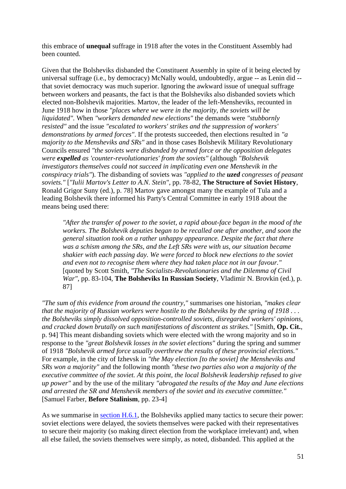this embrace of **unequal** suffrage in 1918 after the votes in the Constituent Assembly had been counted.

Given that the Bolsheviks disbanded the Constituent Assembly in spite of it being elected by universal suffrage (i.e., by democracy) McNally would, undoubtedly, argue -- as Lenin did - that soviet democracy was much superior. Ignoring the awkward issue of unequal suffrage between workers and peasants, the fact is that the Bolsheviks also disbanded soviets which elected non-Bolshevik majorities. Martov, the leader of the left-Mensheviks, recounted in June 1918 how in those *"places where we were in the majority, the soviets will be liquidated".* When *"workers demanded new elections"* the demands were *"stubbornly resisted"* and the issue *"escalated to workers' strikes and the suppression of workers' demonstrations by armed forces"*. If the protests succeeded, then elections resulted in *"a majority to the Mensheviks and SRs"* and in those cases Bolshevik Military Revolutionary Councils ensured *"the soviets were disbanded by armed force or the opposition delegates were expelled as 'counter-revolutionaries' from the soviets"* (although *"Bolshevik investigators themselves could not succeed in implicating even one Menshevik in the conspiracy trials"*). The disbanding of soviets was *"applied to the uzed congresses of peasant soviets."* [*"Iulii Martov's Letter to A.N. Stein"*, pp. 78-82, **The Structure of Soviet History**, Ronald Grigor Suny (ed.), p. 78] Martov gave amongst many the example of Tula and a leading Bolshevik there informed his Party's Central Committee in early 1918 about the means being used there:

*"After the transfer of power to the soviet, a rapid about-face began in the mood of the workers. The Bolshevik deputies began to be recalled one after another, and soon the general situation took on a rather unhappy appearance. Despite the fact that there was a schism among the SRs, and the Left SRs were with us, our situation became shakier with each passing day. We were forced to block new elections to the soviet and even not to recognise them where they had taken place not in our favour."* [quoted by Scott Smith, *"The Socialists-Revolutionaries and the Dilemma of Civil War"*, pp. 83-104, **The Bolsheviks In Russian Society**, Vladimir N. Brovkin (ed.), p. 87]

*"The sum of this evidence from around the country,"* summarises one historian, *"makes clear that the majority of Russian workers were hostile to the Bolsheviks by the spring of 1918 . . . the Bolsheviks simply dissolved opposition-controlled soviets, disregarded workers' opinions, and cracked down brutally on such manifestations of discontent as strikes."* [Smith, **Op. Cit.**, p. 94] This meant disbanding soviets which were elected with the wrong majority and so in response to the *"great Bolshevik losses in the soviet elections"* during the spring and summer of 1918 *"Bolshevik armed force usually overthrew the results of these provincial elections."* For example, in the city of Izhevsk in *"the May election [to the soviet] the Mensheviks and SRs won a majority"* and the following month *"these two parties also won a majority of the executive committee of the soviet. At this point, the local Bolshevik leadership refused to give up power"* and by the use of the military *"abrogated the results of the May and June elections and arrested the SR and Menshevik members of the soviet and its executive committee."* [Samuel Farber, **Before Stalinism**, pp. 23-4]

As we summarise in [section H.6.1,](sectionH.html#sech61) the Bolsheviks applied many tactics to secure their power: soviet elections were delayed, the soviets themselves were packed with their representatives to secure their majority (so making direct election from the workplace irrelevant) and, when all else failed, the soviets themselves were simply, as noted, disbanded. This applied at the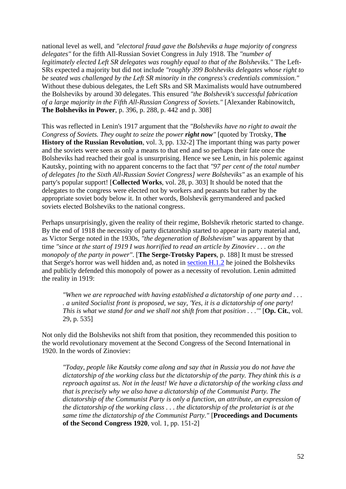national level as well, and *"electoral fraud gave the Bolsheviks a huge majority of congress delegates"* for the fifth All-Russian Soviet Congress in July 1918. The *"number of legitimately elected Left SR delegates was roughly equal to that of the Bolsheviks."* The Left-SRs expected a majority but did not include *"roughly 399 Bolsheviks delegates whose right to be seated was challenged by the Left SR minority in the congress's credentials commission."* Without these dubious delegates, the Left SRs and SR Maximalists would have outnumbered the Bolsheviks by around 30 delegates. This ensured *"the Bolshevik's successful fabrication of a large majority in the Fifth All-Russian Congress of Soviets."* [Alexander Rabinowitch, **The Bolsheviks in Power**, p. 396, p. 288, p. 442 and p. 308]

This was reflected in Lenin's 1917 argument that the *"Bolsheviks have no right to await the Congress of Soviets. They ought to seize the power right now"* [quoted by Trotsky, **The History of the Russian Revolution**, vol. 3, pp. 132-2] The important thing was party power and the soviets were seen as only a means to that end and so perhaps their fate once the Bolsheviks had reached their goal is unsurprising. Hence we see Lenin, in his polemic against Kautsky, pointing with no apparent concerns to the fact that *"97 per cent of the total number of delegates [to the Sixth All-Russian Soviet Congress] were Bolsheviks"* as an example of his party's popular support! [**Collected Works**, vol. 28, p. 303] It should be noted that the delegates to the congress were elected not by workers and peasants but rather by the appropriate soviet body below it. In other words, Bolshevik gerrymandered and packed soviets elected Bolsheviks to the national congress.

Perhaps unsurprisingly, given the reality of their regime, Bolshevik rhetoric started to change. By the end of 1918 the necessity of party dictatorship started to appear in party material and, as Victor Serge noted in the 1930s, *"the degeneration of Bolshevism"* was apparent by that time *"since at the start of 1919 I was horrified to read an article by Zinoviev . . . on the monopoly of the party in power"*. [**The Serge-Trotsky Papers**, p. 188] It must be stressed that Serge's horror was well hidden and, as noted in [section H.1.2](sectionH.html#sech12) he joined the Bolsheviks and publicly defended this monopoly of power as a necessity of revolution. Lenin admitted the reality in 1919:

*"When we are reproached with having established a dictatorship of one party and . . . . a united Socialist front is proposed, we say, 'Yes, it is a dictatorship of one party! This is what we stand for and we shall not shift from that position . . .'"* [**Op. Cit.**, vol. 29, p. 535]

Not only did the Bolsheviks not shift from that position, they recommended this position to the world revolutionary movement at the Second Congress of the Second International in 1920. In the words of Zinoviev:

*"Today, people like Kautsky come along and say that in Russia you do not have the dictatorship of the working class but the dictatorship of the party. They think this is a reproach against us. Not in the least! We have a dictatorship of the working class and that is precisely why we also have a dictatorship of the Communist Party. The dictatorship of the Communist Party is only a function, an attribute, an expression of the dictatorship of the working class . . . the dictatorship of the proletariat is at the same time the dictatorship of the Communist Party."* [**Proceedings and Documents of the Second Congress 1920**, vol. 1, pp. 151-2]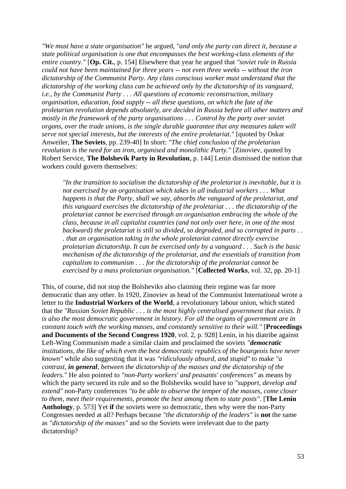*"We must have a state organisation"* he argued, *"and only the party can direct it, because a state political organisation is one that encompasses the best working-class elements of the entire country."* [**Op. Cit.**, p. 154] Elsewhere that year he argued that *"soviet rule in Russia could not have been maintained for three years -- not even three weeks -- without the iron dictatorship of the Communist Party. Any class conscious worker must understand that the dictatorship of the working class can be achieved only by the dictatorship of its vanguard, i.e., by the Communist Party . . . All questions of economic reconstruction, military organisation, education, food supply -- all these questions, on which the fate of the proletarian revolution depends absolutely, are decided in Russia before all other matters and mostly in the framework of the party organisations . . . Control by the party over soviet organs, over the trade unions, is the single durable guarantee that any measures taken will serve not special interests, but the interests of the entire proletariat."* [quoted by Oskar Anweiler, **The Soviets**, pp. 239-40] In short: *"The chief conclusion of the proletarian revolution is the need for an iron, organised and monolithic Party."* [Zinoviev, quoted by Robert Service, **The Bolshevik Party in Revolution**, p. 144] Lenin dismissed the notion that workers could govern themselves:

*"In the transition to socialism the dictatorship of the proletariat is inevitable, but it is not exercised by an organisation which takes in all industrial workers . . . What happens is that the Party, shall we say, absorbs the vanguard of the proletariat, and this vanguard exercises the dictatorship of the proletariat . . . the dictatorship of the proletariat cannot be exercised through an organisation embracing the whole of the class, because in all capitalist countries (and not only over here, in one of the most backward) the proletariat is still so divided, so degraded, and so corrupted in parts . . . that an organisation taking in the whole proletariat cannot directly exercise proletarian dictatorship. It can be exercised only by a vanguard . . . Such is the basic mechanism of the dictatorship of the proletariat, and the essentials of transition from capitalism to communism . . . for the dictatorship of the proletariat cannot be exercised by a mass proletarian organisation."* [**Collected Works**, vol. 32, pp. 20-1]

This, of course, did not stop the Bolsheviks also claiming their regime was far more democratic than any other. In 1920, Zinoviev as head of the Communist International wrote a letter to the **Industrial Workers of the World**, a revolutionary labour union, which stated that the *"Russian Soviet Republic . . . is the most highly centralised government that exists. It is also the most democratic government in history. For all the organs of government are in constant touch with the working masses, and constantly sensitive to their will."* [**Proceedings and Documents of the Second Congress 1920**, vol. 2, p. 928] Lenin, in his diatribe against Left-Wing Communism made a similar claim and proclaimed the soviets *"democratic institutions, the like of which even the best democratic republics of the bourgeois have never known"* while also suggesting that it was *"ridiculously absurd, and stupid"* to make *"a contrast, in general, between the dictatorship of the masses and the dictatorship of the leaders."* He also pointed to *"non-Party workers' and peasants' conferences"* as means by which the party secured its rule and so the Bolsheviks would have to *"support, develop and extend"* non-Party conferences *"to be able to observe the temper of the masses, come closer to them, meet their requirements, promote the best among them to state posts"*. [**The Lenin Anthology**, p. 573] Yet **if** the soviets were so democratic, then why were the non-Party Congresses needed at all? Perhaps because *"the dictatorship of the leaders"* is **not** the same as *"dictatorship of the masses"* and so the Soviets were irrelevant due to the party dictatorship?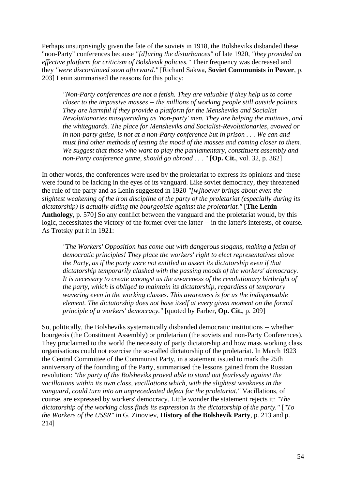Perhaps unsurprisingly given the fate of the soviets in 1918, the Bolsheviks disbanded these "non-Party" conferences because *"[d]uring the disturbances"* of late 1920, *"they provided an effective platform for criticism of Bolshevik policies."* Their frequency was decreased and they *"were discontinued soon afterward."* [Richard Sakwa, **Soviet Communists in Power**, p. 203] Lenin summarised the reasons for this policy:

*"Non-Party conferences are not a fetish. They are valuable if they help us to come closer to the impassive masses -- the millions of working people still outside politics. They are harmful if they provide a platform for the Mensheviks and Socialist Revolutionaries masquerading as 'non-party' men. They are helping the mutinies, and the whiteguards. The place for Mensheviks and Socialist-Revolutionaries, avowed or in non-party guise, is not at a non-Party conference but in prison . . . We can and must find other methods of testing the mood of the masses and coming closer to them. We suggest that those who want to play the parliamentary, constituent assembly and non-Party conference game, should go abroad . . . "* [**Op. Cit.**, vol. 32, p. 362]

In other words, the conferences were used by the proletariat to express its opinions and these were found to be lacking in the eyes of its vanguard. Like soviet democracy, they threatened the rule of the party and as Lenin suggested in 1920 *"[w]hoever brings about even the slightest weakening of the iron discipline of the party of the proletariat (especially during its dictatorship) is actually aiding the bourgeoisie against the proletariat."* [**The Lenin Anthology**, p. 570] So any conflict between the vanguard and the proletariat would, by this logic, necessitates the victory of the former over the latter -- in the latter's interests, of course. As Trotsky put it in 1921:

*"The Workers' Opposition has come out with dangerous slogans, making a fetish of democratic principles! They place the workers' right to elect representatives above the Party, as if the party were not entitled to assert its dictatorship even if that dictatorship temporarily clashed with the passing moods of the workers' democracy. It is necessary to create amongst us the awareness of the revolutionary birthright of the party, which is obliged to maintain its dictatorship, regardless of temporary wavering even in the working classes. This awareness is for us the indispensable element. The dictatorship does not base itself at every given moment on the formal principle of a workers' democracy."* [quoted by Farber, **Op. Cit.**, p. 209]

So, politically, the Bolsheviks systematically disbanded democratic institutions -- whether bourgeois (the Constituent Assembly) or proletarian (the soviets and non-Party Conferences). They proclaimed to the world the necessity of party dictatorship and how mass working class organisations could not exercise the so-called dictatorship of the proletariat. In March 1923 the Central Committee of the Communist Party, in a statement issued to mark the 25th anniversary of the founding of the Party, summarised the lessons gained from the Russian revolution: *"the party of the Bolsheviks proved able to stand out fearlessly against the vacillations within its own class, vacillations which, with the slightest weakness in the vanguard, could turn into an unprecedented defeat for the proletariat."* Vacillations, of course, are expressed by workers' democracy. Little wonder the statement rejects it: *"The dictatorship of the working class finds its expression in the dictatorship of the party."* [*"To the Workers of the USSR"* in G. Zinoviev, **History of the Bolshevik Party**, p. 213 and p. 214]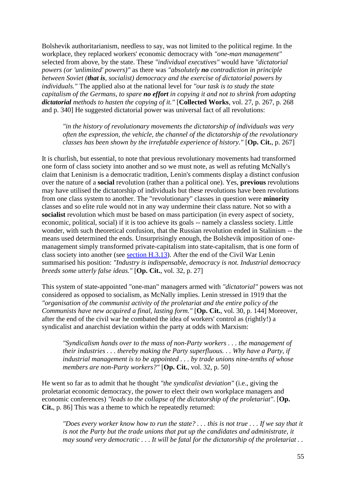Bolshevik authoritarianism, needless to say, was not limited to the political regime. In the workplace, they replaced workers' economic democracy with *"one-man management"* selected from above, by the state. These *"individual executives"* would have *"dictatorial powers (or 'unlimited' powers)"* as there was *"absolutely no contradiction in principle between Soviet (that is, socialist) democracy and the exercise of dictatorial powers by individuals."* The applied also at the national level for *"our task is to study the state capitalism of the Germans, to spare no effort in copying it and not to shrink from adopting dictatorial methods to hasten the copying of it."* [**Collected Works**, vol. 27, p. 267, p. 268 and p. 340] He suggested dictatorial power was universal fact of all revolutions:

*"in the history of revolutionary movements the dictatorship of individuals was very often the expression, the vehicle, the channel of the dictatorship of the revolutionary classes has been shown by the irrefutable experience of history."* [**Op. Cit.**, p. 267]

It is churlish, but essential, to note that previous revolutionary movements had transformed one form of class society into another and so we must note, as well as refuting McNally's claim that Leninism is a democratic tradition, Lenin's comments display a distinct confusion over the nature of a **social** revolution (rather than a political one). Yes, **previous** revolutions may have utilised the dictatorship of individuals but these revolutions have been revolutions from one class system to another. The "revolutionary" classes in question were **minority** classes and so elite rule would not in any way undermine their class nature. Not so with a **socialist** revolution which must be based on mass participation (in every aspect of society, economic, political, social) if it is too achieve its goals -- namely a classless society. Little wonder, with such theoretical confusion, that the Russian revolution ended in Stalinism -- the means used determined the ends. Unsurprisingly enough, the Bolshevik imposition of onemanagement simply transformed private-capitalism into state-capitalism, that is one form of class society into another (see [section H.3.13\)](sectionH.html#h313). After the end of the Civil War Lenin summarised his position: *"Industry is indispensable, democracy is not. Industrial democracy breeds some utterly false ideas."* [**Op. Cit.**, vol. 32, p. 27]

This system of state-appointed "one-man" managers armed with *"dictatorial"* powers was not considered as opposed to socialism, as McNally implies. Lenin stressed in 1919 that the *"organisation of the communist activity of the proletariat and the entire policy of the Communists have new acquired a final, lasting form."* [**Op. Cit.**, vol. 30, p. 144] Moreover, after the end of the civil war he combated the idea of workers' control as (rightly!) a syndicalist and anarchist deviation within the party at odds with Marxism:

*"Syndicalism hands over to the mass of non-Party workers . . . the management of their industries . . . thereby making the Party superfluous. . . Why have a Party, if industrial management is to be appointed . . . by trade unions nine-tenths of whose members are non-Party workers?"* [**Op. Cit.**, vol. 32, p. 50]

He went so far as to admit that he thought *"the syndicalist deviation"* (i.e., giving the proletariat economic democracy, the power to elect their own workplace managers and economic conferences) *"leads to the collapse of the dictatorship of the proletariat"*. [**Op. Cit.**, p. 86] This was a theme to which he repeatedly returned:

*"Does every worker know how to run the state? . . . this is not true . . . If we say that it is not the Party but the trade unions that put up the candidates and administrate, it may sound very democratic . . . It will be fatal for the dictatorship of the proletariat . .*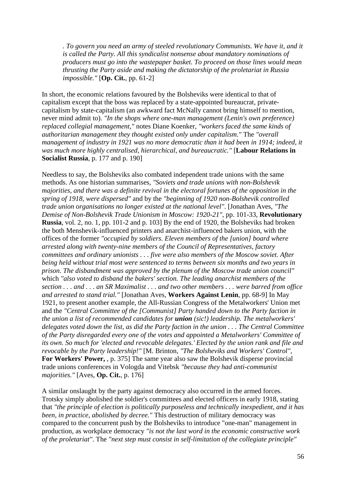*. To govern you need an army of steeled revolutionary Communists. We have it, and it is called the Party. All this syndicalist nonsense about mandatory nominations of producers must go into the wastepaper basket. To proceed on those lines would mean thrusting the Party aside and making the dictatorship of the proletariat in Russia impossible."* [**Op. Cit.**, pp. 61-2]

In short, the economic relations favoured by the Bolsheviks were identical to that of capitalism except that the boss was replaced by a state-appointed bureaucrat, privatecapitalism by state-capitalism (an awkward fact McNally cannot bring himself to mention, never mind admit to). *"In the shops where one-man management (Lenin's own preference) replaced collegial management,"* notes Diane Koenker, *"workers faced the same kinds of authoritarian management they thought existed only under capitalism."* The *"overall management of industry in 1921 was no more democratic than it had been in 1914; indeed, it was much more highly centralised, hierarchical, and bureaucratic."* [**Labour Relations in Socialist Russia**, p. 177 and p. 190]

Needless to say, the Bolsheviks also combated independent trade unions with the same methods. As one historian summarises, *"Soviets and trade unions with non-Bolshevik majorities, and there was a definite revival in the electoral fortunes of the opposition in the spring of 1918, were dispersed"* and by the *"beginning of 1920 non-Bolshevik controlled trade union organisations no longer existed at the national level"*. [Jonathan Aves, *"The Demise of Non-Bolshevik Trade Unionism in Moscow: 1920-21"*, pp. 101-33, **Revolutionary Russia**, vol. 2, no. 1, pp. 101-2 and p. 103] By the end of 1920, the Bolsheviks had broken the both Menshevik-influenced printers and anarchist-influenced bakers union, with the offices of the former *"occupied by soldiers. Eleven members of the [union] board where arrested along with twenty-nine members of the Council of Representatives, factory committees and ordinary unionists . . . five were also members of the Moscow soviet. After being held without trial most were sentenced to terms between six months and two years in prison. The disbandment was approved by the plenum of the Moscow trade union council"* which *"also voted to disband the bakers' section. The leading anarchist members of the section . . . and . . . an SR Maximalist . . . and two other members . . . were barred from office and arrested to stand trial."* [Jonathan Aves, **Workers Against Lenin**, pp. 68-9] In May 1921, to present another example, the All-Russian Congress of the Metalworkers' Union met and the *"Central Committee of the [Communist] Party handed down to the Party faction in the union a list of recommended candidates for union (sic!) leadership. The metalworkers' delegates voted down the list, as did the Party faction in the union . . . The Central Committee of the Party disregarded every one of the votes and appointed a Metalworkers' Committee of its own. So much for 'elected and revocable delegates.' Elected by the union rank and file and revocable by the Party leadership!"* [M. Brinton, *"The Bolsheviks and Workers' Control"*, **For Workers' Power,** , p. 375] The same year also saw the Bolshevik disperse provincial trade unions conferences in Vologda and Vitebsk *"because they had anti-communist majorities."* [Aves, **Op. Cit.**, p. 176]

A similar onslaught by the party against democracy also occurred in the armed forces. Trotsky simply abolished the soldier's committees and elected officers in early 1918, stating that *"the principle of election is politically purposeless and technically inexpedient, and it has been, in practice, abolished by decree."* This destruction of military democracy was compared to the concurrent push by the Bolsheviks to introduce "one-man" management in production, as workplace democracy *"is not the last word in the economic constructive work of the proletariat"*. The *"next step must consist in self-limitation of the collegiate principle"*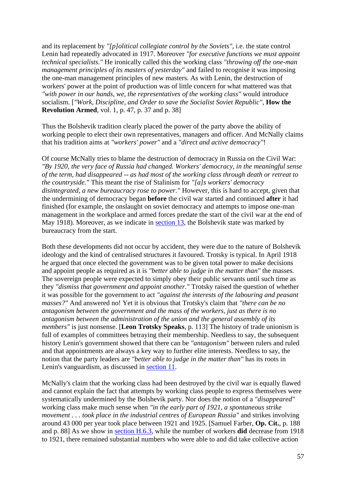and its replacement by *"[p]olitical collegiate control by the Soviets"*, i.e. the state control Lenin had repeatedly advocated in 1917. Moreover *"for executive functions we must appoint technical specialists."* He ironically called this the working class *"throwing off the one-man management principles of its masters of yesterday"* and failed to recognise it was imposing the one-man management principles of new masters. As with Lenin, the destruction of workers' power at the point of production was of little concern for what mattered was that *"with power in our hands, we, the representatives of the working class"* would introduce socialism. [*"Work, Discipline, and Order to save the Socialist Soviet Republic"*, **How the Revolution Armed**, vol. 1, p. 47, p. 37 and p. 38]

Thus the Bolshevik tradition clearly placed the power of the party above the ability of working people to elect their own representatives, managers and officer. And McNally claims that his tradition aims at *"workers' power"* and a *"direct and active democracy"*!

Of course McNally tries to blame the destruction of democracy in Russia on the Civil War: *"By 1920, the very face of Russia had changed. Workers' democracy, in the meaningful sense of the term, had disappeared -- as had most of the working class through death or retreat to the countryside."* This meant the rise of Stalinism for *"[a]s workers' democracy disintegrated, a new bureaucracy rose to power."* However, this is hard to accept, given that the undermining of democracy began **before** the civil war started and continued **after** it had finished (for example, the onslaught on soviet democracy and attempts to impose one-man management in the workplace and armed forces predate the start of the civil war at the end of May 1918). Moreover, as we indicate in [section 13,](append31.html#app13) the Bolshevik state was marked by bureaucracy from the start.

Both these developments did not occur by accident, they were due to the nature of Bolshevik ideology and the kind of centralised structures it favoured. Trotsky is typical. In April 1918 he argued that once elected the government was to be given total power to make decisions and appoint people as required as it is *"better able to judge in the matter than"* the masses. The sovereign people were expected to simply obey their public servants until such time as they *"dismiss that government and appoint another."* Trotsky raised the question of whether it was possible for the government to act *"against the interests of the labouring and peasant masses?"* And answered no! Yet it is obvious that Trotsky's claim that *"there can be no antagonism between the government and the mass of the workers, just as there is no antagonism between the administration of the union and the general assembly of its members"* is just nonsense. [**Leon Trotsky Speaks**, p. 113] The history of trade unionism is full of examples of committees betraying their membership. Needless to say, the subsequent history Lenin's government showed that there can be *"antagonism"* between rulers and ruled and that appointments are always a key way to further elite interests. Needless to say, the notion that the party leaders are *"better able to judge in the matter than"* has its roots in Lenin's vanguardism, as discussed in [section 11.](append31.html#app11)

McNally's claim that the working class had been destroyed by the civil war is equally flawed and cannot explain the fact that attempts by working class people to express themselves were systematically undermined by the Bolshevik party. Nor does the notion of a *"disappeared"* working class make much sense when *"in the early part of 1921, a spontaneous strike movement . . . took place in the industrial centres of European Russia"* and strikes involving around 43 000 per year took place between 1921 and 1925. [Samuel Farber, **Op. Cit.**, p. 188 and p. 88] As we show in [section H.6.3,](sectionH.html#sech63) while the number of workers **did** decrease from 1918 to 1921, there remained substantial numbers who were able to and did take collective action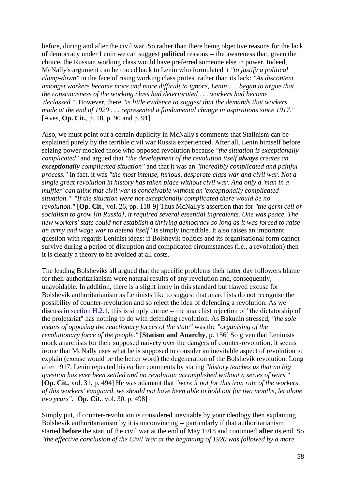before, during and after the civil war. So rather than there being objective reasons for the lack of democracy under Lenin we can suggest **political** reasons -- the awareness that, given the choice, the Russian working class would have preferred someone else in power. Indeed, McNally's argument can be traced back to Lenin who formulated it *"to justify a political clamp-down"* in the face of rising working class protest rather than its lack: *"As discontent amongst workers became more and more difficult to ignore, Lenin . . . began to argue that the consciousness of the working class had deteriorated . . . workers had become 'declassed.'"* However, there *"is little evidence to suggest that the demands that workers made at the end of 1920 . . . represented a fundamental change in aspirations since 1917."* [Aves, **Op. Cit.**, p. 18, p. 90 and p. 91]

Also, we must point out a certain duplicity in McNally's comments that Stalinism can be explained purely by the terrible civil war Russia experienced. After all, Lenin himself before seizing power mocked those who opposed revolution because *"the situation is exceptionally complicated"* and argued that *"the development of the revolution itself always creates an exceptionally complicated situation"* and that it was an *"incredibly complicated and painful process."* In fact, it was *"the most intense, furious, desperate class war and civil war. Not a single great revolution in history has taken place without civil war. And only a 'man in a muffler' can think that civil war is conceivable without an 'exceptionally complicated situation.'" "If the situation were not exceptionally complicated there would be no revolution."* [**Op. Cit.**, vol. 26, pp. 118-9] Thus McNally's assertion that for *"the germ cell of socialism to grow [in Russia], it required several essential ingredients. One was peace. The new workers' state could not establish a thriving democracy so long as it was forced to raise an army and wage war to defend itself"* is simply incredible. It also raises an important question with regards Leninist ideas: if Bolshevik politics and its organisational form cannot survive during a period of disruption and complicated circumstances (i.e., a revolution) then it is clearly a theory to be avoided at all costs.

The leading Bolsheviks all argued that the specific problems their latter day followers blame for their authoritarianism were natural results of any revolution and, consequently, unavoidable. In addition, there is a slight irony in this standard but flawed excuse for Bolshevik authoritarianism as Leninists like to suggest that anarchists do not recognise the possibility of counter-revolution and so reject the idea of defending a revolution. As we discuss in [section H.2.1,](sectionH.html#sech1) this is simply untrue -- the anarchist rejection of "the dictatorship of the proletariat" has nothing to do with defending revolution. As Bakunin stressed, *"the sole means of opposing the reactionary forces of the state"* was the *"organising of the revolutionary force of the people."* [**Statism and Anarchy**, p. 156] So given that Leninists mock anarchists for their supposed naivety over the dangers of counter-revolution, it seems ironic that McNally uses what he is supposed to consider an inevitable aspect of revolution to explain (excuse would be the better word) the degeneration of the Bolshevik revolution. Long after 1917, Lenin repeated his earlier comments by stating *"history teaches us that no big question has ever been settled and no revolution accomplished without a series of wars."* [**Op. Cit.**, vol. 31, p. 494] He was adamant that *"were it not for this iron rule of the workers, of this workers' vanguard, we should not have been able to hold out for two months, let alone two years"*. [**Op. Cit.**, vol. 30, p. 498]

Simply put, if counter-revolution is considered inevitable by your ideology then explaining Bolshevik authoritarianism by it is unconvincing -- particularly if that authoritarianism started **before** the start of the civil war at the end of May 1918 and continued **after** its end. So *"the effective conclusion of the Civil War at the beginning of 1920 was followed by a more*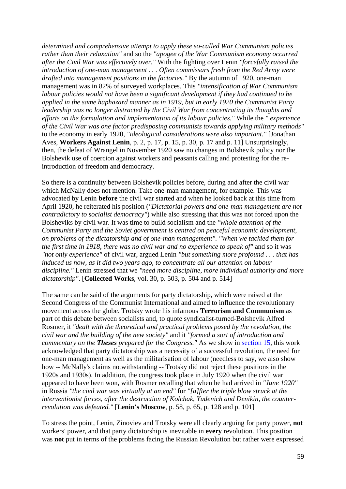*determined and comprehensive attempt to apply these so-called War Communism policies rather than their relaxation"* and so the *"apogee of the War Communism economy occurred after the Civil War was effectively over."* With the fighting over Lenin *"forcefully raised the introduction of one-man management . . . Often commissars fresh from the Red Army were drafted into management positions in the factories."* By the autumn of 1920, one-man management was in 82% of surveyed workplaces. This *"intensification of War Communism labour policies would not have been a significant development if they had continued to be applied in the same haphazard manner as in 1919, but in early 1920 the Communist Party leadership was no longer distracted by the Civil War from concentrating its thoughts and efforts on the formulation and implementation of its labour policies."* While the *" experience of the Civil War was one factor predisposing communists towards applying military methods"* to the economy in early 1920, *"ideological considerations were also important."* [Jonathan Aves, **Workers Against Lenin**, p. 2, p. 17, p. 15, p. 30, p. 17 and p. 11] Unsurprisingly, then, the defeat of Wrangel in November 1920 saw no changes in Bolshevik policy nor the Bolshevik use of coercion against workers and peasants calling and protesting for the reintroduction of freedom and democracy.

So there is a continuity between Bolshevik policies before, during and after the civil war which McNally does not mention. Take one-man management, for example. This was advocated by Lenin **before** the civil war started and when he looked back at this time from April 1920, he reiterated his position (*"Dictatorial powers and one-man management are not contradictory to socialist democracy"*) while also stressing that this was not forced upon the Bolsheviks by civil war. It was time to build socialism and the *"whole attention of the Communist Party and the Soviet government is centred on peaceful economic development, on problems of the dictatorship and of one-man management"*. *"When we tackled them for the first time in 1918, there was no civil war and no experience to speak of"* and so it was *"not only experience"* of civil war, argued Lenin *"but something more profound . . . that has induced us now, as it did two years ago, to concentrate all our attention on labour discipline."* Lenin stressed that we *"need more discipline, more individual authority and more dictatorship"*. [**Collected Works**, vol. 30, p. 503, p. 504 and p. 514]

The same can be said of the arguments for party dictatorship, which were raised at the Second Congress of the Communist International and aimed to influence the revolutionary movement across the globe. Trotsky wrote his infamous **Terrorism and Communism** as part of this debate between socialists and, to quote syndicalist-turned-Bolshevik Alfred Rosmer, it *"dealt with the theoretical and practical problems posed by the revolution, the civil war and the building of the new society"* and it *"formed a sort of introduction and commentary on the Theses prepared for the Congress."* As we show in [section 15,](append31.html#app15) this work acknowledged that party dictatorship was a necessity of a successful revolution, the need for one-man management as well as the militarisation of labour (needless to say, we also show how -- McNally's claims notwithstanding -- Trotsky did not reject these positions in the 1920s and 1930s). In addition, the congress took place in July 1920 when the civil war appeared to have been won, with Rosmer recalling that when he had arrived in *"June 1920"* in Russia *"the civil war was virtually at an end"* for *"[a]fter the triple blow struck at the interventionist forces, after the destruction of Kolchak, Yudenich and Denikin, the counterrevolution was defeated."* [**Lenin's Moscow**, p. 58, p. 65, p. 128 and p. 101]

To stress the point, Lenin, Zinoviev and Trotsky were all clearly arguing for party power, **not** workers' power, and that party dictatorship is inevitable in **every** revolution. This position was **not** put in terms of the problems facing the Russian Revolution but rather were expressed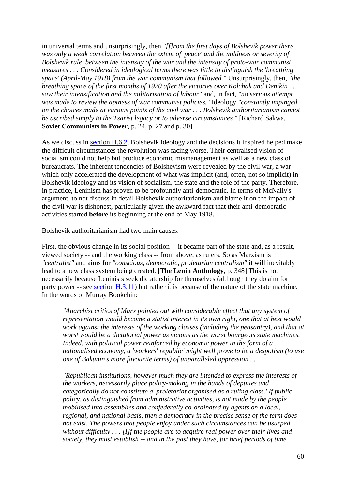in universal terms and unsurprisingly, then *"[f]rom the first days of Bolshevik power there was only a weak correlation between the extent of 'peace' and the mildness or severity of Bolshevik rule, between the intensity of the war and the intensity of proto-war communist measures . . . Considered in ideological terms there was little to distinguish the 'breathing space' (April-May 1918) from the war communism that followed."* Unsurprisingly, then, *"the breathing space of the first months of 1920 after the victories over Kolchak and Denikin . . . saw their intensification and the militarisation of labour"* and, in fact, *"no serious attempt was made to review the aptness of war communist policies."* Ideology *"constantly impinged on the choices made at various points of the civil war . . . Bolshevik authoritarianism cannot be ascribed simply to the Tsarist legacy or to adverse circumstances."* [Richard Sakwa, **Soviet Communists in Power**, p. 24, p. 27 and p. 30]

As we discuss in [section H.6.2,](sectionH.html#sech62) Bolshevik ideology and the decisions it inspired helped make the difficult circumstances the revolution was facing worse. Their centralised vision of socialism could not help but produce economic mismanagement as well as a new class of bureaucrats. The inherent tendencies of Bolshevism were revealed by the civil war, a war which only accelerated the development of what was implicit (and, often, not so implicit) in Bolshevik ideology and its vision of socialism, the state and the role of the party. Therefore, in practice, Leninism has proven to be profoundly anti-democratic. In terms of McNally's argument, to not discuss in detail Bolshevik authoritarianism and blame it on the impact of the civil war is dishonest, particularly given the awkward fact that their anti-democratic activities started **before** its beginning at the end of May 1918.

Bolshevik authoritarianism had two main causes.

First, the obvious change in its social position -- it became part of the state and, as a result, viewed society -- and the working class -- from above, as rulers. So as Marxism is *"centralist"* and aims for *"conscious, democratic, proletarian centralism"* it will inevitably lead to a new class system being created. [**The Lenin Anthology**, p. 348] This is not necessarily because Leninists seek dictatorship for themselves (although they do aim for party power -- see [section H.3.11\)](sectionH.html#sech311) but rather it is because of the nature of the state machine. In the words of Murray Bookchin:

*"Anarchist critics of Marx pointed out with considerable effect that any system of representation would become a statist interest in its own right, one that at best would work against the interests of the working classes (including the peasantry), and that at worst would be a dictatorial power as vicious as the worst bourgeois state machines. Indeed, with political power reinforced by economic power in the form of a nationalised economy, a 'workers' republic' might well prove to be a despotism (to use one of Bakunin's more favourite terms) of unparalleled oppression . . .* 

*"Republican institutions, however much they are intended to express the interests of the workers, necessarily place policy-making in the hands of deputies and categorically do not constitute a 'proletariat organised as a ruling class.' If public policy, as distinguished from administrative activities, is not made by the people mobilised into assemblies and confederally co-ordinated by agents on a local, regional, and national basis, then a democracy in the precise sense of the term does not exist. The powers that people enjoy under such circumstances can be usurped without difficulty . . . [I]f the people are to acquire real power over their lives and society, they must establish -- and in the past they have, for brief periods of time*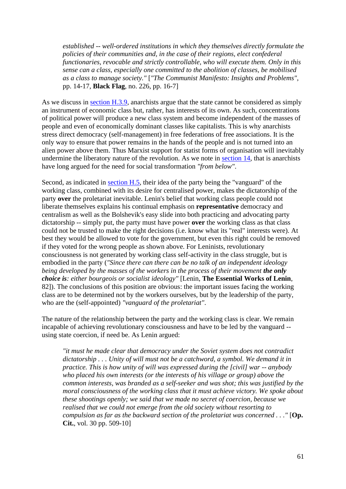*established -- well-ordered institutions in which they themselves directly formulate the policies of their communities and, in the case of their regions, elect confederal functionaries, revocable and strictly controllable, who will execute them. Only in this sense can a class, especially one committed to the abolition of classes, be mobilised as a class to manage society."* [*"The Communist Manifesto: Insights and Problems"*, pp. 14-17, **Black Flag**, no. 226, pp. 16-7]

As we discuss in [section H.3.9,](sectionH.html#sech39) anarchists argue that the state cannot be considered as simply an instrument of economic class but, rather, has interests of its own. As such, concentrations of political power will produce a new class system and become independent of the masses of people and even of economically dominant classes like capitalists. This is why anarchists stress direct democracy (self-management) in free federations of free associations. It is the only way to ensure that power remains in the hands of the people and is not turned into an alien power above them. Thus Marxist support for statist forms of organisation will inevitably undermine the liberatory nature of the revolution. As we note in [section 14,](append31.html#app14) that is anarchists have long argued for the need for social transformation *"from below"*.

Second, as indicated in [section H.5,](sectionH.html#sech5) their idea of the party being the "vanguard" of the working class, combined with its desire for centralised power, makes the dictatorship of the party **over** the proletariat inevitable. Lenin's belief that working class people could not liberate themselves explains his continual emphasis on **representative** democracy and centralism as well as the Bolshevik's easy slide into both practicing and advocating party dictatorship -- simply put, the party must have power **over** the working class as that class could not be trusted to make the right decisions (i.e. know what its "real" interests were). At best they would be allowed to vote for the government, but even this right could be removed if they voted for the wrong people as shown above. For Leninists, revolutionary consciousness is not generated by working class self-activity in the class struggle, but is embodied in the party (*"Since there can there can be no talk of an independent ideology being developed by the masses of the workers in the process of their movement the only choice is: either bourgeois or socialist ideology"* [Lenin, **The Essential Works of Lenin**, 82]). The conclusions of this position are obvious: the important issues facing the working class are to be determined not by the workers ourselves, but by the leadership of the party, who are the (self-appointed) *"vanguard of the proletariat"*.

The nature of the relationship between the party and the working class is clear. We remain incapable of achieving revolutionary consciousness and have to be led by the vanguard - using state coercion, if need be. As Lenin argued:

*"it must he made clear that democracy under the Soviet system does not contradict dictatorship . . . Unity of will must not be a catchword, a symbol. We demand it in practice. This is how unity of will was expressed during the [civil] war -- anybody who placed his own interests (or the interests of his village or group) above the common interests, was branded as a self-seeker and was shot; this was justified by the moral consciousness of the working class that it must achieve victory. We spoke about these shootings openly; we said that we made no secret of coercion, because we realised that we could not emerge from the old society without resorting to compulsion as far as the backward section of the proletariat was concerned . . ."* [**Op. Cit.**, vol. 30 pp. 509-10]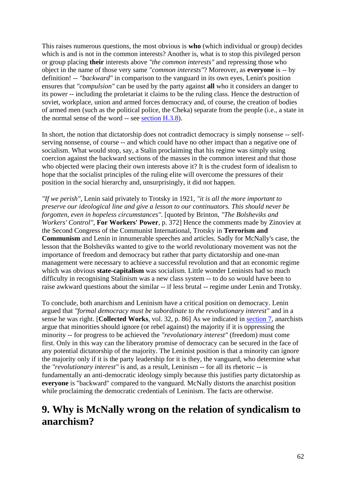This raises numerous questions, the most obvious is **who** (which individual or group) decides which is and is not in the common interests? Another is, what is to stop this pivileged person or group placing **their** interests above *"the common interests"* and repressing those who object in the name of those very same *"common interests"*? Moreover, as **everyone** is -- by definition! -- *"backward"* in comparison to the vanguard in its own eyes, Lenin's position ensures that *"compulsion"* can be used by the party against **all** who it considers an danger to its power -- including the proletariat it claims to be the ruling class. Hence the destruction of soviet, workplace, union and armed forces democracy and, of course, the creation of bodies of armed men (such as the political police, the Cheka) separate from the people (i.e., a state in the normal sense of the word -- see [section H.3.8\)](sectionH.html#sech38).

In short, the notion that dictatorship does not contradict democracy is simply nonsense -- selfserving nonsense, of course -- and which could have no other impact than a negative one of socialism. What would stop, say, a Stalin proclaiming that his regime was simply using coercion against the backward sections of the masses in the common interest and that those who objected were placing their own interests above it? It is the crudest form of idealism to hope that the socialist principles of the ruling elite will overcome the pressures of their position in the social hierarchy and, unsurprisingly, it did not happen.

*"If we perish"*, Lenin said privately to Trotsky in 1921, *"it is all the more important to preserve our ideological line and give a lesson to our continuators. This should never be forgotten, even in hopeless circumstances"*. [quoted by Brinton, *"The Bolsheviks and Workers' Control"*, **For Workers' Power**, p. 372] Hence the comments made by Zinoviev at the Second Congress of the Communist International, Trotsky in **Terrorism and Communism** and Lenin in innumerable speeches and articles. Sadly for McNally's case, the lesson that the Bolsheviks wanted to give to the world revolutionary movement was not the importance of freedom and democracy but rather that party dictatorship and one-man management were necessary to achieve a successful revolution and that an economic regime which was obvious **state-capitalism** was socialism. Little wonder Leninists had so much difficulty in recognising Stalinism was a new class system -- to do so would have been to raise awkward questions about the similar -- if less brutal -- regime under Lenin and Trotsky.

To conclude, both anarchism and Leninism have a critical position on democracy. Lenin argued that *"formal democracy must be subordinate to the revolutionary interest"* and in a sense he was right. [**Collected Works**, vol. 32, p. 86] As we indicated in [section 7,](append31.html#app7) anarchists argue that minorities should ignore (or rebel against) the majority if it is oppressing the minority -- for progress to be achieved the *"revolutionary interest"* (freedom) must come first. Only in this way can the liberatory promise of democracy can be secured in the face of any potential dictatorship of the majority. The Leninist position is that a minority can ignore the majority only if it is the party leadership for it is they, the vanguard, who determine what the *"revolutionary interest"* is and, as a result, Leninism -- for all its rhetoric -- is fundamentally an anti-democratic ideology simply because this justifies party dictatorship as **everyone** is "backward" compared to the vanguard. McNally distorts the anarchist position while proclaiming the democratic credentials of Leninism. The facts are otherwise.

#### **9. Why is McNally wrong on the relation of syndicalism to anarchism?**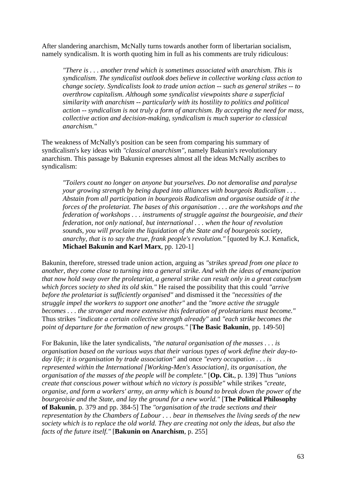After slandering anarchism, McNally turns towards another form of libertarian socialism, namely syndicalism. It is worth quoting him in full as his comments are truly ridiculous:

*"There is . . . another trend which is sometimes associated with anarchism. This is syndicalism. The syndicalist outlook does believe in collective working class action to change society. Syndicalists look to trade union action -- such as general strikes -- to overthrow capitalism. Although some syndicalist viewpoints share a superficial similarity with anarchism -- particularly with its hostility to politics and political action -- syndicalism is not truly a form of anarchism. By accepting the need for mass, collective action and decision-making, syndicalism is much superior to classical anarchism."*

The weakness of McNally's position can be seen from comparing his summary of syndicalism's key ideas with *"classical anarchism"*, namely Bakunin's revolutionary anarchism. This passage by Bakunin expresses almost all the ideas McNally ascribes to syndicalism:

*"Toilers count no longer on anyone but yourselves. Do not demoralise and paralyse your growing strength by being duped into alliances with bourgeois Radicalism . . . Abstain from all participation in bourgeois Radicalism and organise outside of it the forces of the proletariat. The bases of this organisation . . . are the workshops and the federation of workshops . . . instruments of struggle against the bourgeoisie, and their federation, not only national, but international . . . when the hour of revolution sounds, you will proclaim the liquidation of the State and of bourgeois society, anarchy, that is to say the true, frank people's revolution."* [quoted by K.J. Kenafick, **Michael Bakunin and Karl Marx**, pp. 120-1]

Bakunin, therefore, stressed trade union action, arguing as *"strikes spread from one place to another, they come close to turning into a general strike. And with the ideas of emancipation that now hold sway over the proletariat, a general strike can result only in a great cataclysm which forces society to shed its old skin."* He raised the possibility that this could *"arrive before the proletariat is sufficiently organised"* and dismissed it the *"necessities of the struggle impel the workers to support one another"* and the *"more active the struggle becomes . . . the stronger and more extensive this federation of proletarians must become."* Thus strikes *"indicate a certain collective strength already"* and *"each strike becomes the point of departure for the formation of new groups."* [**The Basic Bakunin**, pp. 149-50]

For Bakunin, like the later syndicalists, *"the natural organisation of the masses . . . is organisation based on the various ways that their various types of work define their day-today life; it is organisation by trade association"* and once *"every occupation . . . is represented within the International [Working-Men's Association], its organisation, the organisation of the masses of the people will be complete."* [**Op. Cit.**, p. 139] Thus *"unions create that conscious power without which no victory is possible"* while strikes *"create, organise, and form a workers' army, an army which is bound to break down the power of the bourgeoisie and the State, and lay the ground for a new world."* [**The Political Philosophy of Bakunin**, p. 379 and pp. 384-5] The *"organisation of the trade sections and their representation by the Chambers of Labour . . . bear in themselves the living seeds of the new society which is to replace the old world. They are creating not only the ideas, but also the facts of the future itself."* [**Bakunin on Anarchism**, p. 255]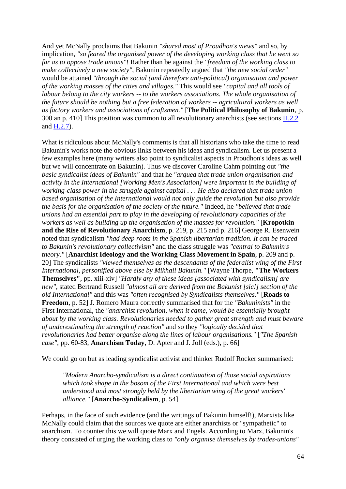And yet McNally proclaims that Bakunin *"shared most of Proudhon's views"* and so, by implication, *"so feared the organised power of the developing working class that he went so far as to oppose trade unions"*! Rather than be against the *"freedom of the working class to make collectively a new society"*, Bakunin repeatedly argued that *"the new social order"* would be attained *"through the social (and therefore anti-political) organisation and power of the working masses of the cities and villages."* This would see *"capital and all tools of labour belong to the city workers -- to the workers associations. The whole organisation of the future should be nothing but a free federation of workers -- agricultural workers as well as factory workers and associations of craftsmen."* [**The Political Philosophy of Bakunin**, p. 300 an p. 410] This position was common to all revolutionary anarchists (see sections [H.2.2](sectionH.html#sech2) and [H.2.7\)](sectionH.html#sech7).

What is ridiculous about McNally's comments is that all historians who take the time to read Bakunin's works note the obvious links between his ideas and syndicalism. Let us present a few examples here (many writers also point to syndicalist aspects in Proudhon's ideas as well but we will concentrate on Bakunin). Thus we discover Caroline Cahm pointing out *"the basic syndicalist ideas of Bakunin"* and that he *"argued that trade union organisation and activity in the International [Working Men's Association] were important in the building of working-class power in the struggle against capital . . . He also declared that trade union based organisation of the International would not only guide the revolution but also provide the basis for the organisation of the society of the future."* Indeed, he *"believed that trade unions had an essential part to play in the developing of revolutionary capacities of the workers as well as building up the organisation of the masses for revolution."* [**Kropotkin and the Rise of Revolutionary Anarchism**, p. 219, p. 215 and p. 216] George R. Esenwein noted that syndicalism *"had deep roots in the Spanish libertarian tradition. It can be traced to Bakunin's revolutionary collectivism"* and the class struggle was *"central to Bakunin's theory."* [**Anarchist Ideology and the Working Class Movement in Spain**, p. 209 and p. 20] The syndicalists *"viewed themselves as the descendants of the federalist wing of the First International, personified above else by Mikhail Bakunin."* [Wayne Thorpe, **"The Workers Themselves"**, pp. xiii-xiv] *"Hardly any of these ideas [associated with syndicalism] are new"*, stated Bertrand Russell *"almost all are derived from the Bakunist [sic!] section of the old International"* and this was *"often recognised by Syndicalists themselves."* [**Roads to Freedom**, p. 52] J. Romero Maura correctly summarised that for the *"Bakuninists"* in the First International, the *"anarchist revolution, when it came, would be essentially brought about by the working class. Revolutionaries needed to gather great strength and must beware of underestimating the strength of reaction"* and so they *"logically decided that revolutionaries had better organise along the lines of labour organisations."* [*"The Spanish case"*, pp. 60-83, **Anarchism Today**, D. Apter and J. Joll (eds.), p. 66]

We could go on but as leading syndicalist activist and thinker Rudolf Rocker summarised:

*"Modern Anarcho-syndicalism is a direct continuation of those social aspirations which took shape in the bosom of the First International and which were best understood and most strongly held by the libertarian wing of the great workers' alliance."* [**Anarcho-Syndicalism**, p. 54]

Perhaps, in the face of such evidence (and the writings of Bakunin himself!), Marxists like McNally could claim that the sources we quote are either anarchists or "sympathetic" to anarchism. To counter this we will quote Marx and Engels. According to Marx, Bakunin's theory consisted of urging the working class to *"only organise themselves by trades-unions"*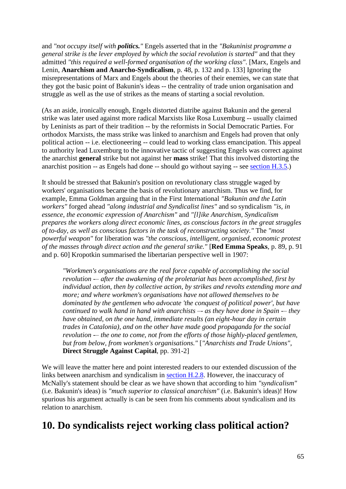and *"not occupy itself with politics."* Engels asserted that in the *"Bakuninist programme a general strike is the lever employed by which the social revolution is started"* and that they admitted *"this required a well-formed organisation of the working class"*. [Marx, Engels and Lenin, **Anarchism and Anarcho-Syndicalism**, p. 48, p. 132 and p. 133] Ignoring the misrepresentations of Marx and Engels about the theories of their enemies, we can state that they got the basic point of Bakunin's ideas -- the centrality of trade union organisation and struggle as well as the use of strikes as the means of starting a social revolution.

(As an aside, ironically enough, Engels distorted diatribe against Bakunin and the general strike was later used against more radical Marxists like Rosa Luxemburg -- usually claimed by Leninists as part of their tradition -- by the reformists in Social Democratic Parties. For orthodox Marxists, the mass strike was linked to anarchism and Engels had proven that only political action -- i.e. electioneering -- could lead to working class emancipation. This appeal to authority lead Luxemburg to the innovative tactic of suggesting Engels was correct against the anarchist **general** strike but not against her **mass** strike! That this involved distorting the anarchist position -- as Engels had done -- should go without saying -- see [section H.3.5.](sectionH.html#sech35))

It should be stressed that Bakunin's position on revolutionary class struggle waged by workers' organisations became the basis of revolutionary anarchism. Thus we find, for example, Emma Goldman arguing that in the First International *"Bakunin and the Latin workers"* forged ahead *"along industrial and Syndicalist lines"* and so syndicalism *"is, in essence, the economic expression of Anarchism"* and *"[l]ike Anarchism, Syndicalism prepares the workers along direct economic lines, as conscious factors in the great struggles of to-day, as well as conscious factors in the task of reconstructing society."* The *"most powerful weapon"* for liberation was *"the conscious, intelligent, organised, economic protest of the masses through direct action and the general strike."* [**Red Emma Speaks**, p. 89, p. 91 and p. 60] Kropotkin summarised the libertarian perspective well in 1907:

*"Workmen's organisations are the real force capable of accomplishing the social revolution -– after the awakening of the proletariat has been accomplished, first by individual action, then by collective action, by strikes and revolts extending more and more; and where workmen's organisations have not allowed themselves to be dominated by the gentlemen who advocate 'the conquest of political power', but have continued to walk hand in hand with anarchists –- as they have done in Spain -– they have obtained, on the one hand, immediate results (an eight-hour day in certain trades in Catalonia), and on the other have made good propaganda for the social revolution -– the one to come, not from the efforts of those highly-placed gentlemen, but from below, from workmen's organisations."* [*"Anarchists and Trade Unions"*, **Direct Struggle Against Capital**, pp. 391-2]

We will leave the matter here and point interested readers to our extended discussion of the links between anarchism and syndicalism in [section H.2.8.](sectionH.html#sech8) However, the inaccuracy of McNally's statement should be clear as we have shown that according to him *"syndicalism"* (i.e. Bakunin's ideas) is *"much superior to classical anarchism"* (i.e. Bakunin's ideas)! How spurious his argument actually is can be seen from his comments about syndicalism and its relation to anarchism.

# **10. Do syndicalists reject working class political action?**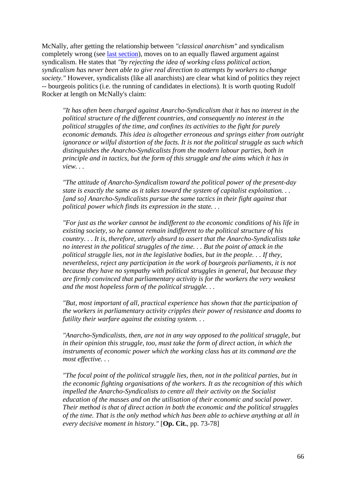McNally, after getting the relationship between *"classical anarchism"* and syndicalism completely wrong (see [last section\)](append31.html#app9), moves on to an equally flawed argument against syndicalism. He states that *"by rejecting the idea of working class political action, syndicalism has never been able to give real direction to attempts by workers to change society."* However, syndicalists (like all anarchists) are clear what kind of politics they reject -- bourgeois politics (i.e. the running of candidates in elections). It is worth quoting Rudolf Rocker at length on McNally's claim:

*"It has often been charged against Anarcho-Syndicalism that it has no interest in the political structure of the different countries, and consequently no interest in the political struggles of the time, and confines its activities to the fight for purely economic demands. This idea is altogether erroneous and springs either from outright ignorance or wilful distortion of the facts. It is not the political struggle as such which distinguishes the Anarcho-Syndicalists from the modern labour parties, both in principle and in tactics, but the form of this struggle and the aims which it has in view. . .*

*"The attitude of Anarcho-Syndicalism toward the political power of the present-day state is exactly the same as it takes toward the system of capitalist exploitation. . . [and so] Anarcho-Syndicalists pursue the same tactics in their fight against that political power which finds its expression in the state. . .*

*"For just as the worker cannot be indifferent to the economic conditions of his life in existing society, so he cannot remain indifferent to the political structure of his country. . . It is, therefore, utterly absurd to assert that the Anarcho-Syndicalists take no interest in the political struggles of the time. . . But the point of attack in the political struggle lies, not in the legislative bodies, but in the people. . . If they, nevertheless, reject any participation in the work of bourgeois parliaments, it is not because they have no sympathy with political struggles in general, but because they are firmly convinced that parliamentary activity is for the workers the very weakest and the most hopeless form of the political struggle. . .*

*"But, most important of all, practical experience has shown that the participation of the workers in parliamentary activity cripples their power of resistance and dooms to futility their warfare against the existing system. . .*

*"Anarcho-Syndicalists, then, are not in any way opposed to the political struggle, but in their opinion this struggle, too, must take the form of direct action, in which the instruments of economic power which the working class has at its command are the most effective. . .*

*"The focal point of the political struggle lies, then, not in the political parties, but in the economic fighting organisations of the workers. It as the recognition of this which impelled the Anarcho-Syndicalists to centre all their activity on the Socialist education of the masses and on the utilisation of their economic and social power. Their method is that of direct action in both the economic and the political struggles of the time. That is the only method which has been able to achieve anything at all in every decisive moment in history."* [**Op. Cit.**, pp. 73-78]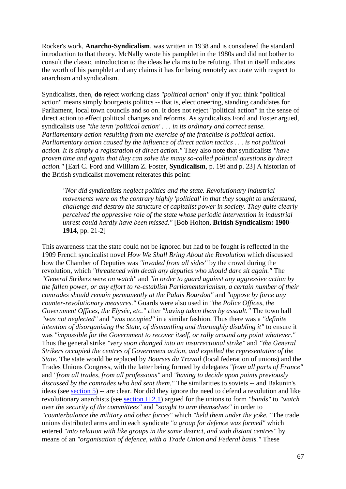Rocker's work, **Anarcho-Syndicalism**, was written in 1938 and is considered the standard introduction to that theory. McNally wrote his pamphlet in the 1980s and did not bother to consult the classic introduction to the ideas he claims to be refuting. That in itself indicates the worth of his pamphlet and any claims it has for being remotely accurate with respect to anarchism and syndicalism.

Syndicalists, then, **do** reject working class *"political action"* only if you think "political action" means simply bourgeois politics -- that is, electioneering, standing candidates for Parliament, local town councils and so on. It does not reject "political action" in the sense of direct action to effect political changes and reforms. As syndicalists Ford and Foster argued, syndicalists use *"the term 'political action' . . . in its ordinary and correct sense. Parliamentary action resulting from the exercise of the franchise is political action. Parliamentary action caused by the influence of direct action tactics . . . is not political action. It is simply a registration of direct action."* They also note that syndicalists *"have proven time and again that they can solve the many so-called political questions by direct action."* [Earl C. Ford and William Z. Foster, **Syndicalism**, p. 19f and p. 23] A historian of the British syndicalist movement reiterates this point:

*"Nor did syndicalists neglect politics and the state. Revolutionary industrial movements were on the contrary highly 'political' in that they sought to understand, challenge and destroy the structure of capitalist power in society. They quite clearly perceived the oppressive role of the state whose periodic intervention in industrial unrest could hardly have been missed."* [Bob Holton, **British Syndicalism: 1900- 1914**, pp. 21-2]

This awareness that the state could not be ignored but had to be fought is reflected in the 1909 French syndicalist novel *How We Shall Bring About the Revolution* which discussed how the Chamber of Deputies was *"invaded from all sides"* by the crowd during the revolution, which *"threatened with death any deputies who should dare sit again."* The *"General Strikers were on watch"* and *"in order to guard against any aggressive action by the fallen power, or any effort to re-establish Parliamentarianism, a certain number of their comrades should remain permanently at the Palais Bourdon"* and *"oppose by force any counter-revolutionary measures."* Guards were also used in *"the Police Offices, the Government Offices, the Elysée, etc."* after *"having taken them by assault."* The town hall *"was not neglected"* and *"was occupied"* in a similar fashion. Thus there was a *"definite intention of disorganising the State, of dismantling and thoroughly disabling it"* to ensure it was *"impossible for the Government to recover itself, or rally around any point whatever."* Thus the general strike *"very soon changed into an insurrectional strike"* and *"the General Strikers occupied the centres of Government action, and expelled the representative of the State.* The state would be replaced by *Bourses du Travail* (local federation of unions) and the Trades Unions Congress, with the latter being formed by delegates *"from all parts of France"* and *"from all trades, from all professions"* and *"having to decide upon points previously discussed by the comrades who had sent them."* The similarities to soviets -- and Bakunin's ideas (see [section 5\)](append31.html#app5) -- are clear. Nor did they ignore the need to defend a revolution and like revolutionary anarchists (see [section H.2.1\)](sectionH.html#sech1) argued for the unions to form *"bands"* to *"watch over the security of the committees"* and *"sought to arm themselves"* in order to *"counterbalance the military and other forces"* which *"held them under the yoke."* The trade unions distributed arms and in each syndicate *"a group for defence was formed"* which entered *"into relation with like groups in the same district, and with distant centres"* by means of an *"organisation of defence, with a Trade Union and Federal basis."* These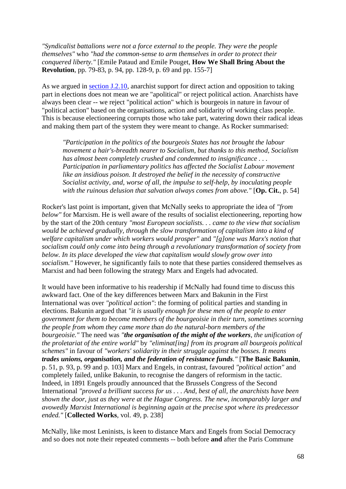*"Syndicalist battalions were not a force external to the people. They were the people themselves"* who *"had the common-sense to arm themselves in order to protect their conquered liberty."* [Emile Pataud and Emile Pouget, **How We Shall Bring About the Revolution**, pp. 79-83, p. 94, pp. 128-9, p. 69 and pp. 155-7]

As we argued in [section J.2.10,](sectionJ.html#secj210) anarchist support for direct action and opposition to taking part in elections does not mean we are "apolitical" or reject political action. Anarchists have always been clear -- we reject "political action" which is bourgeois in nature in favour of "political action" based on the organisations, action and solidarity of working class people. This is because electioneering corrupts those who take part, watering down their radical ideas and making them part of the system they were meant to change. As Rocker summarised:

*"Participation in the politics of the bourgeois States has not brought the labour movement a hair's-breadth nearer to Socialism, but thanks to this method, Socialism has almost been completely crushed and condemned to insignificance . . . Participation in parliamentary politics has affected the Socialist Labour movement like an insidious poison. It destroyed the belief in the necessity of constructive Socialist activity, and, worse of all, the impulse to self-help, by inoculating people with the ruinous delusion that salvation always comes from above."* [**Op. Cit.**, p. 54]

Rocker's last point is important, given that McNally seeks to appropriate the idea of *"from below"* for Marxism. He is well aware of the results of socialist electioneering, reporting how by the start of the 20th century *"most European socialists. . . came to the view that socialism would be achieved gradually, through the slow transformation of capitalism into a kind of welfare capitalism under which workers would prosper"* and *"[g]one was Marx's notion that socialism could only come into being through a revolutionary transformation of society from below. In its place developed the view that capitalism would slowly grow over into socialism."* However, he significantly fails to note that these parties considered themselves as Marxist and had been following the strategy Marx and Engels had advocated.

It would have been informative to his readership if McNally had found time to discuss this awkward fact. One of the key differences between Marx and Bakunin in the First International was over *"political action"*: the forming of political parties and standing in elections. Bakunin argued that *"it is usually enough for these men of the people to enter government for them to become members of the bourgeoisie in their turn, sometimes scorning the people from whom they came more than do the natural-born members of the bourgeoisie."* The need was *"the organisation of the might of the workers, the unification of the proletariat of the entire world"* by *"eliminat[ing] from its program all bourgeois political schemes"* in favour of *"workers' solidarity in their struggle against the bosses. It means trades unions, organisation, and the federation of resistance funds."* [**The Basic Bakunin**, p. 51, p. 93, p. 99 and p. 103] Marx and Engels, in contrast, favoured *"political action"* and completely failed, unlike Bakunin, to recognise the dangers of reformism in the tactic. Indeed, in 1891 Engels proudly announced that the Brussels Congress of the Second International *"proved a brilliant success for us . . . And, best of all, the anarchists have been shown the door, just as they were at the Hague Congress. The new, incomparably larger and avowedly Marxist International is beginning again at the precise spot where its predecessor ended."* [**Collected Works**, vol. 49, p. 238]

McNally, like most Leninists, is keen to distance Marx and Engels from Social Democracy and so does not note their repeated comments -- both before **and** after the Paris Commune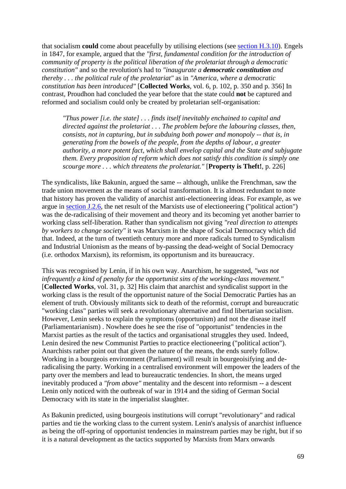that socialism **could** come about peacefully by utilising elections (see [section H.3.10\)](sectionH.html#sech310). Engels in 1847, for example, argued that the *"first, fundamental condition for the introduction of community of property is the political liberation of the proletariat through a democratic constitution"* and so the revolution's had to *"inaugurate a democratic constitution and thereby . . . the political rule of the proletariat"* as in *"America, where a democratic constitution has been introduced"* [**Collected Works**, vol. 6, p. 102, p. 350 and p. 356] In contrast, Proudhon had concluded the year before that the state could **not** be captured and reformed and socialism could only be created by proletarian self-organisation:

*"Thus power [i.e. the state] . . . finds itself inevitably enchained to capital and directed against the proletariat . . . The problem before the labouring classes, then, consists, not in capturing, but in subduing both power and monopoly -- that is, in generating from the bowels of the people, from the depths of labour, a greater authority, a more potent fact, which shall envelop capital and the State and subjugate them. Every proposition of reform which does not satisfy this condition is simply one scourge more . . . which threatens the proletariat."* [**Property is Theft!**, p. 226]

The syndicalists, like Bakunin, argued the same -- although, unlike the Frenchman, saw the trade union movement as the means of social transformation. It is almost redundant to note that history has proven the validity of anarchist anti-electioneering ideas. For example, as we argue in [section J.2.6,](sectionJ.html#secj26) the net result of the Marxists use of electioneering ("political action") was the de-radicalising of their movement and theory and its becoming yet another barrier to working class self-liberation. Rather than syndicalism not giving *"real direction to attempts by workers to change society"* it was Marxism in the shape of Social Democracy which did that. Indeed, at the turn of twentieth century more and more radicals turned to Syndicalism and Industrial Unionism as the means of by-passing the dead-weight of Social Democracy (i.e. orthodox Marxism), its reformism, its opportunism and its bureaucracy.

This was recognised by Lenin, if in his own way. Anarchism, he suggested, *"was not infrequently a kind of penalty for the opportunist sins of the working-class movement."* [**Collected Works**, vol. 31, p. 32] His claim that anarchist and syndicalist support in the working class is the result of the opportunist nature of the Social Democratic Parties has an element of truth. Obviously militants sick to death of the reformist, corrupt and bureaucratic "working class" parties will seek a revolutionary alternative and find libertarian socialism. However, Lenin seeks to explain the symptoms (opportunism) and not the disease itself (Parliamentarianism) . Nowhere does he see the rise of "opportunist" tendencies in the Marxist parties as the result of the tactics and organisational struggles they used. Indeed, Lenin desired the new Communist Parties to practice electioneering ("political action"). Anarchists rather point out that given the nature of the means, the ends surely follow. Working in a bourgeois environment (Parliament) will result in bourgeoisifying and deradicalising the party. Working in a centralised environment will empower the leaders of the party over the members and lead to bureaucratic tendencies. In short, the means urged inevitably produced a *"from above"* mentality and the descent into reformism -- a descent Lenin only noticed with the outbreak of war in 1914 and the siding of German Social Democracy with its state in the imperialist slaughter.

As Bakunin predicted, using bourgeois institutions will corrupt "revolutionary" and radical parties and tie the working class to the current system. Lenin's analysis of anarchist influence as being the off-spring of opportunist tendencies in mainstream parties may be right, but if so it is a natural development as the tactics supported by Marxists from Marx onwards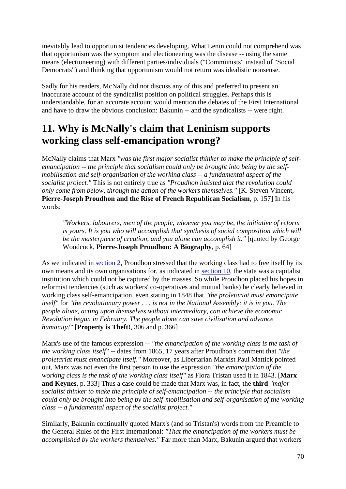inevitably lead to opportunist tendencies developing. What Lenin could not comprehend was that opportunism was the symptom and electioneering was the disease -- using the same means (electioneering) with different parties/individuals ("Communists" instead of "Social Democrats") and thinking that opportunism would not return was idealistic nonsense.

Sadly for his readers, McNally did not discuss any of this and preferred to present an inaccurate account of the syndicalist position on political struggles. Perhaps this is understandable, for an accurate account would mention the debates of the First International and have to draw the obvious conclusion: Bakunin -- and the syndicalists -- were right.

## **11. Why is McNally's claim that Leninism supports working class self-emancipation wrong?**

McNally claims that Marx *"was the first major socialist thinker to make the principle of selfemancipation -- the principle that socialism could only be brought into being by the selfmobilisation and self-organisation of the working class -- a fundamental aspect of the socialist project."* This is not entirely true as *"Proudhon insisted that the revolution could only come from below, through the action of the workers themselves."* [K. Steven Vincent, **Pierre-Joseph Proudhon and the Rise of French Republican Socialism**, p. 157] In his words:

*"Workers, labourers, men of the people, whoever you may be, the initiative of reform is yours. It is you who will accomplish that synthesis of social composition which will be the masterpiece of creation, and you alone can accomplish it."* [quoted by George Woodcock, **Pierre-Joseph Proudhon: A Biography**, p. 64]

As we indicated in [section 2,](append31.html#app2) Proudhon stressed that the working class had to free itself by its own means and its own organisations for, as indicated in [section 10,](append31.html#app10) the state was a capitalist institution which could not be captured by the masses. So while Proudhon placed his hopes in reformist tendencies (such as workers' co-operatives and mutual banks) he clearly believed in working class self-emancipation, even stating in 1848 that *"the proletariat must emancipate itself"* for *"the revolutionary power . . . is not in the National Assembly: it is in you. The people alone, acting upon themselves without intermediary, can achieve the economic Revolution begun in February. The people alone can save civilisation and advance humanity!"* [**Property is Theft!**, 306 and p. 366]

Marx's use of the famous expression -- *"the emancipation of the working class is the task of the working class itself"* -- dates from 1865, 17 years after Proudhon's comment that *"the proletariat must emancipate itself."* Moreover, as Libertarian Marxist Paul Mattick pointed out, Marx was not even the first person to use the expression *"the emancipation of the working class is the task of the working class itself"* as Flora Tristan used it in 1843. [**Marx and Keynes**, p. 333] Thus a case could be made that Marx was, in fact, the **third** *"major socialist thinker to make the principle of self-emancipation -- the principle that socialism could only be brought into being by the self-mobilisation and self-organisation of the working class -- a fundamental aspect of the socialist project."*

Similarly, Bakunin continually quoted Marx's (and so Tristan's) words from the Preamble to the General Rules of the First International: *"That the emancipation of the workers must be accomplished by the workers themselves."* Far more than Marx, Bakunin argued that workers'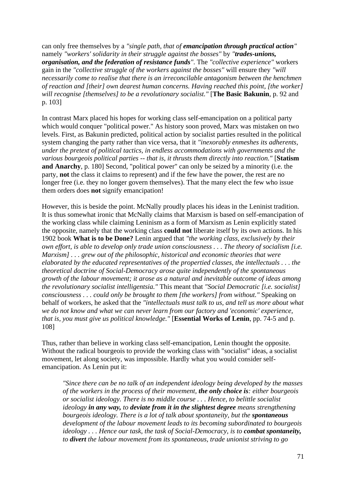can only free themselves by a *"single path, that of emancipation through practical action"* namely *"workers' solidarity in their struggle against the bosses"* by *"trades-unions, organisation, and the federation of resistance funds"*. The *"collective experience"* workers gain in the *"collective struggle of the workers against the bosses"* will ensure they *"will necessarily come to realise that there is an irreconcilable antagonism between the henchmen of reaction and [their] own dearest human concerns. Having reached this point, [the worker] will recognise [themselves] to be a revolutionary socialist."* [**The Basic Bakunin**, p. 92 and p. 103]

In contrast Marx placed his hopes for working class self-emancipation on a political party which would conquer "political power." As history soon proved, Marx was mistaken on two levels. First, as Bakunin predicted, political action by socialist parties resulted in the political system changing the party rather than vice versa, that it *"inexorably enmeshes its adherents, under the pretext of political tactics, in endless accommodations with governments and the various bourgeois political parties -- that is, it thrusts them directly into reaction."* [**Statism and Anarchy**, p. 180] Second, "political power" can only be seized by a minority (i.e. the party, **not** the class it claims to represent) and if the few have the power, the rest are no longer free (i.e. they no longer govern themselves). That the many elect the few who issue them orders does **not** signify emancipation!

However, this is beside the point. McNally proudly places his ideas in the Leninist tradition. It is thus somewhat ironic that McNally claims that Marxism is based on self-emancipation of the working class while claiming Leninism as a form of Marxism as Lenin explicitly stated the opposite, namely that the working class **could not** liberate itself by its own actions. In his 1902 book **What is to be Done?** Lenin argued that *"the working class, exclusively by their own effort, is able to develop only trade union consciousness . . . The theory of socialism [i.e. Marxism] . . . grew out of the philosophic, historical and economic theories that were elaborated by the educated representatives of the propertied classes, the intellectuals . . . the theoretical doctrine of Social-Democracy arose quite independently of the spontaneous growth of the labour movement; it arose as a natural and inevitable outcome of ideas among the revolutionary socialist intelligentsia."* This meant that *"Social Democratic [i.e. socialist] consciousness . . . could only be brought to them [the workers] from without."* Speaking on behalf of workers, he asked that the *"intellectuals must talk to us, and tell us more about what we do not know and what we can never learn from our factory and 'economic' experience, that is, you must give us political knowledge."* [**Essential Works of Lenin**, pp. 74-5 and p. 108]

Thus, rather than believe in working class self-emancipation, Lenin thought the opposite. Without the radical bourgeois to provide the working class with "socialist" ideas, a socialist movement, let along society, was impossible. Hardly what you would consider selfemancipation. As Lenin put it:

*"Since there can be no talk of an independent ideology being developed by the masses of the workers in the process of their movement, the only choice is: either bourgeois or socialist ideology. There is no middle course . . . Hence, to belittle socialist ideology in any way, to deviate from it in the slightest degree means strengthening bourgeois ideology. There is a lot of talk about spontaneity, but the spontaneous development of the labour movement leads to its becoming subordinated to bourgeois ideology* . . . Hence our task, the task of Social-Democracy, is to *combat spontaneity*, *to divert the labour movement from its spontaneous, trade unionist striving to go*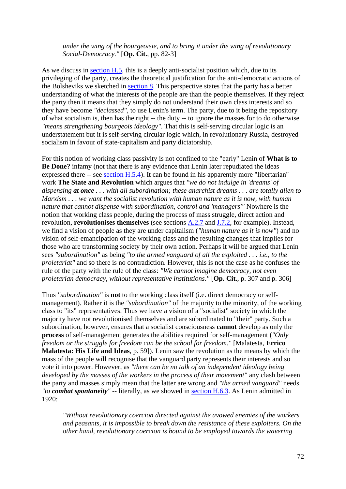#### *under the wing of the bourgeoisie, and to bring it under the wing of revolutionary Social-Democracy."* [**Op. Cit.**, pp. 82-3]

As we discuss in [section H.5,](sectionH.html#sech5) this is a deeply anti-socialist position which, due to its privileging of the party, creates the theoretical justification for the anti-democratic actions of the Bolsheviks we sketched in [section 8.](append31.html#app8) This perspective states that the party has a better understanding of what the interests of the people are than the people themselves. If they reject the party then it means that they simply do not understand their own class interests and so they have become *"declassed"*, to use Lenin's term. The party, due to it being the repository of what socialism is, then has the right -- the duty -- to ignore the masses for to do otherwise *"means strengthening bourgeois ideology"*. That this is self-serving circular logic is an understatement but it is self-serving circular logic which, in revolutionary Russia, destroyed socialism in favour of state-capitalism and party dictatorship.

For this notion of working class passivity is not confined to the "early" Lenin of **What is to Be Done?** infamy (not that there is any evidence that Lenin later repudiated the ideas expressed there -- see [section H.5.4\)](sectionH.html#sech54). It can be found in his apparently more "libertarian" work **The State and Revolution** which argues that *"we do not indulge in 'dreams' of dispensing at once . . . with all subordination; these anarchist dreams . . . are totally alien to Marxism . . . we want the socialist revolution with human nature as it is now, with human nature that cannot dispense with subordination, control and 'managers'"* Nowhere is the notion that working class people, during the process of mass struggle, direct action and revolution, **revolutionises themselves** (see sections [A.2.7](sectionA.html#seca27) and [J.7.2,](sectionJ.html#secj72) for example). Instead, we find a vision of people as they are under capitalism (*"human nature as it is now"*) and no vision of self-emancipation of the working class and the resulting changes that implies for those who are transforming society by their own action. Perhaps it will be argued that Lenin sees *"subordination"* as being *"to the armed vanguard of all the exploited . . . i.e., to the proletariat"* and so there is no contradiction. However, this is not the case as he confuses the rule of the party with the rule of the class: *"We cannot imagine democracy, not even proletarian democracy, without representative institutions."* [**Op. Cit.**, p. 307 and p. 306]

Thus *"subordination"* is **not** to the working class itself (i.e. direct democracy or selfmanagement). Rather it is the *"subordination"* of the majority to the minority, of the working class to "its" representatives. Thus we have a vision of a "socialist" society in which the majority have not revolutionised themselves and are subordinated to "their" party. Such a subordination, however, ensures that a socialist consciousness **cannot** develop as only the **process** of self-management generates the abilities required for self-management (*"Only freedom or the struggle for freedom can be the school for freedom."* [Malatesta, **Errico Malatesta: His Life and Ideas**, p. 59]). Lenin saw the revolution as the means by which the mass of the people will recognise that the vanguard party represents their interests and so vote it into power. However, as *"there can be no talk of an independent ideology being developed by the masses of the workers in the process of their movement"* any clash between the party and masses simply mean that the latter are wrong and *"the armed vanguard"* needs *"to combat spontaneity"* -- literally, as we showed in [section H.6.3.](sectionH.html#sech63) As Lenin admitted in 1920:

*"Without revolutionary coercion directed against the avowed enemies of the workers and peasants, it is impossible to break down the resistance of these exploiters. On the other hand, revolutionary coercion is bound to be employed towards the wavering*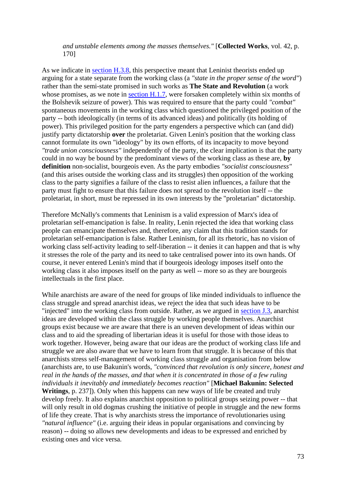#### *and unstable elements among the masses themselves."* [**Collected Works**, vol. 42, p. 170]

As we indicate in [section H.3.8,](sectionH.html#sech38) this perspective meant that Leninist theorists ended up arguing for a state separate from the working class (a *"state in the proper sense of the word"*) rather than the semi-state promised in such works as **The State and Revolution** (a work whose promises, as we note in [section H.1.7,](sectionH.html#sech17) were forsaken completely within six months of the Bolshevik seizure of power). This was required to ensure that the party could *"combat"* spontaneous movements in the working class which questioned the privileged position of the party -- both ideologically (in terms of its advanced ideas) and politically (its holding of power). This privileged position for the party engenders a perspective which can (and did) justify party dictatorship **over** the proletariat. Given Lenin's position that the working class cannot formulate its own "ideology" by its own efforts, of its incapacity to move beyond *"trade union consciousness"* independently of the party, the clear implication is that the party could in no way be bound by the predominant views of the working class as these are, **by definition** non-socialist, bourgeois even. As the party embodies *"socialist consciousness"* (and this arises outside the working class and its struggles) then opposition of the working class to the party signifies a failure of the class to resist alien influences, a failure that the party must fight to ensure that this failure does not spread to the revolution itself -- the proletariat, in short, must be repressed in its own interests by the "proletarian" dictatorship.

Therefore McNally's comments that Leninism is a valid expression of Marx's idea of proletarian self-emancipation is false. In reality, Lenin rejected the idea that working class people can emancipate themselves and, therefore, any claim that this tradition stands for proletarian self-emancipation is false. Rather Leninism, for all its rhetoric, has no vision of working class self-activity leading to self-liberation -- it denies it can happen and that is why it stresses the role of the party and its need to take centralised power into its own hands. Of course, it never entered Lenin's mind that if bourgeois ideology imposes itself onto the working class it also imposes itself on the party as well -- more so as they are bourgeois intellectuals in the first place.

While anarchists are aware of the need for groups of like minded individuals to influence the class struggle and spread anarchist ideas, we reject the idea that such ideas have to be "injected" into the working class from outside. Rather, as we argued in [section J.3,](sectionJ3.html#secj3) anarchist ideas are developed within the class struggle by working people themselves. Anarchist groups exist because we are aware that there is an uneven development of ideas within our class and to aid the spreading of libertarian ideas it is useful for those with those ideas to work together. However, being aware that our ideas are the product of working class life and struggle we are also aware that we have to learn from that struggle. It is because of this that anarchists stress self-management of working class struggle and organisation from below (anarchists are, to use Bakunin's words, *"convinced that revolution is only sincere, honest and real in the hands of the masses, and that when it is concentrated in those of a few ruling individuals it inevitably and immediately becomes reaction"* [**Michael Bakunin: Selected Writings**, p. 237]). Only when this happens can new ways of life be created and truly develop freely. It also explains anarchist opposition to political groups seizing power -- that will only result in old dogmas crushing the initiative of people in struggle and the new forms of life they create. That is why anarchists stress the importance of revolutionaries using *"natural influence"* (i.e. arguing their ideas in popular organisations and convincing by reason) -- doing so allows new developments and ideas to be expressed and enriched by existing ones and vice versa.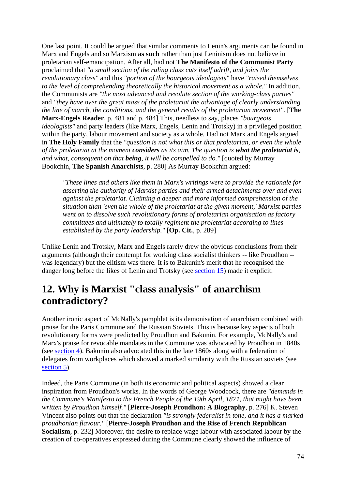One last point. It could be argued that similar comments to Lenin's arguments can be found in Marx and Engels and so Marxism **as such** rather than just Leninism does not believe in proletarian self-emancipation. After all, had not **The Manifesto of the Communist Party** proclaimed that *"a small section of the ruling class cuts itself adrift, and joins the revolutionary class"* and this *"portion of the bourgeois ideologists"* have *"raised themselves to the level of comprehending theoretically the historical movement as a whole."* In addition, the Communists are *"the most advanced and resolute section of the working-class parties"* and *"they have over the great mass of the proletariat the advantage of clearly understanding the line of march, the conditions, and the general results of the proletarian movement"*. [**The Marx-Engels Reader**, p. 481 and p. 484] This, needless to say, places *"bourgeois ideologists"* and party leaders (like Marx, Engels, Lenin and Trotsky) in a privileged position within the party, labour movement and society as a whole. Had not Marx and Engels argued in **The Holy Family** that the *"question is not what this or that proletarian, or even the whole of the proletariat at the moment considers as its aim. The question is what the proletariat is, and what, consequent on that being, it will be compelled to do."* [quoted by Murray Bookchin, **The Spanish Anarchists**, p. 280] As Murray Bookchin argued:

*"These lines and others like them in Marx's writings were to provide the rationale for asserting the authority of Marxist parties and their armed detachments over and even against the proletariat. Claiming a deeper and more informed comprehension of the situation than 'even the whole of the proletariat at the given moment,' Marxist parties went on to dissolve such revolutionary forms of proletarian organisation as factory committees and ultimately to totally regiment the proletariat according to lines established by the party leadership."* [**Op. Cit.**, p. 289]

Unlike Lenin and Trotsky, Marx and Engels rarely drew the obvious conclusions from their arguments (although their contempt for working class socialist thinkers -- like Proudhon - was legendary) but the elitism was there. It is to Bakunin's merit that he recognised the danger long before the likes of Lenin and Trotsky (see [section 15\)](append31.html#app15) made it explicit.

### **12. Why is Marxist "class analysis" of anarchism contradictory?**

Another ironic aspect of McNally's pamphlet is its demonisation of anarchism combined with praise for the Paris Commune and the Russian Soviets. This is because key aspects of both revolutionary forms were predicted by Proudhon and Bakunin. For example, McNally's and Marx's praise for revocable mandates in the Commune was advocated by Proudhon in 1840s (see [section 4\)](append31.html#app4). Bakunin also advocated this in the late 1860s along with a federation of delegates from workplaces which showed a marked similarity with the Russian soviets (see [section 5\)](append31.html#app5).

Indeed, the Paris Commune (in both its economic and political aspects) showed a clear inspiration from Proudhon's works. In the words of George Woodcock, there are *"demands in the Commune's Manifesto to the French People of the 19th April, 1871, that might have been written by Proudhon himself."* [**Pierre-Joseph Proudhon: A Biography**, p. 276] K. Steven Vincent also points out that the declaration *"is strongly federalist in tone, and it has a marked proudhonian flavour."* [**Pierre-Joseph Proudhon and the Rise of French Republican Socialism**, p. 232] Moreover, the desire to replace wage labour with associated labour by the creation of co-operatives expressed during the Commune clearly showed the influence of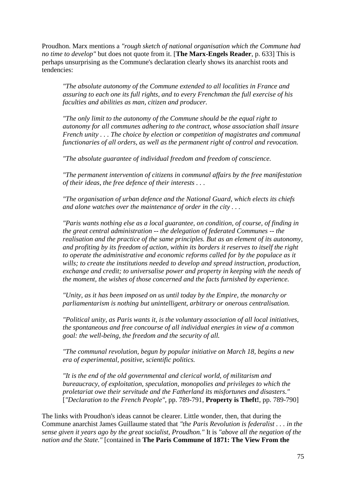Proudhon. Marx mentions a *"rough sketch of national organisation which the Commune had no time to develop"* but does not quote from it. [**The Marx-Engels Reader**, p. 633] This is perhaps unsurprising as the Commune's declaration clearly shows its anarchist roots and tendencies:

*"The absolute autonomy of the Commune extended to all localities in France and assuring to each one its full rights, and to every Frenchman the full exercise of his faculties and abilities as man, citizen and producer.*

*"The only limit to the autonomy of the Commune should be the equal right to autonomy for all communes adhering to the contract, whose association shall insure French unity . . . The choice by election or competition of magistrates and communal functionaries of all orders, as well as the permanent right of control and revocation.*

*"The absolute guarantee of individual freedom and freedom of conscience.*

*"The permanent intervention of citizens in communal affairs by the free manifestation of their ideas, the free defence of their interests . . .* 

*"The organisation of urban defence and the National Guard, which elects its chiefs and alone watches over the maintenance of order in the city . . .*

*"Paris wants nothing else as a local guarantee, on condition, of course, of finding in the great central administration -- the delegation of federated Communes -- the realisation and the practice of the same principles. But as an element of its autonomy, and profiting by its freedom of action, within its borders it reserves to itself the right to operate the administrative and economic reforms called for by the populace as it wills; to create the institutions needed to develop and spread instruction, production, exchange and credit; to universalise power and property in keeping with the needs of the moment, the wishes of those concerned and the facts furnished by experience.*

*"Unity, as it has been imposed on us until today by the Empire, the monarchy or parliamentarism is nothing but unintelligent, arbitrary or onerous centralisation.*

*"Political unity, as Paris wants it, is the voluntary association of all local initiatives, the spontaneous and free concourse of all individual energies in view of a common goal: the well-being, the freedom and the security of all.*

*"The communal revolution, begun by popular initiative on March 18, begins a new era of experimental, positive, scientific politics.*

*"It is the end of the old governmental and clerical world, of militarism and bureaucracy, of exploitation, speculation, monopolies and privileges to which the proletariat owe their servitude and the Fatherland its misfortunes and disasters."* [*"Declaration to the French People"*, pp. 789-791, **Property is Theft!**, pp. 789-790]

The links with Proudhon's ideas cannot be clearer. Little wonder, then, that during the Commune anarchist James Guillaume stated that *"the Paris Revolution is federalist . . . in the sense given it years ago by the great socialist, Proudhon."* It is *"above all the negation of the nation and the State."* [contained in **The Paris Commune of 1871: The View From the**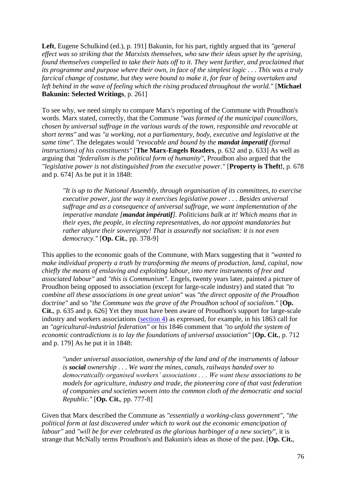**Left**, Eugene Schulkind (ed.), p. 191] Bakunin, for his part, rightly argued that its *"general effect was so striking that the Marxists themselves, who saw their ideas upset by the uprising, found themselves compelled to take their hats off to it. They went further, and proclaimed that its programme and purpose where their own, in face of the simplest logic . . . This was a truly farcical change of costume, but they were bound to make it, for fear of being overtaken and left behind in the wave of feeling which the rising produced throughout the world."* [**Michael Bakunin: Selected Writings**, p. 261]

To see why, we need simply to compare Marx's reporting of the Commune with Proudhon's words. Marx stated, correctly, that the Commune *"was formed of the municipal councillors, chosen by universal suffrage in the various wards of the town, responsible and revocable at short terms"* and was *"a working, not a parliamentary, body, executive and legislative at the same time"*. The delegates would *"revocable and bound by the mandat imperatif (formal instructions) of his constituents"* [**The Marx-Engels Readers**, p. 632 and p. 633] As well as arguing that *"federalism is the political form of humanity"*, Proudhon also argued that the *"legislative power is not distinguished from the executive power."* [**Property is Theft!**, p. 678 and p. 674] As he put it in 1848:

*"It is up to the National Assembly, through organisation of its committees, to exercise executive power, just the way it exercises legislative power . . . Besides universal suffrage and as a consequence of universal suffrage, we want implementation of the imperative mandate [mandat impératif]. Politicians balk at it! Which means that in their eyes, the people, in electing representatives, do not appoint mandatories but rather abjure their sovereignty! That is assuredly not socialism: it is not even democracy."* [**Op. Cit.**, pp. 378-9]

This applies to the economic goals of the Commune, with Marx suggesting that it *"wanted to make individual property a truth by transforming the means of production, land, capital, now chiefly the means of enslaving and exploiting labour, into mere instruments of free and associated labour"* and *"this is Communism"*. Engels, twenty years later, painted a picture of Proudhon being opposed to association (except for large-scale industry) and stated that *"to combine all these associations in one great union"* was *"the direct opposite of the Proudhon doctrine"* and so *"the Commune was the grave of the Proudhon school of socialism."* [**Op. Cit.**, p. 635 and p. 626] Yet they must have been aware of Proudhon's support for large-scale industry and workers associations [\(section 4\)](append31.html) as expressed, for example, in his 1863 call for an *"agricultural-industrial federation"* or his 1846 comment that *"to unfold the system of economic contradictions is to lay the foundations of universal association"* [**Op. Cit.**, p. 712 and p. 179] As he put it in 1848:

*"under universal association, ownership of the land and of the instruments of labour is social ownership . . . We want the mines, canals, railways handed over to democratically organised workers' associations . . . We want these associations to be models for agriculture, industry and trade, the pioneering core of that vast federation of companies and societies woven into the common cloth of the democratic and social Republic."* [**Op. Cit.**, pp. 777-8]

Given that Marx described the Commune as *"essentially a working-class government"*, *"the political form at last discovered under which to work out the economic emancipation of labour"* and *"will be for ever celebrated as the glorious harbinger of a new society"*, it is strange that McNally terms Proudhon's and Bakunin's ideas as those of the past. [**Op. Cit.**,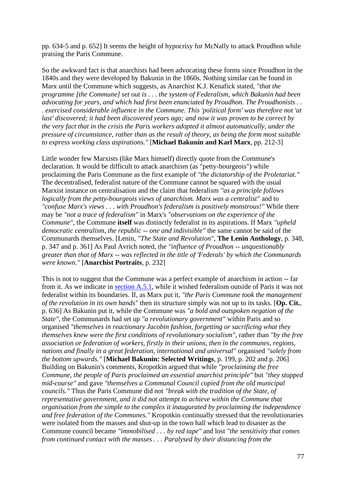pp. 634-5 and p. 652] It seems the height of hypocrisy for McNally to attack Proudhon while praising the Paris Commune.

So the awkward fact is that anarchists had been advocating these forms since Proudhon in the 1840s and they were developed by Bakunin in the 1860s. Nothing similar can be found in Marx until the Commune which suggests, as Anarchist K.J. Kenafick stated, *"that the programme [the Commune] set out is . . . the system of Federalism, which Bakunin had been advocating for years, and which had first been enunciated by Proudhon. The Proudhonists . . . exercised considerable influence in the Commune. This 'political form' was therefore not 'at last' discovered; it had been discovered years ago; and now it was proven to be correct by the very fact that in the crisis the Paris workers adopted it almost automatically, under the pressure of circumstance, rather than as the result of theory, as being the form most suitable to express working class aspirations."* [**Michael Bakunin and Karl Marx**, pp. 212-3]

Little wonder few Marxists (like Marx himself) directly quote from the Commune's declaration. It would be difficult to attack anarchism (as "petty-bourgeois") while proclaiming the Paris Commune as the first example of *"the dictatorship of the Proletariat."* The decentralised, federalist nature of the Commune cannot be squared with the usual Marxist instance on centralisation and the claim that federalism *"as a principle follows logically from the petty-bourgeois views of anarchism. Marx was a centralist"* and to *"confuse Marx's views . . . with Proudhon's federalism is positively monstrous!"* While there may be *"not a trace of federalism"* in Marx's *"observations on the experience of the Commune"*, the Commune **itself** was distinctly federalist in its aspirations. If Marx *"upheld democratic centralism, the republic -- one and indivisible"* the same cannot be said of the Communards themselves. [Lenin, *"The State and Revolution"*, **The Lenin Anthology**, p. 348, p. 347 and p. 361] As Paul Avrich noted, the *"influence of Proudhon -- unquestionably greater than that of Marx -- was reflected in the title of 'Federals' by which the Communards were known."* [**Anarchist Portraits**, p. 232]

This is not to suggest that the Commune was a perfect example of anarchism in action -- far from it. As we indicate in [section A.5.1,](sectionA.html#seca51) while it wished federalism outside of Paris it was not federalist within its boundaries. If, as Marx put it, *"the Paris Commune took the management of the revolution in its own hands"* then its structure simply was not up to its tasks. [**Op. Cit.**, p. 636] As Bakunin put it, while the Commune was *"a bold and outspoken negation of the State"*, the Communards had set up *"a revolutionary government"* within Paris and so organised *"themselves in reactionary Jacobin fashion, forgetting or sacrificing what they themselves knew were the first conditions of revolutionary socialism"*, rather than *"by the free association or federation of workers, firstly in their unions, then in the communes, regions, nations and finally in a great federation, international and universal"* organised *"solely from the bottom upwards."* [**Michael Bakunin: Selected Writings**, p. 199, p. 202 and p. 206] Building on Bakunin's comments, Kropotkin argued that while *"proclaiming the free Commune, the people of Paris proclaimed an essential anarchist principle"* but *"they stopped mid-course"* and gave *"themselves a Communal Council copied from the old municipal councils."* Thus the Paris Commune did not *"break with the tradition of the State, of representative government, and it did not attempt to achieve within the Commune that organisation from the simple to the complex it inaugurated by proclaiming the independence and free federation of the Communes."* Kropotkin continually stressed that the revolutionaries were isolated from the masses and shut-up in the town hall which lead to disaster as the Commune council became *"immobilised . . . by red tape"* and lost *"the sensitivity that comes from continued contact with the masses . . . Paralysed by their distancing from the*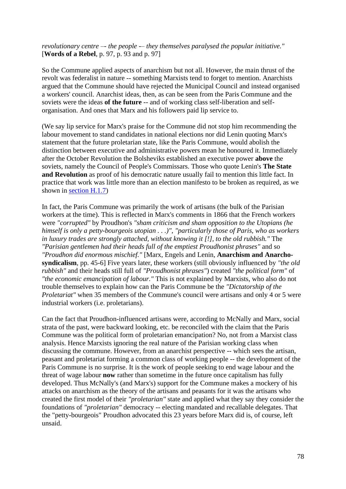### *revolutionary centre –- the people -– they themselves paralysed the popular initiative."* [**Words of a Rebel**, p. 97, p. 93 and p. 97]

So the Commune applied aspects of anarchism but not all. However, the main thrust of the revolt was federalist in nature -- something Marxists tend to forget to mention. Anarchists argued that the Commune should have rejected the Municipal Council and instead organised a workers' council. Anarchist ideas, then, as can be seen from the Paris Commune and the soviets were the ideas **of the future** -- and of working class self-liberation and selforganisation. And ones that Marx and his followers paid lip service to.

(We say lip service for Marx's praise for the Commune did not stop him recommending the labour movement to stand candidates in national elections nor did Lenin quoting Marx's statement that the future proletarian state, like the Paris Commune, would abolish the distinction between executive and administrative powers mean he honoured it. Immediately after the October Revolution the Bolsheviks established an executive power **above** the soviets, namely the Council of People's Commissars. Those who quote Lenin's **The State and Revolution** as proof of his democratic nature usually fail to mention this little fact. In practice that work was little more than an election manifesto to be broken as required, as we shown in [section H.1.7\)](sectionH.html#sechh17)

In fact, the Paris Commune was primarily the work of artisans (the bulk of the Parisian workers at the time). This is reflected in Marx's comments in 1866 that the French workers were *"corrupted"* by Proudhon's *"sham criticism and sham opposition to the Utopians (he himself is only a petty-bourgeois utopian . . .)"*, *"particularly those of Paris, who as workers in luxury trades are strongly attached, without knowing it [!], to the old rubbish."* The *"Parisian gentlemen had their heads full of the emptiest Proudhonist phrases"* and so *"Proudhon did enormous mischief."* [Marx, Engels and Lenin, **Anarchism and Anarchosyndicalism**, pp. 45-6] Five years later, these workers (still obviously influenced by *"the old rubbish"* and their heads still full of *"Proudhonist phrases"*) created *"the political form"* of *"the economic emancipation of labour."* This is not explained by Marxists, who also do not trouble themselves to explain how can the Paris Commune be the *"Dictatorship of the Proletariat"* when 35 members of the Commune's council were artisans and only 4 or 5 were industrial workers (i.e. proletarians).

Can the fact that Proudhon-influenced artisans were, according to McNally and Marx, social strata of the past, were backward looking, etc. be reconciled with the claim that the Paris Commune was the political form of proletarian emancipation? No, not from a Marxist class analysis. Hence Marxists ignoring the real nature of the Parisian working class when discussing the commune. However, from an anarchist perspective -- which sees the artisan, peasant and proletariat forming a common class of working people -- the development of the Paris Commune is no surprise. It is the work of people seeking to end wage labour and the threat of wage labour **now** rather than sometime in the future once capitalism has fully developed. Thus McNally's (and Marx's) support for the Commune makes a mockery of his attacks on anarchism as the theory of the artisans and peasants for it was the artisans who created the first model of their *"proletarian"* state and applied what they say they consider the foundations of *"proletarian"* democracy -- electing mandated and recallable delegates. That the "petty-bourgeois" Proudhon advocated this 23 years before Marx did is, of course, left unsaid.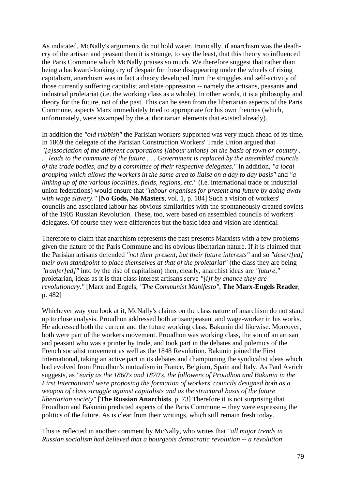As indicated, McNally's arguments do not hold water. Ironically, if anarchism was the deathcry of the artisan and peasant then it is strange, to say the least, that this theory so influenced the Paris Commune which McNally praises so much. We therefore suggest that rather than being a backward-looking cry of despair for those disappearing under the wheels of rising capitalism, anarchism was in fact a theory developed from the struggles and self-activity of those currently suffering capitalist and state oppression -- namely the artisans, peasants **and** industrial proletariat (i.e. the working class as a whole). In other words, it is a philosophy and theory for the future, not of the past. This can be seen from the libertarian aspects of the Paris Commune, aspects Marx immediately tried to appropriate for his own theories (which, unfortunately, were swamped by the authoritarian elements that existed already).

In addition the *"old rubbish"* the Parisian workers supported was very much ahead of its time. In 1869 the delegate of the Parisian Construction Workers' Trade Union argued that *"[a]ssociation of the different corporations [labour unions] on the basis of town or country . . . leads to the commune of the future . . . Government is replaced by the assembled councils of the trade bodies, and by a committee of their respective delegates."* In addition, *"a local grouping which allows the workers in the same area to liaise on a day to day basis"* and *"a linking up of the various localities, fields, regions, etc."* (i.e. international trade or industrial union federations) would ensure that *"labour organises for present and future by doing away with wage slavery."* [**No Gods, No Masters**, vol. 1, p. 184] Such a vision of workers' councils and associated labour has obvious similarities with the spontaneously created soviets of the 1905 Russian Revolution. These, too, were based on assembled councils of workers' delegates. Of course they were differences but the basic idea and vision are identical.

Therefore to claim that anarchism represents the past presents Marxists with a few problems given the nature of the Paris Commune and its obvious libertarian nature. If it is claimed that the Parisian artisans defended *"not their present, but their future interests"* and so *"desert[ed] their own standpoint to place themselves at that of the proletariat"* (the class they are being *"tranfer[ed]"* into by the rise of capitalism) then, clearly, anarchist ideas are *"future,"* proletarian, ideas as it is that class interest artisans serve *"[i]f by chance they are revolutionary."* [Marx and Engels, *"The Communist Manifesto"*, **The Marx-Engels Reader**, p. 482]

Whichever way you look at it, McNally's claims on the class nature of anarchism do not stand up to close analysis. Proudhon addressed both artisan/peasant and wage-worker in his works. He addressed both the current and the future working class. Bakunin did likewise. Moreover, both were part of the workers movement. Proudhon was working class, the son of an artisan and peasant who was a printer by trade, and took part in the debates and polemics of the French socialist movement as well as the 1848 Revolution. Bakunin joined the First International, taking an active part in its debates and championing the syndicalist ideas which had evolved from Proudhon's mutualism in France, Belgium, Spain and Italy. As Paul Avrich suggests, as *"early as the 1860's and 1870's, the followers of Proudhon and Bakunin in the First International were proposing the formation of workers' councils designed both as a weapon of class struggle against capitalists and as the structural basis of the future libertarian society"* [**The Russian Anarchists**, p. 73] Therefore it is not surprising that Proudhon and Bakunin predicted aspects of the Paris Commune -- they were expressing the politics of the future. As is clear from their writings, which still remain fresh today.

This is reflected in another comment by McNally, who writes that *"all major trends in Russian socialism had believed that a bourgeois democratic revolution -- a revolution*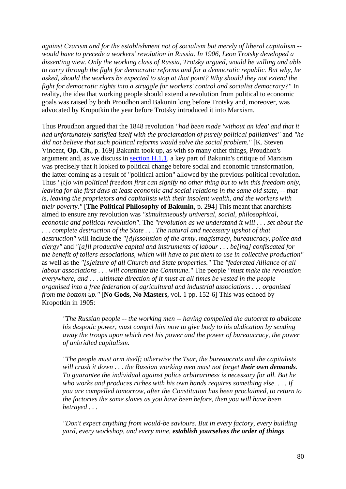*against Czarism and for the establishment not of socialism but merely of liberal capitalism - would have to precede a workers' revolution in Russia. In 1906, Leon Trotsky developed a dissenting view. Only the working class of Russia, Trotsky argued, would be willing and able to carry through the fight for democratic reforms and for a democratic republic. But why, he asked, should the workers be expected to stop at that point? Why should they not extend the fight for democratic rights into a struggle for workers' control and socialist democracy?"* In reality, the idea that working people should extend a revolution from political to economic goals was raised by both Proudhon and Bakunin long before Trotsky and, moreover, was advocated by Kropotkin the year before Trotsky introduced it into Marxism.

Thus Proudhon argued that the 1848 revolution *"had been made 'without an idea' and that it had unfortunately satisfied itself with the proclamation of purely political palliatives"* and *"he did not believe that such political reforms would solve the social problem."* [K. Steven Vincent, **Op. Cit.**, p. 169] Bakunin took up, as with so many other things, Proudhon's argument and, as we discuss in section  $H.1.1$ , a key part of Bakunin's critique of Marxism was precisely that it looked to political change before social and economic transformation, the latter coming as a result of "political action" allowed by the previous political revolution. Thus *"[t]o win political freedom first can signify no other thing but to win this freedom only, leaving for the first days at least economic and social relations in the same old state, -- that is, leaving the proprietors and capitalists with their insolent wealth, and the workers with their poverty."* [**The Political Philosophy of Bakunin**, p. 294] This meant that anarchists aimed to ensure any revolution was *"simultaneously universal, social, philosophical, economic and political revolution"*. The *"revolution as we understand it will . . . set about the . . . complete destruction of the State . . . The natural and necessary upshot of that destruction"* will include the *"[d]issolution of the army, magistracy, bureaucracy, police and clergy"* and *"[a]ll productive capital and instruments of labour . . . be[ing] confiscated for the benefit of toilers associations, which will have to put them to use in collective production"* as well as the *"[s]eizure of all Church and State properties."* The *"federated Alliance of all labour associations . . . will constitute the Commune."* The people *"must make the revolution everywhere, and . . . ultimate direction of it must at all times be vested in the people organised into a free federation of agricultural and industrial associations . . . organised from the bottom up."* [**No Gods, No Masters**, vol. 1 pp. 152-6] This was echoed by Kropotkin in 1905:

*"The Russian people -- the working men -- having compelled the autocrat to abdicate his despotic power, must compel him now to give body to his abdication by sending away the troops upon which rest his power and the power of bureaucracy, the power of unbridled capitalism.*

*"The people must arm itself; otherwise the Tsar, the bureaucrats and the capitalists will crush it down ... the Russian working men must not forget their own demands. To guarantee the individual against police arbitrariness is necessary for all. But he who works and produces riches with his own hands requires something else. . . . If you are compelled tomorrow, after the Constitution has been proclaimed, to return to the factories the same slaves as you have been before, then you will have been betrayed . . .*

*"Don't expect anything from would-be saviours. But in every factory, every building yard, every workshop, and every mine, establish yourselves the order of things*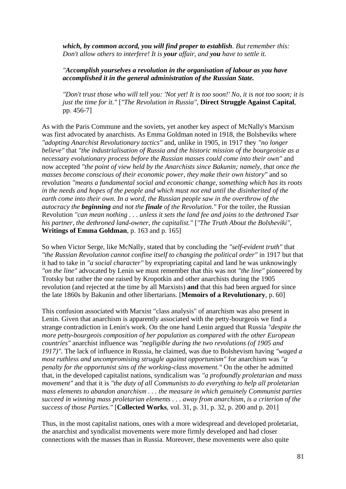*which, by common accord, you will find proper to establish. But remember this: Don't allow others to interfere! It is your affair, and you have to settle it.*

*"Accomplish yourselves a revolution in the organisation of labour as you have accomplished it in the general administration of the Russian State.*

*"Don't trust those who will tell you: 'Not yet! It is too soon!' No, it is not too soon; it is just the time for it."* [*"The Revolution in Russia"*, **Direct Struggle Against Capital**, pp. 456-7]

As with the Paris Commune and the soviets, yet another key aspect of McNally's Marxism was first advocated by anarchists. As Emma Goldman noted in 1918, the Bolsheviks where *"adopting Anarchist Revolutionary tactics"* and, unlike in 1905, in 1917 they *"no longer believe"* that *"the industrialisation of Russia and the historic mission of the bourgeoisie as a necessary evolutionary process before the Russian masses could come into their own"* and now accepted *"the point of view held by the Anarchists since Bakunin; namely, that once the masses become conscious of their economic power, they make their own history"* and so revolution *"means a fundamental social and economic change, something which has its roots in the needs and hopes of the people and which must not end until the disinherited of the earth come into their own. In a word, the Russian people saw in the overthrow of the autocracy the beginning and not the finale of the Revolution."* For the toiler, the Russian Revolution *"can mean nothing . . . unless it sets the land fee and joins to the dethroned Tsar his partner, the dethroned land-owner, the capitalist."* [*"The Truth About the Bolsheviki"*, **Writings of Emma Goldman**, p. 163 and p. 165]

So when Victor Serge, like McNally, stated that by concluding the *"self-evident truth"* that *"the Russian Revolution cannot confine itself to changing the political order"* in 1917 but that it had to take in *"a social character"* by expropriating capital and land he was unknowingly *"on the line"* advocated by Lenin we must remember that this was not *"the line"* pioneered by Trotsky but rather the one raised by Kropotkin and other anarchists during the 1905 revolution (and rejected at the time by all Marxists) **and** that this had been argued for since the late 1860s by Bakunin and other libertarians. [**Memoirs of a Revolutionary**, p. 60]

This confusion associated with Marxist "class analysis" of anarchism was also present in Lenin. Given that anarchism is apparently associated with the petty-bourgeois we find a strange contradiction in Lenin's work. On the one hand Lenin argued that Russia *"despite the more petty-bourgeois composition of her population as compared with the other European countries"* anarchist influence was *"negligible during the two revolutions (of 1905 and 1917)"*. The lack of influence in Russia, he claimed, was due to Bolshevism having *"waged a most ruthless and uncompromising struggle against opportunism"* for anarchism was *"a penalty for the opportunist sins of the working-class movement."* On the other he admitted that, in the developed capitalist nations, syndicalism was *"a profoundly proletarian and mass movement"* and that it is *"the duty of all Communists to do everything to help all proletarian mass elements to abandon anarchism . . . the measure in which genuinely Communist parties succeed in winning mass proletarian elements . . . away from anarchism, is a criterion of the success of those Parties."* [**Collected Works**, vol. 31, p. 31, p. 32, p. 200 and p. 201]

Thus, in the most capitalist nations, ones with a more widespread and developed proletariat, the anarchist and syndicalist movements were more firmly developed and had closer connections with the masses than in Russia. Moreover, these movements were also quite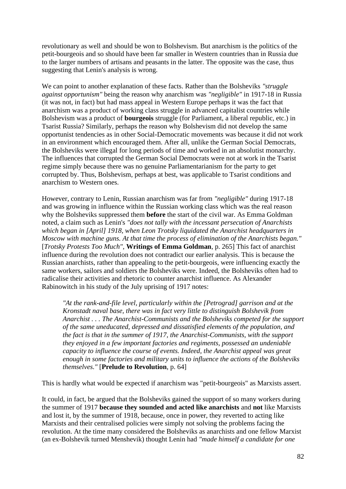revolutionary as well and should be won to Bolshevism. But anarchism is the politics of the petit-bourgeois and so should have been far smaller in Western countries than in Russia due to the larger numbers of artisans and peasants in the latter. The opposite was the case, thus suggesting that Lenin's analysis is wrong.

We can point to another explanation of these facts. Rather than the Bolsheviks *"struggle against opportunism"* being the reason why anarchism was *"negligible"* in 1917-18 in Russia (it was not, in fact) but had mass appeal in Western Europe perhaps it was the fact that anarchism was a product of working class struggle in advanced capitalist countries while Bolshevism was a product of **bourgeois** struggle (for Parliament, a liberal republic, etc.) in Tsarist Russia? Similarly, perhaps the reason why Bolshevism did not develop the same opportunist tendencies as in other Social-Democratic movements was because it did not work in an environment which encouraged them. After all, unlike the German Social Democrats, the Bolsheviks were illegal for long periods of time and worked in an absolutist monarchy. The influences that corrupted the German Social Democrats were not at work in the Tsarist regime simply because there was no genuine Parliamentarianism for the party to get corrupted by. Thus, Bolshevism, perhaps at best, was applicable to Tsarist conditions and anarchism to Western ones.

However, contrary to Lenin, Russian anarchism was far from *"negligible"* during 1917-18 and was growing in influence within the Russian working class which was the real reason why the Bolsheviks suppressed them **before** the start of the civil war. As Emma Goldman noted, a claim such as Lenin's *"does not tally with the incessant persecution of Anarchists which began in [April] 1918, when Leon Trotsky liquidated the Anarchist headquarters in Moscow with machine guns. At that time the process of elimination of the Anarchists began."* [*Trotsky Protests Too Much"*, **Writings of Emma Goldman**, p. 265] This fact of anarchist influence during the revolution does not contradict our earlier analysis. This is because the Russian anarchists, rather than appealing to the petit-bourgeois, were influencing exactly the same workers, sailors and soldiers the Bolsheviks were. Indeed, the Bolsheviks often had to radicalise their activities and rhetoric to counter anarchist influence. As Alexander Rabinowitch in his study of the July uprising of 1917 notes:

*"At the rank-and-file level, particularly within the [Petrograd] garrison and at the Kronstadt naval base, there was in fact very little to distinguish Bolshevik from Anarchist . . . The Anarchist-Communists and the Bolsheviks competed for the support of the same uneducated, depressed and dissatisfied elements of the population, and the fact is that in the summer of 1917, the Anarchist-Communists, with the support they enjoyed in a few important factories and regiments, possessed an undeniable capacity to influence the course of events. Indeed, the Anarchist appeal was great enough in some factories and military units to influence the actions of the Bolsheviks themselves."* [**Prelude to Revolution**, p. 64]

This is hardly what would be expected if anarchism was "petit-bourgeois" as Marxists assert.

It could, in fact, be argued that the Bolsheviks gained the support of so many workers during the summer of 1917 **because they sounded and acted like anarchists** and **not** like Marxists and lost it, by the summer of 1918, because, once in power, they reverted to acting like Marxists and their centralised policies were simply not solving the problems facing the revolution. At the time many considered the Bolsheviks as anarchists and one fellow Marxist (an ex-Bolshevik turned Menshevik) thought Lenin had *"made himself a candidate for one*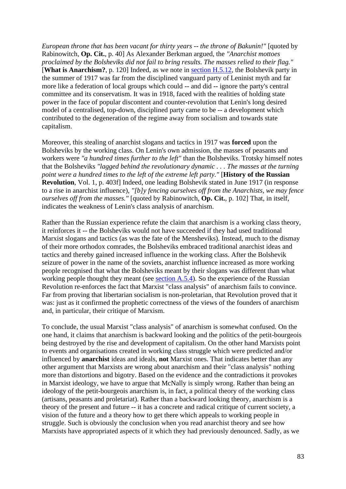*European throne that has been vacant for thirty years -- the throne of Bakunin!"* [quoted by Rabinowitch, **Op. Cit.**, p. 40] As Alexander Berkman argued, the *"Anarchist mottoes proclaimed by the Bolsheviks did not fail to bring results. The masses relied to their flag."* [**What is Anarchism?**, p. 120] Indeed, as we note in [section H.5.12,](sectionH.html#sech512) the Bolshevik party in the summer of 1917 was far from the disciplined vanguard party of Leninist myth and far more like a federation of local groups which could -- and did -- ignore the party's central committee and its conservatism. It was in 1918, faced with the realities of holding state power in the face of popular discontent and counter-revolution that Lenin's long desired model of a centralised, top-down, disciplined party came to be -- a development which contributed to the degeneration of the regime away from socialism and towards state capitalism.

Moreover, this stealing of anarchist slogans and tactics in 1917 was **forced** upon the Bolsheviks by the working class. On Lenin's own admission, the masses of peasants and workers were *"a hundred times further to the left"* than the Bolsheviks. Trotsky himself notes that the Bolsheviks *"lagged behind the revolutionary dynamic . . . The masses at the turning point were a hundred times to the left of the extreme left party."* [**History of the Russian Revolution**, Vol. 1, p. 403f] Indeed, one leading Bolshevik stated in June 1917 (in response to a rise in anarchist influence), *"[b]y fencing ourselves off from the Anarchists, we may fence ourselves off from the masses."* [quoted by Rabinowitch, **Op. Cit.**, p. 102] That, in itself, indicates the weakness of Lenin's class analysis of anarchism.

Rather than the Russian experience refute the claim that anarchism is a working class theory, it reinforces it -- the Bolsheviks would not have succeeded if they had used traditional Marxist slogans and tactics (as was the fate of the Mensheviks). Instead, much to the dismay of their more orthodox comrades, the Bolsheviks embraced traditional anarchist ideas and tactics and thereby gained increased influence in the working class. After the Bolshevik seizure of power in the name of the soviets, anarchist influence increased as more working people recognised that what the Bolsheviks meant by their slogans was different than what working people thought they meant (see [section A.5.4\)](sectionA.html#seca54). So the experience of the Russian Revolution re-enforces the fact that Marxist "class analysis" of anarchism fails to convince. Far from proving that libertarian socialism is non-proletarian, that Revolution proved that it was: just as it confirmed the prophetic correctness of the views of the founders of anarchism and, in particular, their critique of Marxism.

To conclude, the usual Marxist "class analysis" of anarchism is somewhat confused. On the one hand, it claims that anarchism is backward looking and the politics of the petit-bourgeois being destroyed by the rise and development of capitalism. On the other hand Marxists point to events and organisations created in working class struggle which were predicted and/or influenced by **anarchist** ideas and ideals, **not** Marxist ones. That indicates better than any other argument that Marxists are wrong about anarchism and their "class analysis" nothing more than distortions and bigotry. Based on the evidence and the contradictions it provokes in Marxist ideology, we have to argue that McNally is simply wrong. Rather than being an ideology of the petit-bourgeois anarchism is, in fact, a political theory of the working class (artisans, peasants and proletariat). Rather than a backward looking theory, anarchism is a theory of the present and future -- it has a concrete and radical critique of current society, a vision of the future and a theory how to get there which appeals to working people in struggle. Such is obviously the conclusion when you read anarchist theory and see how Marxists have appropriated aspects of it which they had previously denounced. Sadly, as we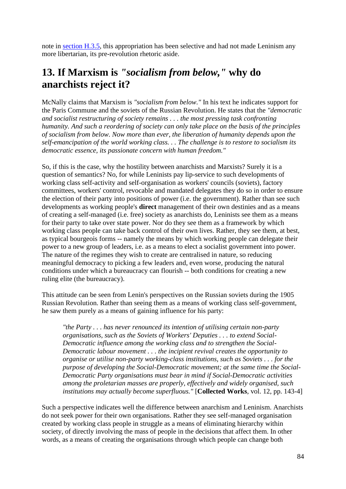note in [section H.3.5,](sectionH.html#sech35) this appropriation has been selective and had not made Leninism any more libertarian, its pre-revolution rhetoric aside.

# **13. If Marxism is** *"socialism from below,"* **why do anarchists reject it?**

McNally claims that Marxism is *"socialism from below."* In his text he indicates support for the Paris Commune and the soviets of the Russian Revolution. He states that the *"democratic and socialist restructuring of society remains . . . the most pressing task confronting humanity. And such a reordering of society can only take place on the basis of the principles of socialism from below. Now more than ever, the liberation of humanity depends upon the self-emancipation of the world working class. . . The challenge is to restore to socialism its democratic essence, its passionate concern with human freedom."*

So, if this is the case, why the hostility between anarchists and Marxists? Surely it is a question of semantics? No, for while Leninists pay lip-service to such developments of working class self-activity and self-organisation as workers' councils (soviets), factory committees, workers' control, revocable and mandated delegates they do so in order to ensure the election of their party into positions of power (i.e. the government). Rather than see such developments as working people's **direct** management of their own destinies and as a means of creating a self-managed (i.e. free) society as anarchists do, Leninists see them as a means for their party to take over state power. Nor do they see them as a framework by which working class people can take back control of their own lives. Rather, they see them, at best, as typical bourgeois forms -- namely the means by which working people can delegate their power to a new group of leaders, i.e. as a means to elect a socialist government into power. The nature of the regimes they wish to create are centralised in nature, so reducing meaningful democracy to picking a few leaders and, even worse, producing the natural conditions under which a bureaucracy can flourish -- both conditions for creating a new ruling elite (the bureaucracy).

This attitude can be seen from Lenin's perspectives on the Russian soviets during the 1905 Russian Revolution. Rather than seeing them as a means of working class self-government, he saw them purely as a means of gaining influence for his party:

*"the Party . . . has never renounced its intention of utilising certain non-party organisations, such as the Soviets of Workers' Deputies . . . to extend Social-Democratic influence among the working class and to strengthen the Social-Democratic labour movement . . . the incipient revival creates the opportunity to organise or utilise non-party working-class institutions, such as Soviets . . . for the purpose of developing the Social-Democratic movement; at the same time the Social-Democratic Party organisations must bear in mind if Social-Democratic activities among the proletarian masses are properly, effectively and widely organised, such institutions may actually become superfluous."* [**Collected Works**, vol. 12, pp. 143-4]

Such a perspective indicates well the difference between anarchism and Leninism. Anarchists do not seek power for their own organisations. Rather they see self-managed organisation created by working class people in struggle as a means of eliminating hierarchy within society, of directly involving the mass of people in the decisions that affect them. In other words, as a means of creating the organisations through which people can change both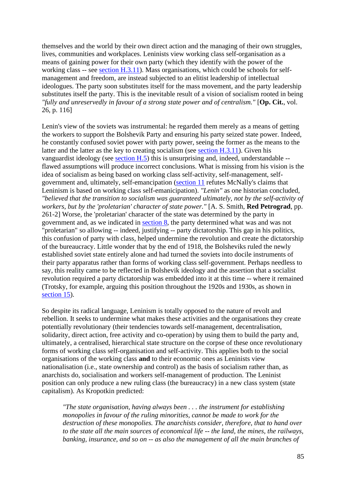themselves and the world by their own direct action and the managing of their own struggles, lives, communities and workplaces. Leninists view working class self-organisation as a means of gaining power for their own party (which they identify with the power of the working class -- see [section H.3.11\)](sectionH.html#sech311). Mass organisations, which could be schools for selfmanagement and freedom, are instead subjected to an elitist leadership of intellectual ideologues. The party soon substitutes itself for the mass movement, and the party leadership substitutes itself the party. This is the inevitable result of a vision of socialism rooted in being *"fully and unreservedly in favour of a strong state power and of centralism."* [**Op. Cit.**, vol. 26, p. 116]

Lenin's view of the soviets was instrumental: he regarded them merely as a means of getting the workers to support the Bolshevik Party and ensuring his party seized state power. Indeed, he constantly confused soviet power with party power, seeing the former as the means to the latter and the latter as the key to creating socialism (see [section H.3.11\)](sectionH.html#sech311). Given his vanguardist ideology (see [section H.5\)](sectionH.html#sech5) this is unsurprising and, indeed, understandable - flawed assumptions will produce incorrect conclusions. What is missing from his vision is the idea of socialism as being based on working class self-activity, self-management, selfgovernment and, ultimately, self-emancipation [\(section 11](append31.html#app11) refutes McNally's claims that Leninism is based on working class self-emanicipation). *"Lenin"* as one historian concluded, *"believed that the transition to socialism was guaranteed ultimately, not by the self-activity of workers, but by the 'proletarian' character of state power."* [A. S. Smith, **Red Petrograd**, pp. 261-2] Worse, the 'proletarian' character of the state was determined by the party in government and, as we indicated in [section 8,](append31.html#app8) the party determined what was and was not "proletarian" so allowing -- indeed, justifying -- party dictatorship. This gap in his politics, this confusion of party with class, helped undermine the revolution and create the dictatorship of the bureaucracy. Little wonder that by the end of 1918, the Bolsheviks ruled the newly established soviet state entirely alone and had turned the soviets into docile instruments of their party apparatus rather than forms of working class self-government. Perhaps needless to say, this reality came to be reflected in Bolshevik ideology and the assertion that a socialist revolution required a party dictatorship was embedded into it at this time -- where it remained (Trotsky, for example, arguing this position throughout the 1920s and 1930s, as shown in [section 15\)](append31.html#app15).

So despite its radical language, Leninism is totally opposed to the nature of revolt and rebellion. It seeks to undermine what makes these activities and the organisations they create potentially revolutionary (their tendencies towards self-management, decentralisation, solidarity, direct action, free activity and co-operation) by using them to build the party and, ultimately, a centralised, hierarchical state structure on the corpse of these once revolutionary forms of working class self-organisation and self-activity. This applies both to the social organisations of the working class **and** to their economic ones as Leninists view nationalisation (i.e., state ownership and control) as the basis of socialism rather than, as anarchists do, socialisation and workers self-management of production. The Leninist position can only produce a new ruling class (the bureaucracy) in a new class system (state capitalism). As Kropotkin predicted:

*"The state organisation, having always been . . . the instrument for establishing monopolies in favour of the ruling minorities, cannot be made to work for the destruction of these monopolies. The anarchists consider, therefore, that to hand over to the state all the main sources of economical life -- the land, the mines, the railways, banking, insurance, and so on -- as also the management of all the main branches of*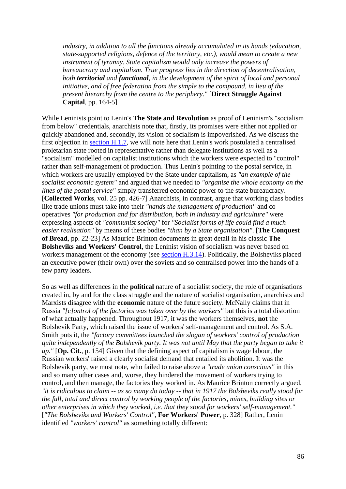*industry, in addition to all the functions already accumulated in its hands (education, state-supported religions, defence of the territory, etc.), would mean to create a new instrument of tyranny. State capitalism would only increase the powers of bureaucracy and capitalism. True progress lies in the direction of decentralisation, both territorial and functional, in the development of the spirit of local and personal initiative, and of free federation from the simple to the compound, in lieu of the present hierarchy from the centre to the periphery."* [**Direct Struggle Against Capital**, pp. 164-5]

While Leninists point to Lenin's **The State and Revolution** as proof of Leninism's "socialism from below" credentials, anarchists note that, firstly, its promises were either not applied or quickly abandoned and, secondly, its vision of socialism is impoverished. As we discuss the first objection in [section H.1.7,](sectionH.html#sech17) we will note here that Lenin's work postulated a centralised proletarian state rooted in representative rather than delegate institutions as well as a "socialism" modelled on capitalist institutions which the workers were expected to "control" rather than self-management of production. Thus Lenin's pointing to the postal service, in which workers are usually employed by the State under capitalism, as *"an example of the socialist economic system"* and argued that we needed to *"organise the whole economy on the lines of the postal service"* simply transferred economic power to the state bureaucracy. [**Collected Works**, vol. 25 pp. 426-7] Anarchists, in contrast, argue that working class bodies like trade unions must take into their *"hands the management of production"* and cooperatives *"for production and for distribution, both in industry and agriculture"* were expressing aspects of *"communist society"* for *"Socialist forms of life could find a much easier realisation"* by means of these bodies *"than by a State organisation"*. [**The Conquest of Bread**, pp. 22-23] As Maurice Brinton documents in great detail in his classic **The Bolsheviks and Workers' Control**, the Leninist vision of socialism was never based on workers management of the economy (see [section H.3.14\)](sectionH.html#sech314). Politically, the Bolsheviks placed an executive power (their own) over the soviets and so centralised power into the hands of a few party leaders.

So as well as differences in the **political** nature of a socialist society, the role of organisations created in, by and for the class struggle and the nature of socialist organisation, anarchists and Marxists disagree with the **economic** nature of the future society. McNally claims that in Russia *"[c]ontrol of the factories was taken over by the workers"* but this is a total distortion of what actually happened. Throughout 1917, it was the workers themselves, **not** the Bolshevik Party, which raised the issue of workers' self-management and control. As S.A. Smith puts it, the *"factory committees launched the slogan of workers' control of production quite independently of the Bolshevik party. It was not until May that the party began to take it up."* [**Op. Cit.**, p. 154] Given that the defining aspect of capitalism is wage labour, the Russian workers' raised a clearly socialist demand that entailed its abolition. It was the Bolshevik party, we must note, who failed to raise above a *"trade union conscious"* in this and so many other cases and, worse, they hindered the movement of workers trying to control, and then manage, the factories they worked in. As Maurice Brinton correctly argued, *"it is ridiculous to claim -- as so many do today -- that in 1917 the Bolsheviks really stood for the full, total and direct control by working people of the factories, mines, building sites or other enterprises in which they worked, i.e. that they stood for workers' self-management."* [*"The Bolsheviks and Workers' Control"*, **For Workers' Power**, p. 328] Rather, Lenin identified *"workers' control"* as something totally different: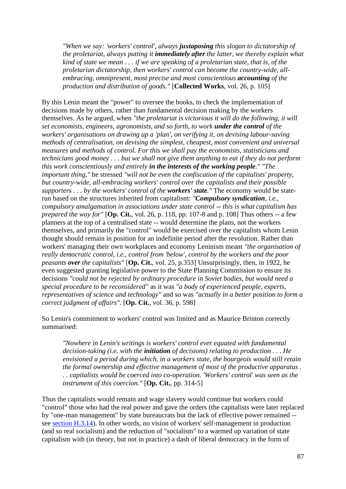*"When we say: 'workers' control', always juxtaposing this slogan to dictatorship of the proletariat, always putting it immediately after the latter, we thereby explain what kind of state we mean . . . if we are speaking of a proletarian state, that is, of the proletarian dictatorship, then workers' control can become the country-wide, allembracing, omnipresent, most precise and most conscientious accounting of the production and distribution of goods."* [**Collected Works**, vol. 26, p. 105]

By this Lenin meant the "power" to oversee the books, to check the implementation of decisions made by others, rather than fundamental decision making by the workers themselves. As he argued, when *"the proletariat is victorious it will do the following, it will set economists, engineers, agronomists, and so forth, to work under the control of the workers' organisations on drawing up a 'plan', on verifying it, on devising labour-saving methods of centralisation, on devising the simplest, cheapest, most convenient and universal measures and methods of control. For this we shall pay the economists, statisticians and technicians good money . . . but we shall not give them anything to eat if they do not perform this work conscientiously and entirely in the interests of the working people." "The important thing,"* he stressed *"will not be even the confiscation of the capitalists' property, but country-wide, all-embracing workers' control over the capitalists and their possible supporters . . . by the workers' control of the workers' state."* The economy would be staterun based on the structures inherited from capitalism: *"Compulsory syndication, i.e., compulsory amalgamation in associations under state control -- this is what capitalism has prepared the way for"* [**Op. Cit.**, vol. 26, p. 118, pp. 107-8 and p. 108] Thus others -- a few planners at the top of a centralised state -- would determine the plans, not the workers themselves, and primarily the "control" would be exercised over the capitalists whom Lenin thought should remain in position for an indefinite period after the revolution. Rather than workers' managing their own workplaces and economy Leninism meant *"the organisation of really democratic control, i.e., control from 'below', control by the workers and the poor peasants over the capitalists"* [**Op. Cit.**, vol. 25, p.353] Unsurprisingly, then, in 1922, he even suggested granting legislative power to the State Planning Commission to ensure its decisions *"could not be rejected by ordinary procedure in Soviet bodies, but would need a special procedure to be reconsidered"* as it was *"a body of experienced people, experts, representatives of science and technology"* and so was *"actually in a better position to form a correct judgment of affairs"*. [**Op. Cit.**, vol. 36, p. 598]

So Lenin's commitment to workers' control was limited and as Maurice Brinton correctly summarised:

*"Nowhere in Lenin's writings is workers' control ever equated with fundamental decision-taking (i.e. with the initiation of decisions) relating to production . . . He envisioned a period during which, in a workers state, the bourgeois would still retain the formal ownership and effective management of most of the productive apparatus . . . capitalists would be coerced into co-operation. 'Workers' control' was seen as the instrument of this coercion."* [**Op. Cit.**, pp. 314-5]

Thus the capitalists would remain and wage slavery would continue but workers could "control" those who had the real power and gave the orders (the capitalists were later replaced by "one-man management" by state bureaucrats but the lack of effective power remained - see [section H.3.14\)](sectionH.html#sech314). In other words, no vision of workers' self-management in production (and so real socialism) and the reduction of "socialism" to a warmed up variation of state capitalism with (in theory, but not in practice) a dash of liberal democracy in the form of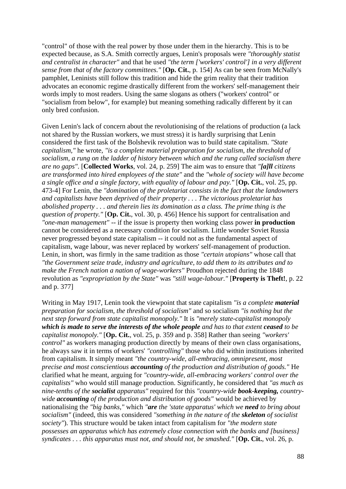"control" of those with the real power by those under them in the hierarchy. This is to be expected because, as S.A. Smith correctly argues, Lenin's proposals were *"thoroughly statist and centralist in character"* and that he used *"the term ['workers' control'] in a very different sense from that of the factory committees."* [**Op. Cit.**, p. 154] As can be seen from McNally's pamphlet, Leninists still follow this tradition and hide the grim reality that their tradition advocates an economic regime drastically different from the workers' self-management their words imply to most readers. Using the same slogans as others ("workers' control" or "socialism from below", for example) but meaning something radically different by it can only bred confusion.

Given Lenin's lack of concern about the revolutionising of the relations of production (a lack not shared by the Russian workers, we must stress) it is hardly surprising that Lenin considered the first task of the Bolshevik revolution was to build state capitalism. *"State capitalism,"* he wrote, *"is a complete material preparation for socialism, the threshold of socialism, a rung on the ladder of history between which and the rung called socialism there are no gaps"*. [**Collected Works**, vol. 24, p. 259] The aim was to ensure that *"[a]ll citizens are transformed into hired employees of the state"* and the *"whole of society will have become a single office and a single factory, with equality of labour and pay."* [**Op. Cit.**, vol. 25, pp. 473-4] For Lenin, the *"domination of the proletariat consists in the fact that the landowners and capitalists have been deprived of their property . . . The victorious proletariat has abolished property . . . and therein lies its domination as a class. The prime thing is the question of property."* [**Op. Cit.**, vol. 30, p. 456] Hence his support for centralisation and *"one-man management"* -- if the issue is property then working class power **in production** cannot be considered as a necessary condition for socialism. Little wonder Soviet Russia never progressed beyond state capitalism -- it could not as the fundamental aspect of capitalism, wage labour, was never replaced by workers' self-management of production. Lenin, in short, was firmly in the same tradition as those *"certain utopians"* whose call that *"the Government seize trade, industry and agriculture, to add them to its attributes and to make the French nation a nation of wage-workers"* Proudhon rejected during the 1848 revolution as *"expropriation by the State"* was *"still wage-labour."* [**Property is Theft!**, p. 22 and p. 377]

Writing in May 1917, Lenin took the viewpoint that state capitalism *"is a complete material preparation for socialism, the threshold of socialism"* and so socialism *"is nothing but the next step forward from state capitalist monopoly."* It is *"merely state-capitalist monopoly which is made to serve the interests of the whole people and has to that extent ceased to be capitalist monopoly."* [**Op. Cit.**, vol. 25, p. 359 and p. 358] Rather than seeing *"workers' control"* as workers managing production directly by means of their own class organisations, he always saw it in terms of workers' *"controlling"* those who did within institutions inherited from capitalism. It simply meant *"the country-wide, all-embracing, omnipresent, most precise and most conscientious accounting of the production and distribution of goods."* He clarified what he meant, arguing for *"country-wide, all-embracing workers' control over the capitalists"* who would still manage production. Significantly, he considered that *"as much as nine-tenths of the socialist apparatus"* required for this *"country-wide book-keeping, countrywide accounting of the production and distribution of goods"* would be achieved by nationalising the *"big banks,"* which *"are the 'state apparatus' which we need to bring about socialism"* (indeed, this was considered *"something in the nature of the skeleton of socialist society"*). This structure would be taken intact from capitalism for *"the modern state possesses an apparatus which has extremely close connection with the banks and [business] syndicates . . . this apparatus must not, and should not, be smashed."* [**Op. Cit.**, vol. 26, p.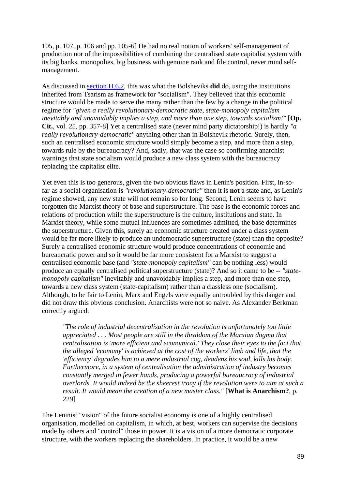105, p. 107, p. 106 and pp. 105-6] He had no real notion of workers' self-management of production nor of the impossibilities of combining the centralised state capitalist system with its big banks, monopolies, big business with genuine rank and file control, never mind selfmanagement.

As discussed in [section H.6.2,](sectionH.html#sech362) this was what the Bolsheviks **did** do, using the institutions inherited from Tsarism as framework for "socialism". They believed that this economic structure would be made to serve the many rather than the few by a change in the political regime for *"given a really revolutionary-democratic state, state-monopoly capitalism inevitably and unavoidably implies a step, and more than one step, towards socialism!"* [**Op. Cit.**, vol. 25, pp. 357-8] Yet a centralised state (never mind party dictatorship!) is hardly *"a really revolutionary-democratic"* anything other than in Bolshevik rhetoric. Surely, then, such an centralised economic structure would simply become a step, and more than a step, towards rule by the bureaucracy? And, sadly, that was the case so confirming anarchist warnings that state socialism would produce a new class system with the bureaucracy replacing the capitalist elite.

Yet even this is too generous, given the two obvious flaws in Lenin's position. First, in-sofar-as a social organisation **is** *"revolutionary-democratic"* then it is **not** a state and, as Lenin's regime showed, any new state will not remain so for long. Second, Lenin seems to have forgotten the Marxist theory of base and superstructure. The base is the economic forces and relations of production while the superstructure is the culture, institutions and state. In Marxist theory, while some mutual influences are sometimes admitted, the base determines the superstructure. Given this, surely an economic structure created under a class system would be far more likely to produce an undemocratic superstructure (state) than the opposite? Surely a centralised economic structure would produce concentrations of economic and bureaucratic power and so it would be far more consistent for a Marxist to suggest a centralised economic base (and *"state-monopoly capitalism"* can be nothing less) would produce an equally centralised political superstructure (state)? And so it came to be -- *"statemonopoly capitalism*" inevitably and unavoidably implies a step, and more than one step, towards a new class system (state-capitalism) rather than a classless one (socialism). Although, to be fair to Lenin, Marx and Engels were equally untroubled by this danger and did not draw this obvious conclusion. Anarchists were not so naive. As Alexander Berkman correctly argued:

*"The role of industrial decentralisation in the revolution is unfortunately too little appreciated . . . Most people are still in the thraldom of the Marxian dogma that centralisation is 'more efficient and economical.' They close their eyes to the fact that the alleged 'economy' is achieved at the cost of the workers' limb and life, that the 'efficiency' degrades him to a mere industrial cog, deadens his soul, kills his body. Furthermore, in a system of centralisation the administration of industry becomes constantly merged in fewer hands, producing a powerful bureaucracy of industrial overlords. It would indeed be the sheerest irony if the revolution were to aim at such a result. It would mean the creation of a new master class."* [**What is Anarchism?**, p. 229]

The Leninist "vision" of the future socialist economy is one of a highly centralised organisation, modelled on capitalism, in which, at best, workers can supervise the decisions made by others and "control" those in power. It is a vision of a more democratic corporate structure, with the workers replacing the shareholders. In practice, it would be a new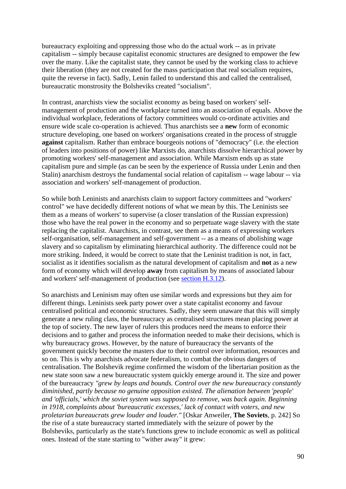bureaucracy exploiting and oppressing those who do the actual work -- as in private capitalism -- simply because capitalist economic structures are designed to empower the few over the many. Like the capitalist state, they cannot be used by the working class to achieve their liberation (they are not created for the mass participation that real socialism requires, quite the reverse in fact). Sadly, Lenin failed to understand this and called the centralised, bureaucratic monstrosity the Bolsheviks created "socialism".

In contrast, anarchists view the socialist economy as being based on workers' selfmanagement of production and the workplace turned into an association of equals. Above the individual workplace, federations of factory committees would co-ordinate activities and ensure wide scale co-operation is achieved. Thus anarchists see a **new** form of economic structure developing, one based on workers' organisations created in the process of struggle **against** capitalism. Rather than embrace bourgeois notions of "democracy" (i.e. the election of leaders into positions of power) like Marxists do, anarchists dissolve hierarchical power by promoting workers' self-management and association. While Marxism ends up as state capitalism pure and simple (as can be seen by the experience of Russia under Lenin and then Stalin) anarchism destroys the fundamental social relation of capitalism -- wage labour -- via association and workers' self-management of production.

So while both Leninists and anarchists claim to support factory committees and "workers' control" we have decidedly different notions of what we mean by this. The Leninists see them as a means of workers' to supervise (a closer translation of the Russian expression) those who have the real power in the economy and so perpetuate wage slavery with the state replacing the capitalist. Anarchists, in contrast, see them as a means of expressing workers self-organisation, self-management and self-government -- as a means of abolishing wage slavery and so capitalism by eliminating hierarchical authority. The difference could not be more striking. Indeed, it would be correct to state that the Leninist tradition is not, in fact, socialist as it identifies socialism as the natural development of capitalism and **not** as a new form of economy which will develop **away** from capitalism by means of associated labour and workers' self-management of production (see [section H.3.12\)](sectionH.html#sech312).

So anarchists and Leninism may often use similar words and expressions but they aim for different things. Leninists seek party power over a state capitalist economy and favour centralised political and economic structures. Sadly, they seem unaware that this will simply generate a new ruling class, the bureaucracy as centralised structures mean placing power at the top of society. The new layer of rulers this produces need the means to enforce their decisions and to gather and process the information needed to make their decisions, which is why bureaucracy grows. However, by the nature of bureaucracy the servants of the government quickly become the masters due to their control over information, resources and so on. This is why anarchists advocate federalism, to combat the obvious dangers of centralisation. The Bolshevik regime confirmed the wisdom of the libertarian position as the new state soon saw a new bureaucratic system quickly emerge around it. The size and power of the bureaucracy *"grew by leaps and bounds. Control over the new bureaucracy constantly diminished, partly because no genuine opposition existed. The alienation between 'people' and 'officials,' which the soviet system was supposed to remove, was back again. Beginning in 1918, complaints about 'bureaucratic excesses,' lack of contact with voters, and new proletarian bureaucrats grew louder and louder."* [Oskar Anweiler, **The Soviets**, p. 242] So the rise of a state bureaucracy started immediately with the seizure of power by the Bolsheviks, particularly as the state's functions grew to include economic as well as political ones. Instead of the state starting to "wither away" it grew: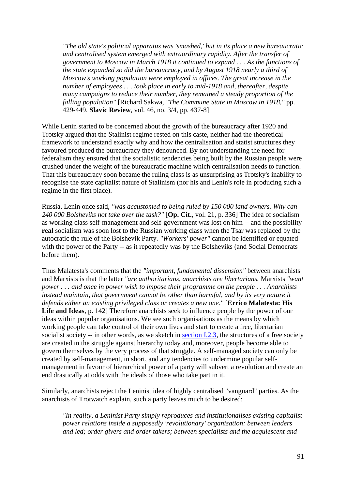*"The old state's political apparatus was 'smashed,' but in its place a new bureaucratic and centralised system emerged with extraordinary rapidity. After the transfer of government to Moscow in March 1918 it continued to expand . . . As the functions of the state expanded so did the bureaucracy, and by August 1918 nearly a third of Moscow's working population were employed in offices. The great increase in the number of employees . . . took place in early to mid-1918 and, thereafter, despite many campaigns to reduce their number, they remained a steady proportion of the falling population"* [Richard Sakwa, *"The Commune State in Moscow in 1918,"* pp. 429-449, **Slavic Review**, vol. 46, no. 3/4, pp. 437-8]

While Lenin started to be concerned about the growth of the bureaucracy after 1920 and Trotsky argued that the Stalinist regime rested on this caste, neither had the theoretical framework to understand exactly why and how the centralisation and statist structures they favoured produced the bureaucracy they denounced. By not understanding the need for federalism they ensured that the socialistic tendencies being built by the Russian people were crushed under the weight of the bureaucratic machine which centralisation needs to function. That this bureaucracy soon became the ruling class is as unsurprising as Trotsky's inability to recognise the state capitalist nature of Stalinism (nor his and Lenin's role in producing such a regime in the first place).

Russia, Lenin once said, *"was accustomed to being ruled by 150 000 land owners. Why can 240 000 Bolsheviks not take over the task?"* [**Op. Cit.**, vol. 21, p. 336] The idea of socialism as working class self-management and self-government was lost on him -- and the possibility **real** socialism was soon lost to the Russian working class when the Tsar was replaced by the autocratic the rule of the Bolshevik Party. *"Workers' power"* cannot be identified or equated with the power of the Party -- as it repeatedly was by the Bolsheviks (and Social Democrats before them).

Thus Malatesta's comments that the *"important, fundamental dissension"* between anarchists and Marxists is that the latter *"are authoritarians, anarchists are libertarians.* Marxists *"want power . . . and once in power wish to impose their programme on the people . . . Anarchists instead maintain, that government cannot be other than harmful, and by its very nature it defends either an existing privileged class or creates a new one."* [**Errico Malatesta: His Life and Ideas**, p. 142] Therefore anarchists seek to influence people by the power of our ideas within popular organisations. We see such organisations as the means by which working people can take control of their own lives and start to create a free, libertarian socialist society -- in other words, as we sketch in [section I.2.3,](sectionI.html#seci23) the structures of a free society are created in the struggle against hierarchy today and, moreover, people become able to govern themselves by the very process of that struggle. A self-managed society can only be created by self-management, in short, and any tendencies to undermine popular selfmanagement in favour of hierarchical power of a party will subvert a revolution and create an end drastically at odds with the ideals of those who take part in it.

Similarly, anarchists reject the Leninist idea of highly centralised "vanguard" parties. As the anarchists of Trotwatch explain, such a party leaves much to be desired:

*"In reality, a Leninist Party simply reproduces and institutionalises existing capitalist power relations inside a supposedly 'revolutionary' organisation: between leaders and led; order givers and order takers; between specialists and the acquiescent and*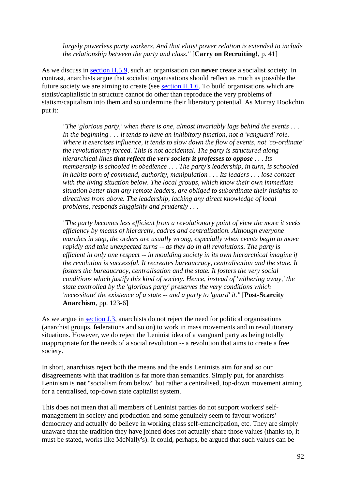*largely powerless party workers. And that elitist power relation is extended to include the relationship between the party and class."* [**Carry on Recruiting!**, p. 41]

As we discuss in [section H.5.9,](sectionH.html#sech59) such an organisation can **never** create a socialist society. In contrast, anarchists argue that socialist organisations should reflect as much as possible the future society we are aiming to create (see [section H.1.6.](sectionH.html#sech16) To build organisations which are statist/capitalistic in structure cannot do other than reproduce the very problems of statism/capitalism into them and so undermine their liberatory potential. As Murray Bookchin put it:

*"The 'glorious party,' when there is one, almost invariably lags behind the events . . . In the beginning . . . it tends to have an inhibitory function, not a 'vanguard' role. Where it exercises influence, it tends to slow down the flow of events, not 'co-ordinate' the revolutionary forced. This is not accidental. The party is structured along hierarchical lines that reflect the very society it professes to oppose . . . Its membership is schooled in obedience . . . The party's leadership, in turn, is schooled in habits born of command, authority, manipulation . . . Its leaders . . . lose contact with the living situation below. The local groups, which know their own immediate situation better than any remote leaders, are obliged to subordinate their insights to directives from above. The leadership, lacking any direct knowledge of local problems, responds sluggishly and prudently . . .*

*"The party becomes less efficient from a revolutionary point of view the more it seeks efficiency by means of hierarchy, cadres and centralisation. Although everyone marches in step, the orders are usually wrong, especially when events begin to move rapidly and take unexpected turns -- as they do in all revolutions. The party is efficient in only one respect -- in moulding society in its own hierarchical imagine if the revolution is successful. It recreates bureaucracy, centralisation and the state. It fosters the bureaucracy, centralisation and the state. It fosters the very social conditions which justify this kind of society. Hence, instead of 'withering away,' the state controlled by the 'glorious party' preserves the very conditions which 'necessitate' the existence of a state -- and a party to 'guard' it."* [**Post-Scarcity Anarchism**, pp. 123-6]

As we argue in [section J.3,](sectionJ3.html#secj3) anarchists do not reject the need for political organisations (anarchist groups, federations and so on) to work in mass movements and in revolutionary situations. However, we do reject the Leninist idea of a vanguard party as being totally inappropriate for the needs of a social revolution -- a revolution that aims to create a free society.

In short, anarchists reject both the means and the ends Leninists aim for and so our disagreements with that tradition is far more than semantics. Simply put, for anarchists Leninism is **not** "socialism from below" but rather a centralised, top-down movement aiming for a centralised, top-down state capitalist system.

This does not mean that all members of Leninist parties do not support workers' selfmanagement in society and production and some genuinely seem to favour workers' democracy and actually do believe in working class self-emancipation, etc. They are simply unaware that the tradition they have joined does not actually share those values (thanks to, it must be stated, works like McNally's). It could, perhaps, be argued that such values can be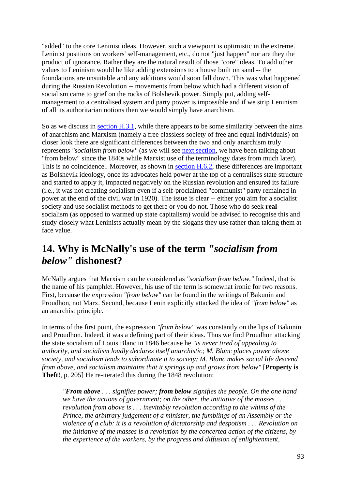"added" to the core Leninist ideas. However, such a viewpoint is optimistic in the extreme. Leninist positions on workers' self-management, etc., do not "just happen" nor are they the product of ignorance. Rather they are the natural result of those "core" ideas. To add other values to Leninism would be like adding extensions to a house built on sand -- the foundations are unsuitable and any additions would soon fall down. This was what happened during the Russian Revolution -- movements from below which had a different vision of socialism came to grief on the rocks of Bolshevik power. Simply put, adding selfmanagement to a centralised system and party power is impossible and if we strip Leninism of all its authoritarian notions then we would simply have anarchism.

So as we discuss in [section H.3.1,](secH3.htm#sech31) while there appears to be some similarity between the aims of anarchism and Marxism (namely a free classless society of free and equal individuals) on closer look there are significant differences between the two and only anarchism truly represents *"socialism from below"* (as we will see [next section,](append31.html#app14) we have been talking about "from below" since the 1840s while Marxist use of the terminology dates from much later). This is no coincidence.. Moreover, as shown in [section H.6.2,](sectionH.html#sech62) these differences are important as Bolshevik ideology, once its advocates held power at the top of a centralises state structure and started to apply it, impacted negatively on the Russian revolution and ensured its failure (i.e., it was not creating socialism even if a self-proclaimed "communist" party remained in power at the end of the civil war in 1920). The issue is clear -- either you aim for a socialist society and use socialist methods to get there or you do not. Those who do seek **real** socialism (as opposed to warmed up state capitalism) would be advised to recognise this and study closely what Leninists actually mean by the slogans they use rather than taking them at face value.

## **14. Why is McNally's use of the term** *"socialism from below"* **dishonest?**

McNally argues that Marxism can be considered as *"socialism from below."* Indeed, that is the name of his pamphlet. However, his use of the term is somewhat ironic for two reasons. First, because the expression *"from below"* can be found in the writings of Bakunin and Proudhon, not Marx. Second, because Lenin explicitly attacked the idea of *"from below"* as an anarchist principle.

In terms of the first point, the expression *"from below"* was constantly on the lips of Bakunin and Proudhon. Indeed, it was a defining part of their ideas. Thus we find Proudhon attacking the state socialism of Louis Blanc in 1846 because he *"is never tired of appealing to authority, and socialism loudly declares itself anarchistic; M. Blanc places power above society, and socialism tends to subordinate it to society; M. Blanc makes social life descend from above, and socialism maintains that it springs up and grows from below"* [**Property is Theft!**, p. 205] He re-iterated this during the 1848 revolution:

*"From above . . . signifies power; from below signifies the people. On the one hand we have the actions of government; on the other, the initiative of the masses . . . revolution from above is . . . inevitably revolution according to the whims of the Prince, the arbitrary judgement of a minister, the fumblings of an Assembly or the violence of a club: it is a revolution of dictatorship and despotism . . . Revolution on the initiative of the masses is a revolution by the concerted action of the citizens, by the experience of the workers, by the progress and diffusion of enlightenment,*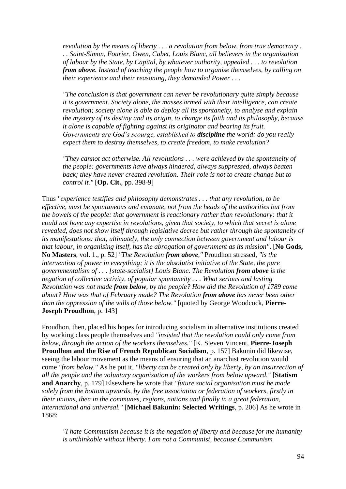*revolution by the means of liberty . . . a revolution from below, from true democracy . . . Saint-Simon, Fourier, Owen, Cabet, Louis Blanc, all believers in the organisation of labour by the State, by Capital, by whatever authority, appealed . . . to revolution from above. Instead of teaching the people how to organise themselves, by calling on their experience and their reasoning, they demanded Power . . .*

*"The conclusion is that government can never be revolutionary quite simply because it is government. Society alone, the masses armed with their intelligence, can create revolution; society alone is able to deploy all its spontaneity, to analyse and explain the mystery of its destiny and its origin, to change its faith and its philosophy, because it alone is capable of fighting against its originator and bearing its fruit. Governments are God's scourge, established to discipline the world: do you really expect them to destroy themselves, to create freedom, to make revolution?*

*"They cannot act otherwise. All revolutions . . . were achieved by the spontaneity of the people: governments have always hindered, always suppressed, always beaten back; they have never created revolution. Their role is not to create change but to control it."* [**Op. Cit.**, pp. 398-9]

Thus *"experience testifies and philosophy demonstrates . . . that any revolution, to be effective, must be spontaneous and emanate, not from the heads of the authorities but from the bowels of the people: that government is reactionary rather than revolutionary: that it could not have any expertise in revolutions, given that society, to which that secret is alone revealed, does not show itself through legislative decree but rather through the spontaneity of its manifestations: that, ultimately, the only connection between government and labour is that labour, in organising itself, has the abrogation of government as its mission"*. [**No Gods, No Masters**, vol. 1., p. 52] *"The Revolution from above,"* Proudhon stressed, *"is the intervention of power in everything; it is the absolutist initiative of the State, the pure governmentalism of . . . [state-socialist] Louis Blanc. The Revolution from above is the negation of collective activity, of popular spontaneity . . . What serious and lasting Revolution was not made from below, by the people? How did the Revolution of 1789 come about? How was that of February made? The Revolution from above has never been other than the oppression of the wills of those below."* [quoted by George Woodcock, **Pierre-Joseph Proudhon**, p. 143]

Proudhon, then, placed his hopes for introducing socialism in alternative institutions created by working class people themselves and *"insisted that the revolution could only come from below, through the action of the workers themselves."* [K. Steven Vincent, **Pierre-Joseph Proudhon and the Rise of French Republican Socialism**, p. 157] Bakunin did likewise, seeing the labour movement as the means of ensuring that an anarchist revolution would come *"from below."* As he put it, *"liberty can be created only by liberty, by an insurrection of all the people and the voluntary organisation of the workers from below upward."* [**Statism and Anarchy**, p. 179] Elsewhere he wrote that *"future social organisation must be made solely from the bottom upwards, by the free association or federation of workers, firstly in their unions, then in the communes, regions, nations and finally in a great federation, international and universal."* [**Michael Bakunin: Selected Writings**, p. 206] As he wrote in 1868:

*"I hate Communism because it is the negation of liberty and because for me humanity is unthinkable without liberty. I am not a Communist, because Communism*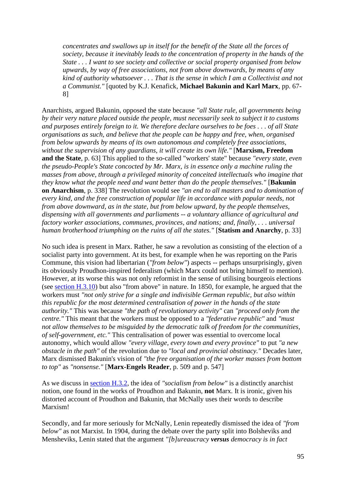*concentrates and swallows up in itself for the benefit of the State all the forces of society, because it inevitably leads to the concentration of property in the hands of the State . . . I want to see society and collective or social property organised from below upwards, by way of free associations, not from above downwards, by means of any kind of authority whatsoever . . . That is the sense in which I am a Collectivist and not a Communist."* [quoted by K.J. Kenafick, **Michael Bakunin and Karl Marx**, pp. 67- 8]

Anarchists, argued Bakunin, opposed the state because *"all State rule, all governments being by their very nature placed outside the people, must necessarily seek to subject it to customs and purposes entirely foreign to it. We therefore declare ourselves to be foes . . . of all State organisations as such, and believe that the people can be happy and free, when, organised from below upwards by means of its own autonomous and completely free associations, without the supervision of any guardians, it will create its own life."* [**Marxism, Freedom and the State**, p. 63] This applied to the so-called "workers' state" because *"every state, even the pseudo-People's State concocted by Mr. Marx, is in essence only a machine ruling the masses from above, through a privileged minority of conceited intellectuals who imagine that they know what the people need and want better than do the people themselves."* [**Bakunin on Anarchism**, p. 338] The revolution would see *"an end to all masters and to domination of every kind, and the free construction of popular life in accordance with popular needs, not from above downward, as in the state, but from below upward, by the people themselves, dispensing with all governments and parliaments -- a voluntary alliance of agricultural and factory worker associations, communes, provinces, and nations; and, finally, . . . universal human brotherhood triumphing on the ruins of all the states."* [**Statism and Anarchy**, p. 33]

No such idea is present in Marx. Rather, he saw a revolution as consisting of the election of a socialist party into government. At its best, for example when he was reporting on the Paris Commune, this vision had libertarian (*"from below"*) aspects -- perhaps unsurprisingly, given its obviously Proudhon-inspired federalism (which Marx could not bring himself to mention). However, at its worse this was not only reformist in the sense of utilising bourgeois elections (see [section H.3.10\)](sectionH.html#sech310) but also "from above" in nature. In 1850, for example, he argued that the workers must *"not only strive for a single and indivisible German republic, but also within this republic for the most determined centralisation of power in the hands of the state authority."* This was because *"the path of revolutionary activity"* can *"proceed only from the centre."* This meant that the workers must be opposed to a *"federative republic"* and *"must not allow themselves to be misguided by the democratic talk of freedom for the communities, of self-government, etc."* This centralisation of power was essential to overcome local autonomy, which would allow *"every village, every town and every province"* to put *"a new obstacle in the path"* of the revolution due to *"local and provincial obstinacy."* Decades later, Marx dismissed Bakunin's vision of *"the free organisation of the worker masses from bottom to top"* as *"nonsense."* [**Marx-Engels Reader**, p. 509 and p. 547]

As we discuss in [section H.3.2,](sectionH.html#sech32) the idea of *"socialism from below"* is a distinctly anarchist notion, one found in the works of Proudhon and Bakunin, **not** Marx. It is ironic, given his distorted account of Proudhon and Bakunin, that McNally uses their words to describe Marxism!

Secondly, and far more seriously for McNally, Lenin repeatedly dismissed the idea of *"from below"* as not Marxist. In 1904, during the debate over the party split into Bolsheviks and Mensheviks, Lenin stated that the argument *"[b]ureaucracy versus democracy is in fact*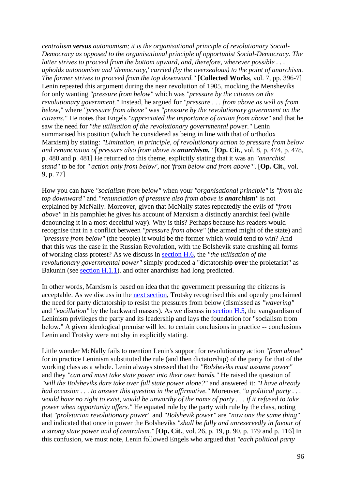*centralism versus autonomism; it is the organisational principle of revolutionary Social-Democracy as opposed to the organisational principle of opportunist Social-Democracy. The latter strives to proceed from the bottom upward, and, therefore, wherever possible . . . upholds autonomism and 'democracy,' carried (by the overzealous) to the point of anarchism. The former strives to proceed from the top downward."* [**Collected Works**, vol. 7, pp. 396-7] Lenin repeated this argument during the near revolution of 1905, mocking the Mensheviks for only wanting *"pressure from below"* which was *"pressure by the citizens on the revolutionary government."* Instead, he argued for *"pressure . . . from above as well as from below,"* where *"pressure from above"* was *"pressure by the revolutionary government on the citizens."* He notes that Engels *"appreciated the importance of action from above"* and that he saw the need for *"the utilisation of the revolutionary governmental power."* Lenin summarised his position (which he considered as being in line with that of orthodox Marxism) by stating: *"Limitation, in principle, of revolutionary action to pressure from below and renunciation of pressure also from above is anarchism."* [**Op. Cit.**, vol. 8, p. 474, p. 478, p. 480 and p. 481] He returned to this theme, explicitly stating that it was an *"anarchist stand"* to be for *"'action only from below', not 'from below and from above'"*. [**Op. Cit.**, vol. 9, p. 77]

How you can have *"socialism from below"* when your *"organisational principle"* is *"from the top downward"* and *"renunciation of pressure also from above is anarchism"* is not explained by McNally. Moreover, given that McNally states repeatedly the evils of *"from above"* in his pamphlet he gives his account of Marxism a distinctly anarchist feel (while denouncing it in a most deceitful way). Why is this? Perhaps because his readers would recognise that in a conflict between *"pressure from above"* (the armed might of the state) and *"pressure from below"* (the people) it would be the former which would tend to win? And that this was the case in the Russian Revolution, with the Bolshevik state crushing all forms of working class protest? As we discuss in [section H.6,](sectionH.html#sech6) the *"the utilisation of the revolutionary governmental power"* simply produced a "dictatorship **over** the proletariat" as Bakunin (see [section H.1.1\)](sectionH.html#sech11). and other anarchists had long predicted.

In other words, Marxism is based on idea that the government pressuring the citizens is acceptable. As we discuss in the [next section,](append31.html#app15) Trotsky recognised this and openly proclaimed the need for party dictatorship to resist the pressures from below (dismissed as *"wavering"* and *"vacillation"* by the backward masses). As we discuss in [section H.5,](sectionH.html#sech5) the vanguardism of Leninism privileges the party and its leadership and lays the foundation for "socialism from below." A given ideological premise will led to certain conclusions in practice -- conclusions Lenin and Trotsky were not shy in explicitly stating.

Little wonder McNally fails to mention Lenin's support for revolutionary action *"from above"* for in practice Leninism substituted the rule (and then dictatorship) of the party for that of the working class as a whole. Lenin always stressed that the *"Bolsheviks must assume power"* and they *"can and must take state power into their own hands."* He raised the question of *"will the Bolsheviks dare take over full state power alone?"* and answered it: *"I have already had occasion . . . to answer this question in the affirmative."* Moreover, *"a political party . . . would have no right to exist, would be unworthy of the name of party . . . if it refused to take power when opportunity offers."* He equated rule by the party with rule by the class, noting that *"proletarian revolutionary power"* and *"Bolshevik power"* are *"now one the same thing"* and indicated that once in power the Bolsheviks *"shall be fully and unreservedly in favour of a strong state power and of centralism."* [**Op. Cit.**, vol. 26, p. 19, p. 90, p. 179 and p. 116] In this confusion, we must note, Lenin followed Engels who argued that *"each political party*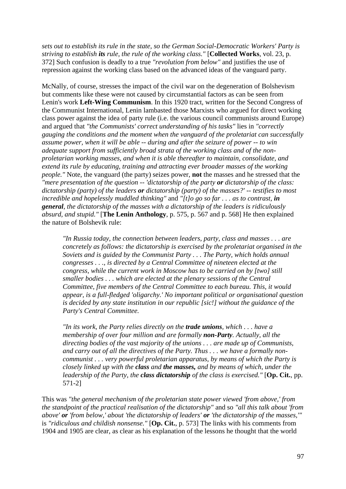*sets out to establish its rule in the state, so the German Social-Democratic Workers' Party is striving to establish its rule, the rule of the working class."* [**Collected Works**, vol. 23, p. 372] Such confusion is deadly to a true *"revolution from below"* and justifies the use of repression against the working class based on the advanced ideas of the vanguard party.

McNally, of course, stresses the impact of the civil war on the degeneration of Bolshevism but comments like these were not caused by circumstantial factors as can be seen from Lenin's work **Left-Wing Communism**. In this 1920 tract, written for the Second Congress of the Communist International, Lenin lambasted those Marxists who argued for direct working class power against the idea of party rule (i.e. the various council communists around Europe) and argued that *"the Communists' correct understanding of his tasks"* lies in *"correctly gauging the conditions and the moment when the vanguard of the proletariat can successfully assume power, when it will be able -- during and after the seizure of power -- to win adequate support from sufficiently broad strata of the working class and of the nonproletarian working masses, and when it is able thereafter to maintain, consolidate, and extend its rule by educating, training and attracting ever broader masses of the working people."* Note, the vanguard (the party) seizes power, **not** the masses and he stressed that the *"mere presentation of the question -- 'dictatorship of the party or dictatorship of the class: dictatorship (party) of the leaders or dictatorship (party) of the masses?' -- testifies to most incredible and hopelessly muddled thinking"* and *"[t]o go so far . . . as to contrast, in general, the dictatorship of the masses with a dictatorship of the leaders is ridiculously absurd, and stupid."* [**The Lenin Anthology**, p. 575, p. 567 and p. 568] He then explained the nature of Bolshevik rule:

*"In Russia today, the connection between leaders, party, class and masses . . . are concretely as follows: the dictatorship is exercised by the proletariat organised in the Soviets and is guided by the Communist Party . . . The Party, which holds annual congresses . . ., is directed by a Central Committee of nineteen elected at the congress, while the current work in Moscow has to be carried on by [two] still smaller bodies . . . which are elected at the plenary sessions of the Central Committee, five members of the Central Committee to each bureau. This, it would appear, is a full-fledged 'oligarchy.' No important political or organisational question is decided by any state institution in our republic [sic!] without the guidance of the Party's Central Committee.*

*"In its work, the Party relies directly on the trade unions, which . . . have a membership of over four million and are formally non-Party. Actually, all the directing bodies of the vast majority of the unions . . . are made up of Communists, and carry out of all the directives of the Party. Thus . . . we have a formally noncommunist . . . very powerful proletarian apparatus, by means of which the Party is closely linked up with the class and the masses, and by means of which, under the leadership of the Party, the class dictatorship of the class is exercised."* [**Op. Cit.**, pp. 571-2]

This was *"the general mechanism of the proletarian state power viewed 'from above,' from the standpoint of the practical realisation of the dictatorship"* and so *"all this talk about 'from above' or 'from below,' about 'the dictatorship of leaders' or 'the dictatorship of the masses,'"* is *"ridiculous and childish nonsense."* [**Op. Cit.**, p. 573] The links with his comments from 1904 and 1905 are clear, as clear as his explanation of the lessons he thought that the world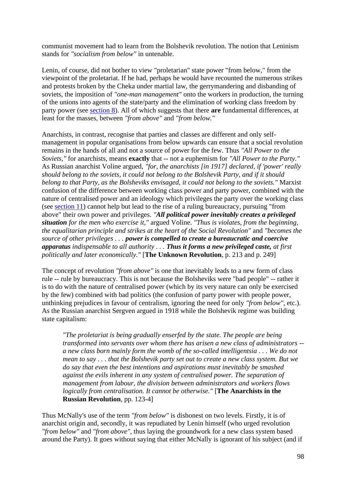communist movement had to learn from the Bolshevik revolution. The notion that Leninism stands for *"socialism from below"* in untenable.

Lenin, of course, did not bother to view "proletarian" state power "from below," from the viewpoint of the proletariat. If he had, perhaps he would have recounted the numerous strikes and protests broken by the Cheka under martial law, the gerrymandering and disbanding of soviets, the imposition of *"one-man management"* onto the workers in production, the turning of the unions into agents of the state/party and the elimination of working class freedom by party power (see [section 8\)](append31.html#app8). All of which suggests that there **are** fundamental differences, at least for the masses, between *"from above"* and *"from below."*

Anarchists, in contrast, recognise that parties and classes are different and only selfmanagement in popular organisations from below upwards can ensure that a social revolution remains in the hands of all and not a source of power for the few. Thus *"All Power to the Soviets,"* for anarchists, means **exactly** that -- not a euphemism for *"All Power to the Party."* As Russian anarchist Voline argued, *"for, the anarchists [in 1917] declared, if 'power' really should belong to the soviets, it could not belong to the Bolshevik Party, and if it should belong to that Party, as the Bolsheviks envisaged, it could not belong to the soviets."* Marxist confusion of the difference between working class power and party power, combined with the nature of centralised power and an ideology which privileges the party over the working class (see [section 11\)](append31.html#app11) cannot help but lead to the rise of a ruling bureaucracy, pursuing "from above" their own power and privileges. *"All political power inevitably creates a privileged situation for the men who exercise it,"* argued Voline. *"Thus is violates, from the beginning, the equalitarian principle and strikes at the heart of the Social Revolution"* and *"becomes the source of other privileges . . . power is compelled to create a bureaucratic and coercive apparatus indispensable to all authority . . . Thus it forms a new privileged caste, at first politically and later economically."* [**The Unknown Revolution**, p. 213 and p. 249]

The concept of revolution *"from above"* is one that inevitably leads to a new form of class rule -- rule by bureaucracy. This is not because the Bolsheviks were "bad people" -- rather it is to do with the nature of centralised power (which by its very nature can only be exercised by the few) combined with bad politics (the confusion of party power with people power, unthinking prejudices in favour of centralism, ignoring the need for only *"from below"*, etc.). As the Russian anarchist Sergven argued in 1918 while the Bolshevik regime was building state capitalism:

*"The proletariat is being gradually enserfed by the state. The people are being transformed into servants over whom there has arisen a new class of administrators - a new class born mainly form the womb of the so-called intelligentsia . . . We do not mean to say . . . that the Bolshevik party set out to create a new class system. But we do say that even the best intentions and aspirations must inevitably be smashed against the evils inherent in any system of centralised power. The separation of management from labour, the division between administrators and workers flows logically from centralisation. It cannot be otherwise."* [**The Anarchists in the Russian Revolution**, pp. 123-4]

Thus McNally's use of the term *"from below"* is dishonest on two levels. Firstly, it is of anarchist origin and, secondly, it was repudiated by Lenin himself (who urged revolution *"from below"* and *"from above"*, thus laying the groundwork for a new class system based around the Party). It goes without saying that either McNally is ignorant of his subject (and if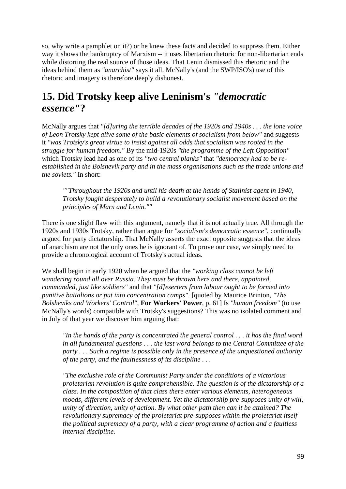so, why write a pamphlet on it?) or he knew these facts and decided to suppress them. Either way it shows the bankruptcy of Marxism -- it uses libertarian rhetoric for non-libertarian ends while distorting the real source of those ideas. That Lenin dismissed this rhetoric and the ideas behind them as *"anarchist"* says it all. McNally's (and the SWP/ISO's) use of this rhetoric and imagery is therefore deeply dishonest.

## **15. Did Trotsky keep alive Leninism's** *"democratic essence"***?**

McNally argues that *"[d]uring the terrible decades of the 1920s and 1940s . . . the lone voice of Leon Trotsky kept alive some of the basic elements of socialism from below"* and suggests it *"was Trotsky's great virtue to insist against all odds that socialism was rooted in the struggle for human freedom."* By the mid-1920s *"the programme of the Left Opposition"* which Trotsky lead had as one of its *"two central planks"* that *"democracy had to be reestablished in the Bolshevik party and in the mass organisations such as the trade unions and the soviets."* In short:

*""Throughout the 1920s and until his death at the hands of Stalinist agent in 1940, Trotsky fought desperately to build a revolutionary socialist movement based on the principles of Marx and Lenin.""*

There is one slight flaw with this argument, namely that it is not actually true. All through the 1920s and 1930s Trotsky, rather than argue for *"socialism's democratic essence"*, continually argued for party dictatorship. That McNally asserts the exact opposite suggests that the ideas of anarchism are not the only ones he is ignorant of. To prove our case, we simply need to provide a chronological account of Trotsky's actual ideas.

We shall begin in early 1920 when he argued that the *"working class cannot be left wandering round all over Russia. They must be thrown here and there, appointed, commanded, just like soldiers"* and that *"[d]eserters from labour ought to be formed into punitive battalions or put into concentration camps"*. [quoted by Maurice Brinton, *"The Bolsheviks and Workers' Control"*, **For Workers' Power**, p. 61] Is *"human freedom"* (to use McNally's words) compatible with Trotsky's suggestions? This was no isolated comment and in July of that year we discover him arguing that:

*"In the hands of the party is concentrated the general control . . . it has the final word in all fundamental questions . . . the last word belongs to the Central Committee of the party . . . Such a regime is possible only in the presence of the unquestioned authority of the party, and the faultlessness of its discipline . . .*

*"The exclusive role of the Communist Party under the conditions of a victorious proletarian revolution is quite comprehensible. The question is of the dictatorship of a class. In the composition of that class there enter various elements, heterogeneous moods, different levels of development. Yet the dictatorship pre-supposes unity of will, unity of direction, unity of action. By what other path then can it be attained? The revolutionary supremacy of the proletariat pre-supposes within the proletariat itself the political supremacy of a party, with a clear programme of action and a faultless internal discipline.*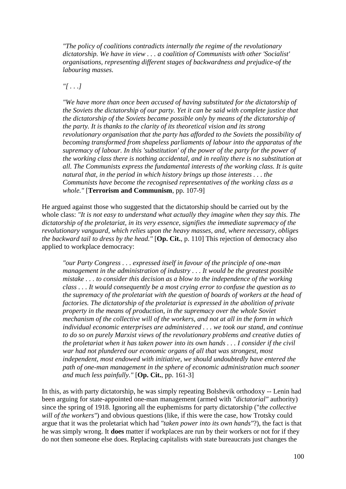*"The policy of coalitions contradicts internally the regime of the revolutionary dictatorship. We have in view . . . a coalition of Communists with other 'Socialist' organisations, representing different stages of backwardness and prejudice-of the labouring masses.*

*"[ . . .]*

*"We have more than once been accused of having substituted for the dictatorship of the Soviets the dictatorship of our party. Yet it can be said with complete justice that the dictatorship of the Soviets became possible only by means of the dictatorship of the party. It is thanks to the clarity of its theoretical vision and its strong revolutionary organisation that the party has afforded to the Soviets the possibility of becoming transformed from shapeless parliaments of labour into the apparatus of the supremacy of labour. In this 'substitution' of the power of the party for the power of the working class there is nothing accidental, and in reality there is no substitution at all. The Communists express the fundamental interests of the working class. It is quite natural that, in the period in which history brings up those interests . . . the Communists have become the recognised representatives of the working class as a whole."* [**Terrorism and Communism**, pp. 107-9]

He argued against those who suggested that the dictatorship should be carried out by the whole class: *"It is not easy to understand what actually they imagine when they say this. The dictatorship of the proletariat, in its very essence, signifies the immediate supremacy of the revolutionary vanguard, which relies upon the heavy masses, and, where necessary, obliges the backward tail to dress by the head."* [**Op. Cit.**, p. 110] This rejection of democracy also applied to workplace democracy:

*"our Party Congress . . . expressed itself in favour of the principle of one-man management in the administration of industry . . . It would be the greatest possible mistake . . . to consider this decision as a blow to the independence of the working class . . . It would consequently be a most crying error to confuse the question as to the supremacy of the proletariat with the question of boards of workers at the head of factories. The dictatorship of the proletariat is expressed in the abolition of private property in the means of production, in the supremacy over the whole Soviet mechanism of the collective will of the workers, and not at all in the form in which individual economic enterprises are administered . . . we took our stand, and continue to do so on purely Marxist views of the revolutionary problems and creative duties of the proletariat when it has taken power into its own hands . . . I consider if the civil war had not plundered our economic organs of all that was strongest, most independent, most endowed with initiative, we should undoubtedly have entered the path of one-man management in the sphere of economic administration much sooner and much less painfully."* [**Op. Cit.**, pp. 161-3]

In this, as with party dictatorship, he was simply repeating Bolshevik orthodoxy -- Lenin had been arguing for state-appointed one-man management (armed with *"dictatorial"* authority) since the spring of 1918. Ignoring all the euphemisms for party dictatorship ("*the collective will of the workers"*) and obvious questions (like, if this were the case, how Trotsky could argue that it was the proletariat which had *"taken power into its own hands"*?), the fact is that he was simply wrong. It **does** matter if workplaces are run by their workers or not for if they do not then someone else does. Replacing capitalists with state bureaucrats just changes the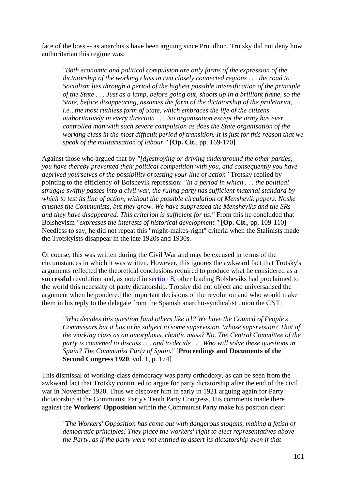face of the boss -- as anarchists have been arguing since Proudhon. Trotsky did not deny how authoritarian this regime was:

*"Both economic and political compulsion are only forms of the expression of the dictatorship of the working class in two closely connected regions . . . the road to Socialism lies through a period of the highest possible intensification of the principle of the State . . . Just as a lamp, before going out, shoots up in a brilliant flame, so the State, before disappearing, assumes the form of the dictatorship of the proletariat, i.e., the most ruthless form of State, which embraces the life of the citizens authoritatively in every direction . . . No organisation except the army has ever controlled man with such severe compulsion as does the State organisation of the working class in the most difficult period of transition. It is just for this reason that we speak of the militarisation of labour."* [**Op. Cit.**, pp. 169-170]

Against those who argued that by *"[d]estroying or driving underground the other parties, you have thereby prevented their political competition with you, and consequently you have deprived yourselves of the possibility of testing your line of action"* Trotsky replied by pointing to the efficiency of Bolshevik repression: *"In a period in which . . . the political struggle swiftly passes into a civil war, the ruling party has sufficient material standard by which to test its line of action, without the possible circulation of Menshevik papers. Noske crushes the Communists, but they grow. We have suppressed the Mensheviks and the SRs - and they have disappeared. This criterion is sufficient for us."* From this he concluded that Bolshevism *"expresses the interests of historical development."* [**Op. Cit.**, pp. 109-110] Needless to say, he did not repeat this "might-makes-right" criteria when the Stalinists made the Trotskyists disappear in the late 1920s and 1930s.

Of course, this was written during the Civil War and may be excused in terms of the circumstances in which it was written. However, this ignores the awkward fact that Trotsky's arguments reflected the theoretical conclusions required to produce what he considered as a **successful** revolution and, as noted in [section 8,](append31.html#app8) other leading Bolsheviks had proclaimed to the world this necessity of party dictatorship. Trotsky did not object and universalised the argument when he pondered the important decisions of the revolution and who would make them in his reply to the delegate from the Spanish anarcho-syndicalist union the CNT:

*"Who decides this question [and others like it]? We have the Council of People's Commissars but it has to be subject to some supervision. Whose supervision? That of the working class as an amorphous, chaotic mass? No. The Central Committee of the party is convened to discuss . . . and to decide . . . Who will solve these questions in Spain? The Communist Party of Spain."* [**Proceedings and Documents of the Second Congress 1920**, vol. 1, p. 174]

This dismissal of working-class democracy was party orthodoxy, as can be seen from the awkward fact that Trotsky continued to argue for party dictatorship after the end of the civil war in November 1920. Thus we discover him in early in 1921 arguing again for Party dictatorship at the Communist Party's Tenth Party Congress. His comments made there against the **Workers' Opposition** within the Communist Party make his position clear:

*"The Workers' Opposition has come out with dangerous slogans, making a fetish of democratic principles! They place the workers' right to elect representatives above the Party, as if the party were not entitled to assert its dictatorship even if that*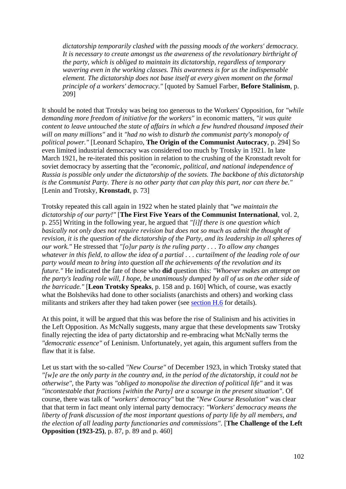*dictatorship temporarily clashed with the passing moods of the workers' democracy. It is necessary to create amongst us the awareness of the revolutionary birthright of the party, which is obliged to maintain its dictatorship, regardless of temporary wavering even in the working classes. This awareness is for us the indispensable element. The dictatorship does not base itself at every given moment on the formal principle of a workers' democracy."* [quoted by Samuel Farber, **Before Stalinism**, p. 209]

It should be noted that Trotsky was being too generous to the Workers' Opposition, for *"while demanding more freedom of initiative for the workers"* in economic matters, *"it was quite content to leave untouched the state of affairs in which a few hundred thousand imposed their will on many millions"* and it *"had no wish to disturb the communist party's monopoly of political power."* [Leonard Schapiro, **The Origin of the Communist Autocracy**, p. 294] So even limited industrial democracy was considered too much by Trotsky in 1921. In late March 1921, he re-iterated this position in relation to the crushing of the Kronstadt revolt for soviet democracy by asserting that the *"economic, political, and national independence of Russia is possible only under the dictatorship of the soviets. The backbone of this dictatorship is the Communist Party. There is no other party that can play this part, nor can there be."* [Lenin and Trotsky, **Kronstadt**, p. 73]

Trotsky repeated this call again in 1922 when he stated plainly that *"we maintain the dictatorship of our party!"* [**The First Five Years of the Communist International**, vol. 2, p. 255] Writing in the following year, he argued that *"[i]f there is one question which basically not only does not require revision but does not so much as admit the thought of revision, it is the question of the dictatorship of the Party, and its leadership in all spheres of our work."* He stressed that *"[o]ur party is the ruling party . . . To allow any changes whatever in this field, to allow the idea of a partial . . . curtailment of the leading role of our party would mean to bring into question all the achievements of the revolution and its future."* He indicated the fate of those who **did** question this: *"Whoever makes an attempt on the party's leading role will, I hope, be unanimously dumped by all of us on the other side of the barricade."* [**Leon Trotsky Speaks**, p. 158 and p. 160] Which, of course, was exactly what the Bolsheviks had done to other socialists (anarchists and others) and working class militants and strikers after they had taken power (see [section H.6](sectionH.html#sech6) for details).

At this point, it will be argued that this was before the rise of Stalinism and his activities in the Left Opposition. As McNally suggests, many argue that these developments saw Trotsky finally rejecting the idea of party dictatorship and re-embracing what McNally terms the *"democratic essence"* of Leninism. Unfortunately, yet again, this argument suffers from the flaw that it is false.

Let us start with the so-called *"New Course"* of December 1923, in which Trotsky stated that *"[w]e are the only party in the country and, in the period of the dictatorship, it could not be otherwise"*, the Party was *"obliged to monopolise the direction of political life"* and it was *"incontestable that fractions [within the Party] are a scourge in the present situation"*. Of course, there was talk of *"workers' democracy"* but the *"New Course Resolution"* was clear that that term in fact meant only internal party democracy: *"Workers' democracy means the liberty of frank discussion of the most important questions of party life by all members, and the election of all leading party functionaries and commissions"*. [**The Challenge of the Left Opposition (1923-25)**, p. 87, p. 89 and p. 460]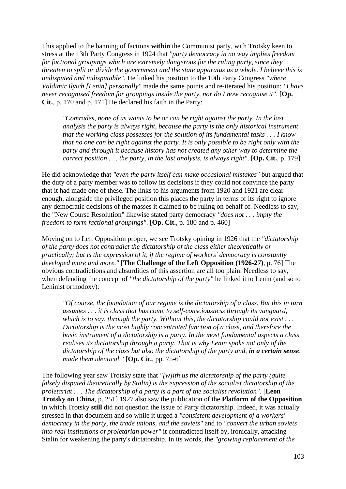This applied to the banning of factions **within** the Communist party, with Trotsky keen to stress at the 13th Party Congress in 1924 that *"party democracy in no way implies freedom for factional groupings which are extremely dangerous for the ruling party, since they threaten to split or divide the government and the state apparatus as a whole. I believe this is undisputed and indisputable"*. He linked his position to the 10th Party Congress *"where Valdimir Ilyich [Lenin] personally"* made the same points and re-iterated his position: *"I have never recognised freedom for groupings inside the party, nor do I now recognise it"*. [**Op. Cit.**, p. 170 and p. 171] He declared his faith in the Party:

*"Comrades, none of us wants to be or can be right against the party. In the last analysis the party is always right, because the party is the only historical instrument that the working class possesses for the solution of its fundamental tasks . . . I know that no one can be right against the party. It is only possible to be right only with the party and through it because history has not created any other way to determine the correct position . . . the party, in the last analysis, is always right"*. [**Op. Cit.**, p. 179]

He did acknowledge that *"even the party itself can make occasional mistakes"* but argued that the duty of a party member was to follow its decisions if they could not convince the party that it had made one of these. The links to his arguments from 1920 and 1921 are clear enough, alongside the privileged position this places the party in terms of its right to ignore any democratic decisions of the masses it claimed to be ruling on behalf of. Needless to say, the "New Course Resolution" likewise stated party democracy *"does not . . . imply the freedom to form factional groupings"*. [**Op. Cit.**, p. 180 and p. 460]

Moving on to Left Opposition proper, we see Trotsky opining in 1926 that the *"dictatorship of the party does not contradict the dictatorship of the class either theoretically or practically; but is the expression of it, if the regime of workers' democracy is constantly developed more and more."* [**The Challenge of the Left Opposition (1926-27)**, p. 76] The obvious contradictions and absurdities of this assertion are all too plain. Needless to say, when defending the concept of *"the dictatorship of the party"* he linked it to Lenin (and so to Leninist orthodoxy):

*"Of course, the foundation of our regime is the dictatorship of a class. But this in turn assumes . . . it is class that has come to self-consciousness through its vanguard, which is to say, through the party. Without this, the dictatorship could not exist . . . Dictatorship is the most highly concentrated function of a class, and therefore the basic instrument of a dictatorship is a party. In the most fundamental aspects a class realises its dictatorship through a party. That is why Lenin spoke not only of the dictatorship of the class but also the dictatorship of the party and, in a certain sense, made them identical."* [**Op. Cit.**, pp. 75-6]

The following year saw Trotsky state that *"[w]ith us the dictatorship of the party (quite falsely disputed theoretically by Stalin) is the expression of the socialist dictatorship of the proletariat . . . The dictatorship of a party is a part of the socialist revolution"*. [**Leon Trotsky on China**, p. 251] 1927 also saw the publication of the **Platform of the Opposition**, in which Trotsky **still** did not question the issue of Party dictatorship. Indeed, it was actually stressed in that document and so while it urged a *"consistent development of a workers' democracy in the party, the trade unions, and the soviets"* and to *"convert the urban soviets into real institutions of proletarian power"* it contradicted itself by, ironically, attacking Stalin for weakening the party's dictatorship. In its words, the *"growing replacement of the*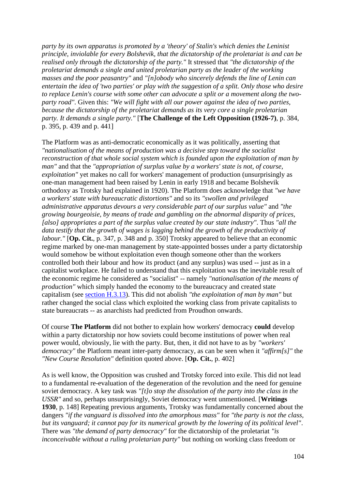*party by its own apparatus is promoted by a 'theory' of Stalin's which denies the Leninist principle, inviolable for every Bolshevik, that the dictatorship of the proletariat is and can be realised only through the dictatorship of the party."* It stressed that *"the dictatorship of the proletariat demands a single and united proletarian party as the leader of the working masses and the poor peasantry"* and *"[n]obody who sincerely defends the line of Lenin can entertain the idea of 'two parties' or play with the suggestion of a split. Only those who desire to replace Lenin's course with some other can advocate a split or a movement along the twoparty road"*. Given this: *"We will fight with all our power against the idea of two parties, because the dictatorship of the proletariat demands as its very core a single proletarian party. It demands a single party."* [**The Challenge of the Left Opposition (1926-7)**, p. 384, p. 395, p. 439 and p. 441]

The Platform was as anti-democratic economically as it was politically, asserting that *"nationalisation of the means of production was a decisive step toward the socialist reconstruction of that whole social system which is founded upon the exploitation of man by man"* and that the *"appropriation of surplus value by a workers' state is not, of course, exploitation"* yet makes no call for workers' management of production (unsurprisingly as one-man management had been raised by Lenin in early 1918 and became Bolshevik orthodoxy as Trotsky had explained in 1920). The Platform does acknowledge that *"we have a workers' state with bureaucratic distortions"* and so its *"swollen and privileged administrative apparatus devours a very considerable part of our surplus value"* and *"the growing bourgeoisie, by means of trade and gambling on the abnormal disparity of prices, [also] appropriates a part of the surplus value created by our state industry"*. Thus *"all the data testify that the growth of wages is lagging behind the growth of the productivity of labour."* [**Op. Cit.**, p. 347, p. 348 and p. 350] Trotsky appeared to believe that an economic regime marked by one-man management by state-appointed bosses under a party dictatorship would somehow be without exploitation even though someone other than the workers controlled both their labour and how its product (and any surplus) was used -- just as in a capitalist workplace. He failed to understand that this exploitation was the inevitable result of the economic regime he considered as "socialist" -- namely *"nationalisation of the means of production"* which simply handed the economy to the bureaucracy and created state capitalism (see [section H.3.13\)](sectionH.html#sech313). This did not abolish *"the exploitation of man by man"* but rather changed the social class which exploited the working class from private capitalists to state bureaucrats -- as anarchists had predicted from Proudhon onwards.

Of course **The Platform** did not bother to explain how workers' democracy **could** develop within a party dictatorship nor how soviets could become institutions of power when real power would, obviously, lie with the party. But, then, it did not have to as by *"workers' democracy"* the Platform meant inter-party democracy, as can be seen when it *"affirm[s]"* the *"New Course Resolution"* definition quoted above. [**Op. Cit.**, p. 402]

As is well know, the Opposition was crushed and Trotsky forced into exile. This did not lead to a fundamental re-evaluation of the degeneration of the revolution and the need for genuine soviet democracy. A key task was *"[t]o stop the dissolution of the party into the class in the USSR"* and so, perhaps unsurprisingly, Soviet democracy went unmentioned. [**Writings 1930**, p. 148] Repeating previous arguments, Trotsky was fundamentally concerned about the dangers *"if the vanguard is dissolved into the amorphous mass"* for *"the party is not the class, but its vanguard; it cannot pay for its numerical growth by the lowering of its political level"*. There was *"the demand of party democracy"* for the dictatorship of the proletariat *"is inconceivable without a ruling proletarian party"* but nothing on working class freedom or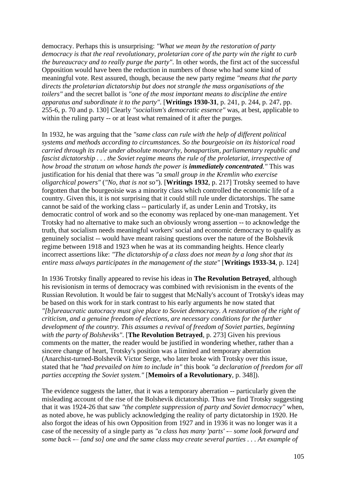democracy. Perhaps this is unsurprising: *"What we mean by the restoration of party democracy is that the real revolutionary, proletarian core of the party win the right to curb the bureaucracy and to really purge the party"*. In other words, the first act of the successful Opposition would have been the reduction in numbers of those who had some kind of meaningful vote. Rest assured, though, because the new party regime *"means that the party directs the proletarian dictatorship but does not strangle the mass organisations of the toilers"* and the secret ballot is *"one of the most important means to discipline the entire apparatus and subordinate it to the party"*. [**Writings 1930-31**, p. 241, p. 244, p. 247, pp. 255-6, p. 70 and p. 130] Clearly *"socialism's democratic essence"* was, at best, applicable to within the ruling party -- or at least what remained of it after the purges.

In 1932, he was arguing that the *"same class can rule with the help of different political systems and methods according to circumstances. So the bourgeoisie on its historical road carried through its rule under absolute monarchy, bonapartism, parliamentary republic and fascist dictatorship . . . the Soviet regime means the rule of the proletariat, irrespective of how broad the stratum on whose hands the power is immediately concentrated."* This was justification for his denial that there was *"a small group in the Kremlin who exercise oligarchical powers"* (*"No, that is not so"*). [**Writings 1932**, p. 217] Trotsky seemed to have forgotten that the bourgeoisie was a minority class which controlled the economic life of a country. Given this, it is not surprising that it could still rule under dictatorships. The same cannot be said of the working class -- particularly if, as under Lenin and Trotsky, its democratic control of work and so the economy was replaced by one-man management. Yet Trotsky had no alternative to make such an obviously wrong assertion -- to acknowledge the truth, that socialism needs meaningful workers' social and economic democracy to qualify as genuinely socialist -- would have meant raising questions over the nature of the Bolshevik regime between 1918 and 1923 when he was at its commanding heights. Hence clearly incorrect assertions like: *"The dictatorship of a class does not mean by a long shot that its entire mass always participates in the management of the state"* [**Writings 1933-34**, p. 124]

In 1936 Trotsky finally appeared to revise his ideas in **The Revolution Betrayed**, although his revisionism in terms of democracy was combined with revisionism in the events of the Russian Revolution. It would be fair to suggest that McNally's account of Trotsky's ideas may be based on this work for in stark contrast to his early arguments he now stated that *"[b]ureaucratic autocracy must give place to Soviet democracy. A restoration of the right of criticism, and a genuine freedom of elections, are necessary conditions for the further development of the country. This assumes a revival of freedom of Soviet parties, beginning with the party of Bolsheviks"*. [**The Revolution Betrayed**, p. 273] Given his previous comments on the matter, the reader would be justified in wondering whether, rather than a sincere change of heart, Trotsky's position was a limited and temporary aberration (Anarchist-turned-Bolshevik Victor Serge, who later broke with Trotsky over this issue, stated that he *"had prevailed on him to include in"* this book *"a declaration of freedom for all parties accepting the Soviet system."* [**Memoirs of a Revolutionary**, p. 348]).

The evidence suggests the latter, that it was a temporary aberration -- particularly given the misleading account of the rise of the Bolshevik dictatorship. Thus we find Trotsky suggesting that it was 1924-26 that saw *"the complete suppression of party and Soviet democracy"* when, as noted above, he was publicly acknowledging the reality of party dictatorship in 1920. He also forgot the ideas of his own Opposition from 1927 and in 1936 it was no longer was it a case of the necessity of a single party as *"a class has many 'parts' -– some look forward and some back -– [and so] one and the same class may create several parties . . . An example of*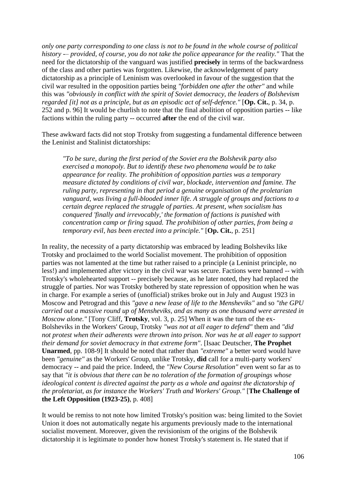*only one party corresponding to one class is not to be found in the whole course of political history -– provided, of course, you do not take the police appearance for the reality."* That the need for the dictatorship of the vanguard was justified **precisely** in terms of the backwardness of the class and other parties was forgotten. Likewise, the acknowledgement of party dictatorship as a principle of Leninism was overlooked in favour of the suggestion that the civil war resulted in the opposition parties being *"forbidden one after the other"* and while this was *"obviously in conflict with the spirit of Soviet democracy, the leaders of Bolshevism regarded [it] not as a principle, but as an episodic act of self-defence."* [**Op. Cit.**, p. 34, p. 252 and p. 96] It would be churlish to note that the final abolition of opposition parties -- like factions within the ruling party -- occurred **after** the end of the civil war.

These awkward facts did not stop Trotsky from suggesting a fundamental difference between the Leninist and Stalinist dictatorships:

*"To be sure, during the first period of the Soviet era the Bolshevik party also exercised a monopoly. But to identify these two phenomena would be to take appearance for reality. The prohibition of opposition parties was a temporary measure dictated by conditions of civil war, blockade, intervention and famine. The ruling party, representing in that period a genuine organisation of the proletarian vanguard, was living a full-blooded inner life. A struggle of groups and factions to a certain degree replaced the struggle of parties. At present, when socialism has conquered 'finally and irrevocably,' the formation of factions is punished with concentration camp or firing squad. The prohibition of other parties, from being a temporary evil, has been erected into a principle."* [**Op. Cit.**, p. 251]

In reality, the necessity of a party dictatorship was embraced by leading Bolsheviks like Trotsky and proclaimed to the world Socialist movement. The prohibition of opposition parties was not lamented at the time but rather raised to a principle (a Leninist principle, no less!) and implemented after victory in the civil war was secure. Factions were banned -- with Trotsky's wholehearted support -- precisely because, as he later noted, they had replaced the struggle of parties. Nor was Trotsky bothered by state repression of opposition when he was in charge. For example a series of (unofficial) strikes broke out in July and August 1923 in Moscow and Petrograd and this *"gave a new lease of life to the Mensheviks"* and so *"the GPU carried out a massive round up of Mensheviks, and as many as one thousand were arrested in Moscow alone."* [Tony Cliff, **Trotsky**, vol. 3, p. 25] When it was the turn of the ex-Bolsheviks in the Workers' Group, Trotsky *"was not at all eager to defend"* them and *"did not protest when their adherents were thrown into prison. Nor was he at all eager to support their demand for soviet democracy in that extreme form"*. [Isaac Deutscher, **The Prophet Unarmed**, pp. 108-9] It should be noted that rather than *"extreme"* a better word would have been *"genuine"* as the Workers' Group, unlike Trotsky, **did** call for a multi-party workers' democracy -- and paid the price. Indeed, the *"New Course Resolution"* even went so far as to say that *"it is obvious that there can be no toleration of the formation of groupings whose ideological content is directed against the party as a whole and against the dictatorship of the proletariat, as for instance the Workers' Truth and Workers' Group."* [**The Challenge of the Left Opposition (1923-25)**, p. 408]

It would be remiss to not note how limited Trotsky's position was: being limited to the Soviet Union it does not automatically negate his arguments previously made to the international socialist movement. Moreover, given the revisionism of the origins of the Bolshevik dictatorship it is legitimate to ponder how honest Trotsky's statement is. He stated that if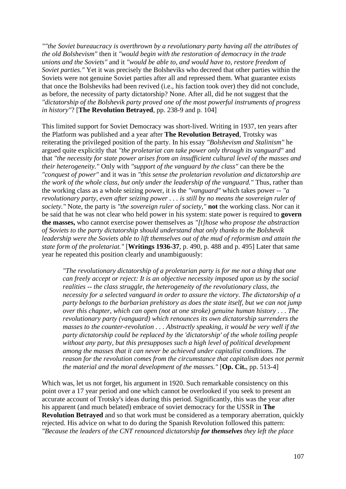*""the Soviet bureaucracy is overthrown by a revolutionary party having all the attributes of the old Bolshevism"* then it *"would begin with the restoration of democracy in the trade unions and the Soviets"* and it *"would be able to, and would have to, restore freedom of Soviet parties."* Yet it was precisely the Bolsheviks who decreed that other parties within the Soviets were not genuine Soviet parties after all and repressed them. What guarantee exists that once the Bolsheviks had been revived (i.e., his faction took over) they did not conclude, as before, the necessity of party dictatorship? None. After all, did he not suggest that the *"dictatorship of the Bolshevik party proved one of the most powerful instruments of progress in history"*? [**The Revolution Betrayed**, pp. 238-9 and p. 104]

This limited support for Soviet Democracy was short-lived. Writing in 1937, ten years after the Platform was published and a year after **The Revolution Betrayed**, Trotsky was reiterating the privileged position of the party. In his essay *"Bolshevism and Stalinism"* he argued quite explicitly that *"the proletariat can take power only through its vanguard"* and that *"the necessity for state power arises from an insufficient cultural level of the masses and their heterogeneity."* Only with *"support of the vanguard by the class"* can there be the *"conquest of power"* and it was in *"this sense the proletarian revolution and dictatorship are the work of the whole class, but only under the leadership of the vanguard."* Thus, rather than the working class as a whole seizing power, it is the *"vanguard"* which takes power -- *"a revolutionary party, even after seizing power . . . is still by no means the sovereign ruler of society."* Note, the party is *"the sovereign ruler of society,"* **not** the working class. Nor can it be said that he was not clear who held power in his system: state power is required to **govern the masses,** who cannot exercise power themselves as *"[t]hose who propose the abstraction of Soviets to the party dictatorship should understand that only thanks to the Bolshevik leadership were the Soviets able to lift themselves out of the mud of reformism and attain the state form of the proletariat."* [**Writings 1936-37**, p. 490, p. 488 and p. 495] Later that same year he repeated this position clearly and unambiguously:

*"The revolutionary dictatorship of a proletarian party is for me not a thing that one can freely accept or reject: It is an objective necessity imposed upon us by the social realities -- the class struggle, the heterogeneity of the revolutionary class, the necessity for a selected vanguard in order to assure the victory. The dictatorship of a party belongs to the barbarian prehistory as does the state itself, but we can not jump over this chapter, which can open (not at one stroke) genuine human history . . . The revolutionary party (vanguard) which renounces its own dictatorship surrenders the masses to the counter-revolution . . . Abstractly speaking, it would be very well if the party dictatorship could be replaced by the 'dictatorship' of the whole toiling people without any party, but this presupposes such a high level of political development among the masses that it can never be achieved under capitalist conditions. The reason for the revolution comes from the circumstance that capitalism does not permit the material and the moral development of the masses."* [**Op. Cit.**, pp. 513-4]

Which was, let us not forget, his argument in 1920. Such remarkable consistency on this point over a 17 year period and one which cannot be overlooked if you seek to present an accurate account of Trotsky's ideas during this period. Significantly, this was the year after his apparent (and much belated) embrace of soviet democracy for the USSR in **The Revolution Betrayed** and so that work must be considered as a temporary aberration, quickly rejected. His advice on what to do during the Spanish Revolution followed this pattern: *"Because the leaders of the CNT renounced dictatorship for themselves they left the place*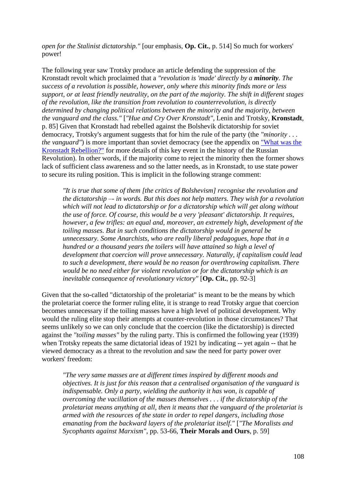*open for the Stalinist dictatorship."* [our emphasis, **Op. Cit.**, p. 514] So much for workers' power!

The following year saw Trotsky produce an article defending the suppression of the Kronstadt revolt which proclaimed that a *"revolution is 'made' directly by a minority. The success of a revolution is possible, however, only where this minority finds more or less support, or at least friendly neutrality, on the part of the majority. The shift in different stages of the revolution, like the transition from revolution to counterrevolution, is directly determined by changing political relations between the minority and the majority, between the vanguard and the class."* [*"Hue and Cry Over Kronstadt"*, Lenin and Trotsky, **Kronstadt**, p. 85] Given that Kronstadt had rebelled against the Bolshevik dictatorship for soviet democracy, Trotsky's argument suggests that for him the rule of the party (the *"minority . . . the vanguard"*) is more important than soviet democracy (see the appendix on "What was the [Kronstadt Rebellion?"](append42.html) for more details of this key event in the history of the Russian Revolution). In other words, if the majority come to reject the minority then the former shows lack of sufficient class awareness and so the latter needs, as in Kronstadt, to use state power to secure its ruling position. This is implicit in the following strange comment:

*"It is true that some of them [the critics of Bolshevism] recognise the revolution and the dictatorship –- in words. But this does not help matters. They wish for a revolution which will not lead to dictatorship or for a dictatorship which will get along without the use of force. Of course, this would be a very 'pleasant' dictatorship. It requires, however, a few trifles: an equal and, moreover, an extremely high, development of the toiling masses. But in such conditions the dictatorship would in general be unnecessary. Some Anarchists, who are really liberal pedagogues, hope that in a hundred or a thousand years the toilers will have attained so high a level of development that coercion will prove unnecessary. Naturally, if capitalism could lead to such a development, there would be no reason for overthrowing capitalism. There would be no need either for violent revolution or for the dictatorship which is an inevitable consequence of revolutionary victory"* [**Op. Cit.**, pp. 92-3]

Given that the so-called "dictatorship of the proletariat" is meant to be the means by which the proletariat coerce the former ruling elite, it is strange to read Trotsky argue that coercion becomes unnecessary if the toiling masses have a high level of political development. Why would the ruling elite stop their attempts at counter-revolution in those circumstances? That seems unlikely so we can only conclude that the coercion (like the dictatorship) is directed against the *"toiling masses"* by the ruling party. This is confirmed the following year (1939) when Trotsky repeats the same dictatorial ideas of 1921 by indicating -- yet again -- that he viewed democracy as a threat to the revolution and saw the need for party power over workers' freedom:

*"The very same masses are at different times inspired by different moods and objectives. It is just for this reason that a centralised organisation of the vanguard is indispensable. Only a party, wielding the authority it has won, is capable of overcoming the vacillation of the masses themselves . . . if the dictatorship of the proletariat means anything at all, then it means that the vanguard of the proletariat is armed with the resources of the state in order to repel dangers, including those emanating from the backward layers of the proletariat itself."* [*"The Moralists and Sycophants against Marxism"*, pp. 53-66, **Their Morals and Ours**, p. 59]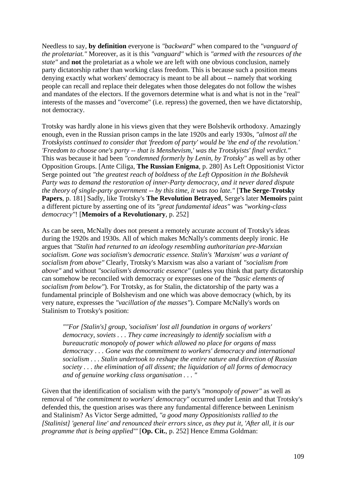Needless to say, **by definition** everyone is *"backward"* when compared to the *"vanguard of the proletariat."* Moreover, as it is this *"vanguard"* which is *"armed with the resources of the state"* and **not** the proletariat as a whole we are left with one obvious conclusion, namely party dictatorship rather than working class freedom. This is because such a position means denying exactly what workers' democracy is meant to be all about -- namely that working people can recall and replace their delegates when those delegates do not follow the wishes and mandates of the electors. If the governors determine what is and what is not in the "real" interests of the masses and "overcome" (i.e. repress) the governed, then we have dictatorship, not democracy.

Trotsky was hardly alone in his views given that they were Bolshevik orthodoxy. Amazingly enough, even in the Russian prison camps in the late 1920s and early 1930s, *"almost all the Trotskyists continued to consider that 'freedom of party' would be 'the end of the revolution.' 'Freedom to choose one's party -- that is Menshevism,' was the Trotskyists' final verdict."* This was because it had been *"condemned formerly by Lenin, by Trotsky"* as well as by other Opposition Groups. [Ante Ciliga, **The Russian Enigma**, p. 280] As Left Oppositionist Victor Serge pointed out *"the greatest reach of boldness of the Left Opposition in the Bolshevik Party was to demand the restoration of inner-Party democracy, and it never dared dispute the theory of single-party government -- by this time, it was too late."* [**The Serge-Trotsky Papers**, p. 181] Sadly, like Trotsky's **The Revolution Betrayed**, Serge's later **Memoirs** paint a different picture by asserting one of its *"great fundamental ideas"* was *"working-class democracy"*! [**Memoirs of a Revolutionary**, p. 252]

As can be seen, McNally does not present a remotely accurate account of Trotsky's ideas during the 1920s and 1930s. All of which makes McNally's comments deeply ironic. He argues that *"Stalin had returned to an ideology resembling authoritarian pre-Marxian socialism. Gone was socialism's democratic essence. Stalin's 'Marxism' was a variant of socialism from above"* Clearly, Trotsky's Marxism was also a variant of *"socialism from above"* and without *"socialism's democratic essence"* (unless you think that party dictatorship can somehow be reconciled with democracy or expresses one of the *"basic elements of socialism from below"*). For Trotsky, as for Stalin, the dictatorship of the party was a fundamental principle of Bolshevism and one which was above democracy (which, by its very nature, expresses the *"vacillation of the masses"*). Compare McNally's words on Stalinism to Trotsky's position:

*""For [Stalin's] group, 'socialism' lost all foundation in organs of workers' democracy, soviets . . . They came increasingly to identify socialism with a bureaucratic monopoly of power which allowed no place for organs of mass democracy . . . Gone was the commitment to workers' democracy and international socialism . . . Stalin undertook to reshape the entire nature and direction of Russian society . . . the elimination of all dissent; the liquidation of all forms of democracy and of genuine working class organisation . . . "*

Given that the identification of socialism with the party's *"monopoly of power"* as well as removal of *"the commitment to workers' democracy"* occurred under Lenin and that Trotsky's defended this, the question arises was there any fundamental difference between Leninism and Stalinism? As Victor Serge admitted, *"a good many Oppositionists rallied to the [Stalinist] 'general line' and renounced their errors since, as they put it, 'After all, it is our programme that is being applied'"* [**Op. Cit.**, p. 252] Hence Emma Goldman: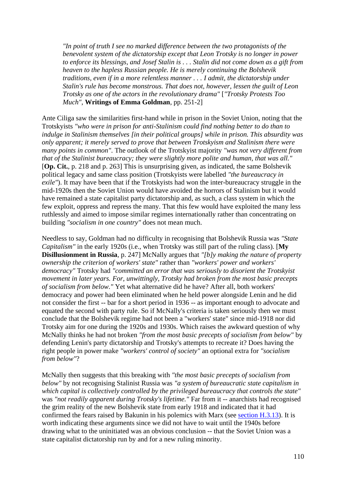*"In point of truth I see no marked difference between the two protagonists of the benevolent system of the dictatorship except that Leon Trotsky is no longer in power to enforce its blessings, and Josef Stalin is . . . Stalin did not come down as a gift from heaven to the hapless Russian people. He is merely continuing the Bolshevik traditions, even if in a more relentless manner . . . I admit, the dictatorship under Stalin's rule has become monstrous. That does not, however, lessen the guilt of Leon Trotsky as one of the actors in the revolutionary drama"* [*"Trotsky Protests Too Much"*, **Writings of Emma Goldman**, pp. 251-2]

Ante Ciliga saw the similarities first-hand while in prison in the Soviet Union, noting that the Trotskyists *"who were in prison for anti-Stalinism could find nothing better to do than to indulge in Stalinism themselves [in their political groups] while in prison. This absurdity was only apparent; it merely served to prove that between Trotskyism and Stalinism there were many points in common"*. The outlook of the Trotskyist majority *"was not very different from that of the Stalinist bureaucracy; they were slightly more polite and human, that was all."* [**Op. Cit.**, p. 218 and p. 263] This is unsurprising given, as indicated, the same Bolshevik political legacy and same class position (Trotskyists were labelled *"the bureaucracy in exile"*). It may have been that if the Trotskyists had won the inter-bureaucracy struggle in the mid-1920s then the Soviet Union would have avoided the horrors of Stalinism but it would have remained a state capitalist party dictatorship and, as such, a class system in which the few exploit, oppress and repress the many. That this few would have exploited the many less ruthlessly and aimed to impose similar regimes internationally rather than concentrating on building *"socialism in one country"* does not mean much.

Needless to say, Goldman had no difficulty in recognising that Bolshevik Russia was *"State Capitalism"* in the early 1920s (i.e., when Trotsky was still part of the ruling class). [**My Disillusionment in Russia**, p. 247] McNally argues that *"[b]y making the nature of property ownership the criterion of workers' state"* rather than *"workers' power and workers' democracy"* Trotsky had *"committed an error that was seriously to disorient the Trotskyist movement in later years. For, unwittingly, Trotsky had broken from the most basic precepts of socialism from below."* Yet what alternative did he have? After all, both workers' democracy and power had been eliminated when he held power alongside Lenin and he did not consider the first -- bar for a short period in 1936 -- as important enough to advocate and equated the second with party rule. So if McNally's criteria is taken seriously then we must conclude that the Bolshevik regime had not been a "workers' state" since mid-1918 nor did Trotsky aim for one during the 1920s and 1930s. Which raises the awkward question of why McNally thinks he had not broken *"from the most basic precepts of socialism from below"* by defending Lenin's party dictatorship and Trotsky's attempts to recreate it? Does having the right people in power make *"workers' control of society"* an optional extra for *"socialism from below"*?

McNally then suggests that this breaking with *"the most basic precepts of socialism from below"* by not recognising Stalinist Russia was *"a system of bureaucratic state capitalism in which capital is collectively controlled by the privileged bureaucracy that controls the state"* was *"not readily apparent during Trotsky's lifetime."* Far from it -- anarchists had recognised the grim reality of the new Bolshevik state from early 1918 and indicated that it had confirmed the fears raised by Bakunin in his polemics with Marx (see [section H.3.13\)](sectionH.html#sech313). It is worth indicating these arguments since we did not have to wait until the 1940s before drawing what to the uninitiated was an obvious conclusion -- that the Soviet Union was a state capitalist dictatorship run by and for a new ruling minority.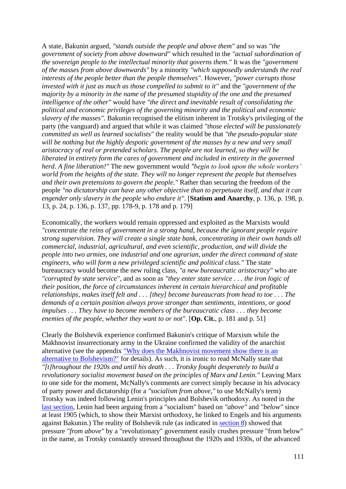A state, Bakunin argued, *"stands outside the people and above them"* and so was *"the government of society from above downward"* which resulted in the *"actual subordination of the sovereign people to the intellectual minority that governs them."* It was the *"government of the masses from above downwards"* by a minority *"which supposedly understands the real interests of the people better than the people themselves"*. However, *"power corrupts those invested with it just as much as those compelled to submit to it"* and the *"government of the majority by a minority in the name of the presumed stupidity of the one and the presumed intelligence of the other"* would have *"the direct and inevitable result of consolidating the political and economic privileges of the governing minority and the political and economic slavery of the masses"*. Bakunin recognised the elitism inherent in Trotsky's privileging of the party (the vanguard) and argued that while it was claimed *"those elected will be passionately committed as well as learned socialists"* the reality would be that *"the pseudo-popular state will be nothing but the highly despotic government of the masses by a new and very small aristocracy of real or pretended scholars. The people are not learned, so they will be liberated in entirety form the cares of government and included in entirety in the governed herd. A fine liberation!"* The new government would *"begin to look upon the whole workers' world from the heights of the state. They will no longer represent the people but themselves and their own pretensions to govern the people."* Rather than securing the freedom of the people *"no dictatorship can have any other objective than to perpetuate itself, and that it can engender only slavery in the people who endure it"*. [**Statism and Anarchy**, p. 136, p. 198, p. 13, p. 24, p. 136, p. 137, pp. 178-9, p. 178 and p. 179]

Economically, the workers would remain oppressed and exploited as the Marxists would *"concentrate the reins of government in a strong hand, because the ignorant people require strong supervision. They will create a single state bank, concentrating in their own hands all commercial, industrial, agricultural, and even scientific, production, and will divide the people into two armies, one industrial and one agrarian, under the direct command of state engineers, who will form a new privileged scientific and political class."* The state bureaucracy would become the new ruling class, *"a new bureaucratic aristocracy"* who are *"corrupted by state service"*, and as soon as *"they enter state service . . . the iron logic of their position, the force of circumstances inherent in certain hierarchical and profitable relationships, makes itself felt and . . . [they] become bureaucrats from head to toe . . . The demands of a certain position always prove stronger than sentiments, intentions, or good impulses . . . They have to become members of the bureaucratic class . . . they become enemies of the people, whether they want to or not"*. [**Op. Cit.**, p. 181 and p. 51]

Clearly the Bolshevik experience confirmed Bakunin's critique of Marxism while the Makhnovist insurrectionary army in the Ukraine confirmed the validity of the anarchist alternative (see the appendix ["Why does the Makhnovist movement show there is an](append46.html)  [alternative to Bolshevism?"](append46.html) for details). As such, it is ironic to read McNally state that *"[t]hroughout the 1920s and until his death . . . Trotsky fought desperately to build a revolutionary socialist movement based on the principles of Marx and Lenin."* Leaving Marx to one side for the moment, McNally's comments are correct simply because in his advocacy of party power and dictatorship (for a *"socialism from above,"* to use McNally's term) Trotsky was indeed following Lenin's principles and Bolshevik orthodoxy. As noted in the [last section,](append31.html#app14) Lenin had been arguing from a "socialism" based on *"above"* and *"below"* since at least 1905 (which, to show their Marxist orthodoxy, he linked to Engels and his arguments against Bakunin.) The reality of Bolshevik rule (as indicated in [section 8\)](append31.html#app8) showed that pressure *"from above"* by a "revolutionary" government easily crushes pressure "from below" in the name, as Trotsky constantly stressed throughout the 1920s and 1930s, of the advanced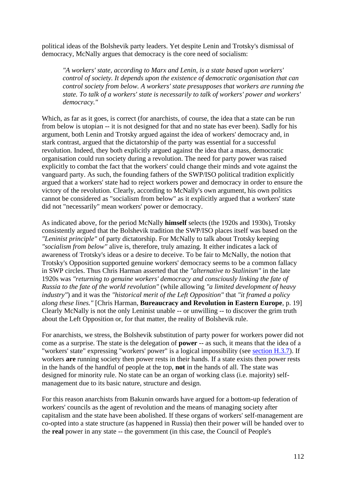political ideas of the Bolshevik party leaders. Yet despite Lenin and Trotsky's dismissal of democracy, McNally argues that democracy is the core need of socialism:

*"A workers' state, according to Marx and Lenin, is a state based upon workers' control of society. It depends upon the existence of democratic organisation that can control society from below. A workers' state presupposes that workers are running the state. To talk of a workers' state is necessarily to talk of workers' power and workers' democracy."*

Which, as far as it goes, is correct (for anarchists, of course, the idea that a state can be run from below is utopian -- it is not designed for that and no state has ever been). Sadly for his argument, both Lenin and Trotsky argued against the idea of workers' democracy and, in stark contrast, argued that the dictatorship of the party was essential for a successful revolution. Indeed, they both explicitly argued against the idea that a mass, democratic organisation could run society during a revolution. The need for party power was raised explicitly to combat the fact that the workers' could change their minds and vote against the vanguard party. As such, the founding fathers of the SWP/ISO political tradition explicitly argued that a workers' state had to reject workers power and democracy in order to ensure the victory of the revolution. Clearly, according to McNally's own argument, his own politics cannot be considered as "socialism from below" as it explicitly argued that a workers' state did not "necessarily" mean workers' power or democracy.

As indicated above, for the period McNally **himself** selects (the 1920s and 1930s), Trotsky consistently argued that the Bolshevik tradition the SWP/ISO places itself was based on the *"Leninist principle"* of party dictatorship. For McNally to talk about Trotsky keeping *"socialism from below"* alive is, therefore, truly amazing. It either indicates a lack of awareness of Trotsky's ideas or a desire to deceive. To be fair to McNally, the notion that Trotsky's Opposition supported genuine workers' democracy seems to be a common fallacy in SWP circles. Thus Chris Harman asserted that the *"alternative to Stalinism"* in the late 1920s was *"returning to genuine workers' democracy and consciously linking the fate of Russia to the fate of the world revolution"* (while allowing *"a limited development of heavy industry"*) and it was the *"historical merit of the Left Opposition"* that *"it framed a policy along these lines."* [Chris Harman, **Bureaucracy and Revolution in Eastern Europe**, p. 19] Clearly McNally is not the only Leninist unable -- or unwilling -- to discover the grim truth about the Left Opposition or, for that matter, the reality of Bolshevik rule.

For anarchists, we stress, the Bolshevik substitution of party power for workers power did not come as a surprise. The state is the delegation of **power** -- as such, it means that the idea of a "workers' state" expressing "workers' power" is a logical impossibility (see [section H.3.7\)](sectionH.html#sech37). If workers **are** running society then power rests in their hands. If a state exists then power rests in the hands of the handful of people at the top, **not** in the hands of all. The state was designed for minority rule. No state can be an organ of working class (i.e. majority) selfmanagement due to its basic nature, structure and design.

For this reason anarchists from Bakunin onwards have argued for a bottom-up federation of workers' councils as the agent of revolution and the means of managing society after capitalism and the state have been abolished. If these organs of workers' self-management are co-opted into a state structure (as happened in Russia) then their power will be handed over to the **real** power in any state -- the government (in this case, the Council of People's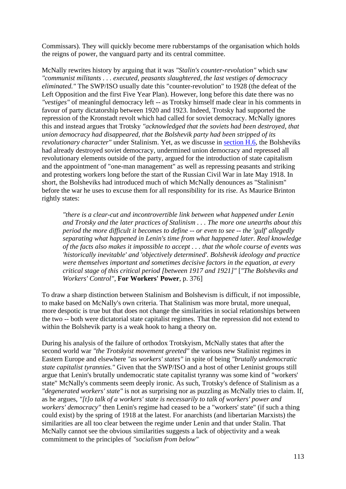Commissars). They will quickly become mere rubberstamps of the organisation which holds the reigns of power, the vanguard party and its central committee.

McNally rewrites history by arguing that it was *"Stalin's counter-revolution"* which saw *"communist militants . . . executed, peasants slaughtered, the last vestiges of democracy eliminated."* The SWP/ISO usually date this "counter-revolution" to 1928 (the defeat of the Left Opposition and the first Five Year Plan). However, long before this date there was no *"vestiges"* of meaningful democracy left -- as Trotsky himself made clear in his comments in favour of party dictatorship between 1920 and 1923. Indeed, Trotsky had supported the repression of the Kronstadt revolt which had called for soviet democracy. McNally ignores this and instead argues that Trotsky *"acknowledged that the soviets had been destroyed, that union democracy had disappeared, that the Bolshevik party had been stripped of its revolutionary character"* under Stalinism. Yet, as we discusse in [section H.6,](sectionH.html#sech6) the Bolsheviks had already destroyed soviet democracy, undermined union democracy and repressed all revolutionary elements outside of the party, argued for the introduction of state capitalism and the appointment of "one-man management" as well as repressing peasants and striking and protesting workers long before the start of the Russian Civil War in late May 1918. In short, the Bolsheviks had introduced much of which McNally denounces as "Stalinism" before the war he uses to excuse them for all responsibility for its rise. As Maurice Brinton rightly states:

*"there is a clear-cut and incontrovertible link between what happened under Lenin and Trotsky and the later practices of Stalinism . . . The more one unearths about this period the more difficult it becomes to define -- or even to see -- the 'gulf' allegedly separating what happened in Lenin's time from what happened later. Real knowledge of the facts also makes it impossible to accept . . . that the whole course of events was 'historically inevitable' and 'objectively determined'. Bolshevik ideology and practice were themselves important and sometimes decisive factors in the equation, at every critical stage of this critical period [between 1917 and 1921]"* [*"The Bolsheviks and Workers' Control"*, **For Workers' Power**, p. 376]

To draw a sharp distinction between Stalinism and Bolshevism is difficult, if not impossible, to make based on McNally's own criteria. That Stalinism was more brutal, more unequal, more despotic is true but that does not change the similarities in social relationships between the two -- both were dictatorial state capitalist regimes. That the repression did not extend to within the Bolshevik party is a weak hook to hang a theory on.

During his analysis of the failure of orthodox Trotskyism, McNally states that after the second world war *"the Trotskyist movement greeted"* the various new Stalinist regimes in Eastern Europe and elsewhere *"as workers' states"* in spite of being *"brutally undemocratic state capitalist tyrannies."* Given that the SWP/ISO and a host of other Leninist groups still argue that Lenin's brutally undemocratic state capitalist tyranny was some kind of "workers' state" McNally's comments seem deeply ironic. As such, Trotsky's defence of Stalinism as a *"degenerated workers' state"* is not as surprising nor as puzzling as McNally tries to claim. If, as he argues, *"[t]o talk of a workers' state is necessarily to talk of workers' power and workers' democracy"* then Lenin's regime had ceased to be a "workers' state" (if such a thing could exist) by the spring of 1918 at the latest. For anarchists (and libertarian Marxists) the similarities are all too clear between the regime under Lenin and that under Stalin. That McNally cannot see the obvious similarities suggests a lack of objectivity and a weak commitment to the principles of *"socialism from below"*